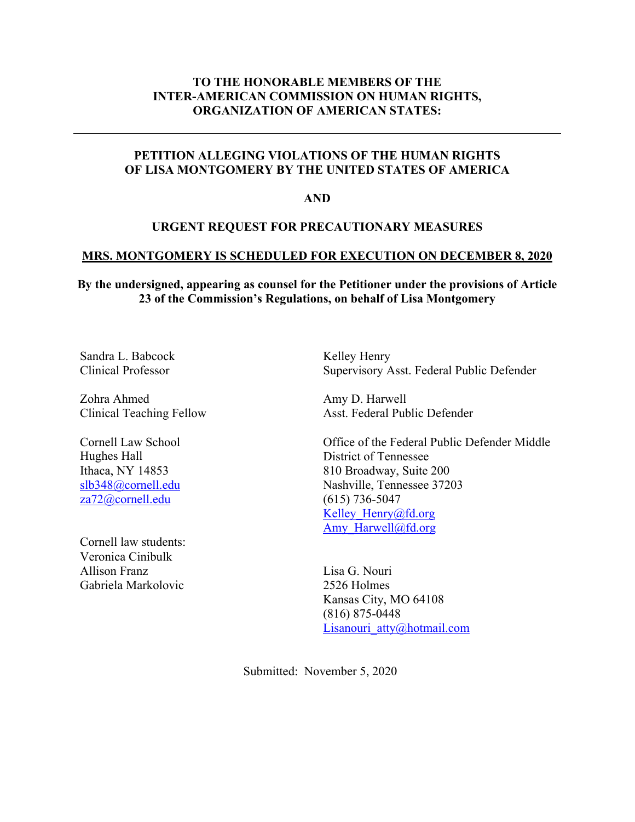# **TO THE HONORABLE MEMBERS OF THE INTER-AMERICAN COMMISSION ON HUMAN RIGHTS, ORGANIZATION OF AMERICAN STATES:**

# **PETITION ALLEGING VIOLATIONS OF THE HUMAN RIGHTS OF LISA MONTGOMERY BY THE UNITED STATES OF AMERICA**

**AND**

### **URGENT REQUEST FOR PRECAUTIONARY MEASURES**

#### **MRS. MONTGOMERY IS SCHEDULED FOR EXECUTION ON DECEMBER 8, 2020**

**By the undersigned, appearing as counsel for the Petitioner under the provisions of Article 23 of the Commission's Regulations, on behalf of Lisa Montgomery**

Sandra L. Babcock Clinical Professor

Zohra Ahmed Clinical Teaching Fellow

Cornell Law School Hughes Hall Ithaca, NY 14853 slb348@cornell.edu za72@cornell.edu

Cornell law students: Veronica Cinibulk Allison Franz Gabriela Markolovic

Kelley Henry Supervisory Asst. Federal Public Defender

Amy D. Harwell Asst. Federal Public Defender

Office of the Federal Public Defender Middle District of Tennessee 810 Broadway, Suite 200 Nashville, Tennessee 37203 (615) 736-5047 Kelley Henry@fd.org Amy Harwell@fd.org

Lisa G. Nouri 2526 Holmes Kansas City, MO 64108 (816) 875-0448 Lisanouri atty@hotmail.com

Submitted: November 5, 2020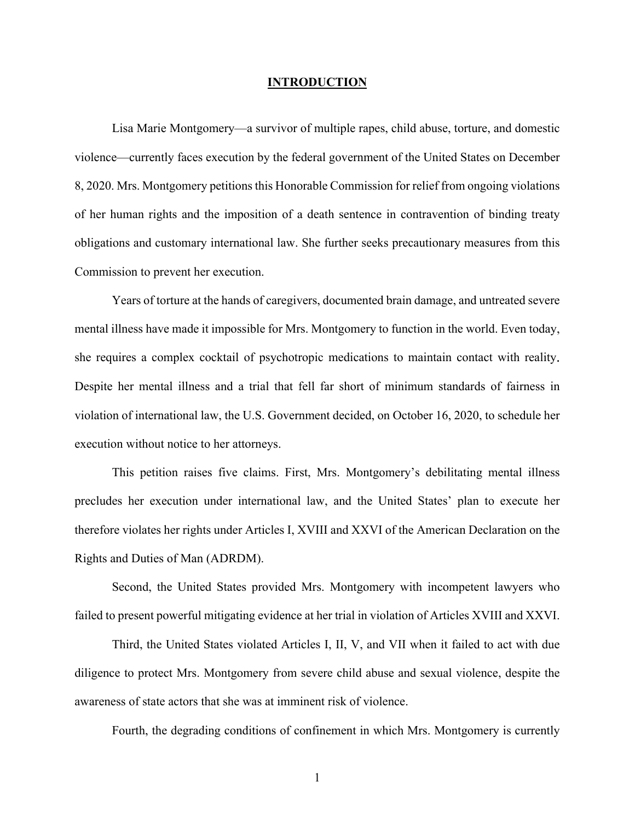#### **INTRODUCTION**

Lisa Marie Montgomery—a survivor of multiple rapes, child abuse, torture, and domestic violence—currently faces execution by the federal government of the United States on December 8, 2020. Mrs. Montgomery petitions this Honorable Commission for relief from ongoing violations of her human rights and the imposition of a death sentence in contravention of binding treaty obligations and customary international law. She further seeks precautionary measures from this Commission to prevent her execution.

Years of torture at the hands of caregivers, documented brain damage, and untreated severe mental illness have made it impossible for Mrs. Montgomery to function in the world. Even today, she requires a complex cocktail of psychotropic medications to maintain contact with reality. Despite her mental illness and a trial that fell far short of minimum standards of fairness in violation of international law, the U.S. Government decided, on October 16, 2020, to schedule her execution without notice to her attorneys.

This petition raises five claims. First, Mrs. Montgomery's debilitating mental illness precludes her execution under international law, and the United States' plan to execute her therefore violates her rights under Articles I, XVIII and XXVI of the American Declaration on the Rights and Duties of Man (ADRDM).

Second, the United States provided Mrs. Montgomery with incompetent lawyers who failed to present powerful mitigating evidence at her trial in violation of Articles XVIII and XXVI.

Third, the United States violated Articles I, II, V, and VII when it failed to act with due diligence to protect Mrs. Montgomery from severe child abuse and sexual violence, despite the awareness of state actors that she was at imminent risk of violence.

Fourth, the degrading conditions of confinement in which Mrs. Montgomery is currently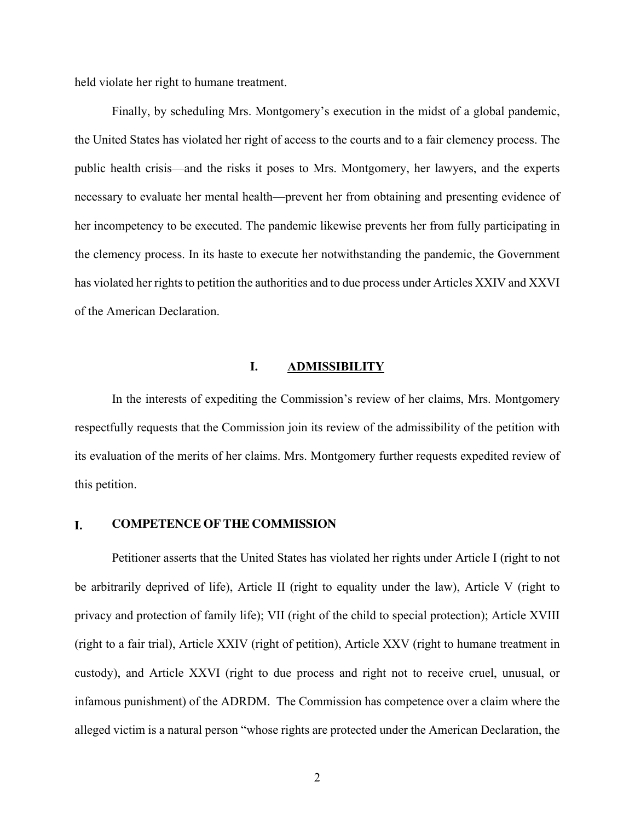held violate her right to humane treatment.

Finally, by scheduling Mrs. Montgomery's execution in the midst of a global pandemic, the United States has violated her right of access to the courts and to a fair clemency process. The public health crisis—and the risks it poses to Mrs. Montgomery, her lawyers, and the experts necessary to evaluate her mental health—prevent her from obtaining and presenting evidence of her incompetency to be executed. The pandemic likewise prevents her from fully participating in the clemency process. In its haste to execute her notwithstanding the pandemic, the Government has violated her rights to petition the authorities and to due process under Articles XXIV and XXVI of the American Declaration.

#### **I. ADMISSIBILITY**

In the interests of expediting the Commission's review of her claims, Mrs. Montgomery respectfully requests that the Commission join its review of the admissibility of the petition with its evaluation of the merits of her claims. Mrs. Montgomery further requests expedited review of this petition.

#### **I. COMPETENCE OF THE COMMISSION**

Petitioner asserts that the United States has violated her rights under Article I (right to not be arbitrarily deprived of life), Article II (right to equality under the law), Article V (right to privacy and protection of family life); VII (right of the child to special protection); Article XVIII (right to a fair trial), Article XXIV (right of petition), Article XXV (right to humane treatment in custody), and Article XXVI (right to due process and right not to receive cruel, unusual, or infamous punishment) of the ADRDM. The Commission has competence over a claim where the alleged victim is a natural person "whose rights are protected under the American Declaration, the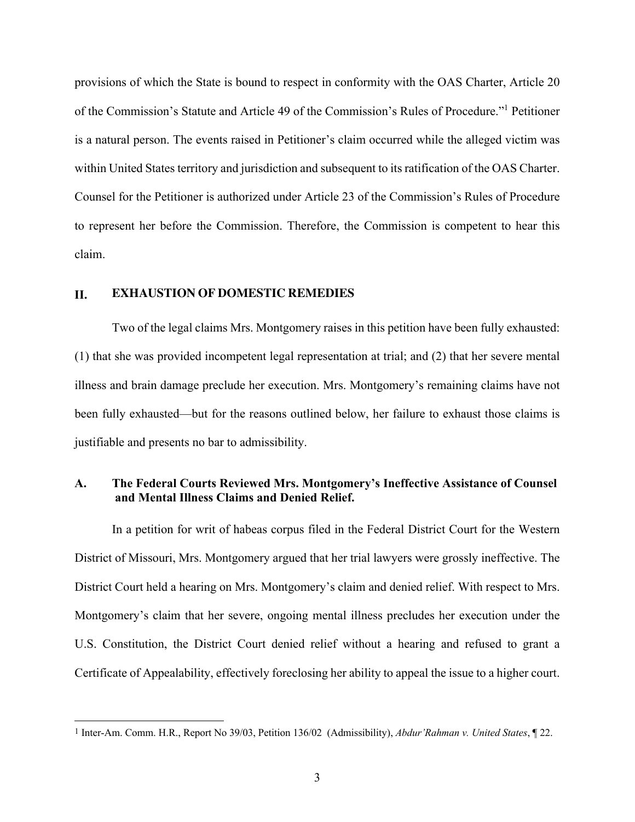provisions of which the State is bound to respect in conformity with the OAS Charter, Article 20 of the Commission's Statute and Article 49 of the Commission's Rules of Procedure."1 Petitioner is a natural person. The events raised in Petitioner's claim occurred while the alleged victim was within United States territory and jurisdiction and subsequent to its ratification of the OAS Charter. Counsel for the Petitioner is authorized under Article 23 of the Commission's Rules of Procedure to represent her before the Commission. Therefore, the Commission is competent to hear this claim.

#### **II. EXHAUSTION OF DOMESTIC REMEDIES**

Two of the legal claims Mrs. Montgomery raises in this petition have been fully exhausted: (1) that she was provided incompetent legal representation at trial; and (2) that her severe mental illness and brain damage preclude her execution. Mrs. Montgomery's remaining claims have not been fully exhausted—but for the reasons outlined below, her failure to exhaust those claims is justifiable and presents no bar to admissibility.

## **A. The Federal Courts Reviewed Mrs. Montgomery's Ineffective Assistance of Counsel and Mental Illness Claims and Denied Relief.**

In a petition for writ of habeas corpus filed in the Federal District Court for the Western District of Missouri, Mrs. Montgomery argued that her trial lawyers were grossly ineffective. The District Court held a hearing on Mrs. Montgomery's claim and denied relief. With respect to Mrs. Montgomery's claim that her severe, ongoing mental illness precludes her execution under the U.S. Constitution, the District Court denied relief without a hearing and refused to grant a Certificate of Appealability, effectively foreclosing her ability to appeal the issue to a higher court.

<sup>1</sup> Inter-Am. Comm. H.R., Report No 39/03, Petition 136/02 (Admissibility), *Abdur'Rahman v. United States*, ¶ 22.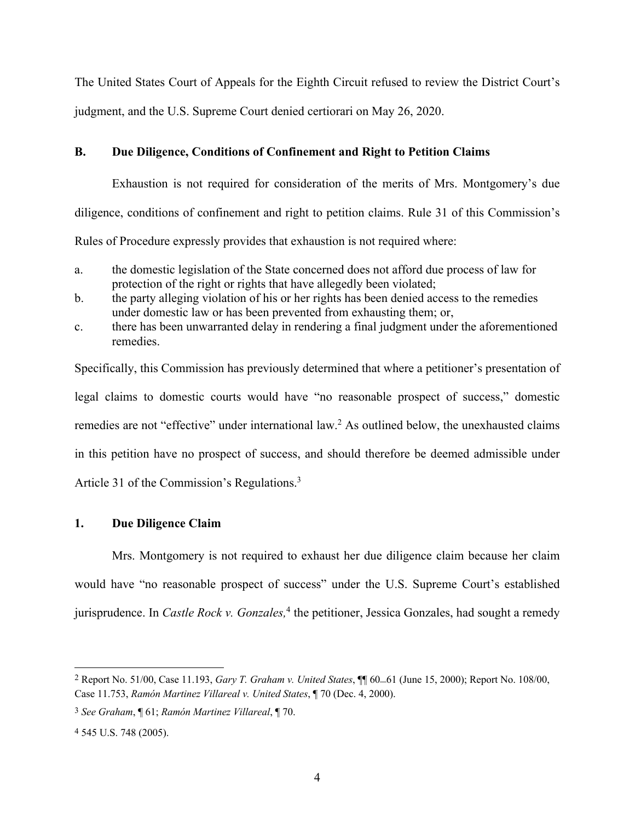The United States Court of Appeals for the Eighth Circuit refused to review the District Court's judgment, and the U.S. Supreme Court denied certiorari on May 26, 2020.

## **B. Due Diligence, Conditions of Confinement and Right to Petition Claims**

Exhaustion is not required for consideration of the merits of Mrs. Montgomery's due diligence, conditions of confinement and right to petition claims. Rule 31 of this Commission's Rules of Procedure expressly provides that exhaustion is not required where:

- a. the domestic legislation of the State concerned does not afford due process of law for protection of the right or rights that have allegedly been violated;
- b. the party alleging violation of his or her rights has been denied access to the remedies under domestic law or has been prevented from exhausting them; or,
- c. there has been unwarranted delay in rendering a final judgment under the aforementioned remedies.

Specifically, this Commission has previously determined that where a petitioner's presentation of legal claims to domestic courts would have "no reasonable prospect of success," domestic remedies are not "effective" under international law.<sup>2</sup> As outlined below, the unexhausted claims in this petition have no prospect of success, and should therefore be deemed admissible under Article 31 of the Commission's Regulations.<sup>3</sup>

# **1. Due Diligence Claim**

Mrs. Montgomery is not required to exhaust her due diligence claim because her claim would have "no reasonable prospect of success" under the U.S. Supreme Court's established jurisprudence. In *Castle Rock v. Gonzales*,<sup>4</sup> the petitioner, Jessica Gonzales, had sought a remedy

<sup>2</sup> Report No. 51/00, Case 11.193, *Gary T. Graham v. United States*, ¶¶ 60–61 (June 15, 2000); Report No. 108/00, Case 11.753, *Ramón Martinez Villareal v. United States*, ¶ 70 (Dec. 4, 2000).

<sup>3</sup> *See Graham*, ¶ 61; *Ramón Martinez Villareal*, ¶ 70.

<sup>4</sup> 545 U.S. 748 (2005).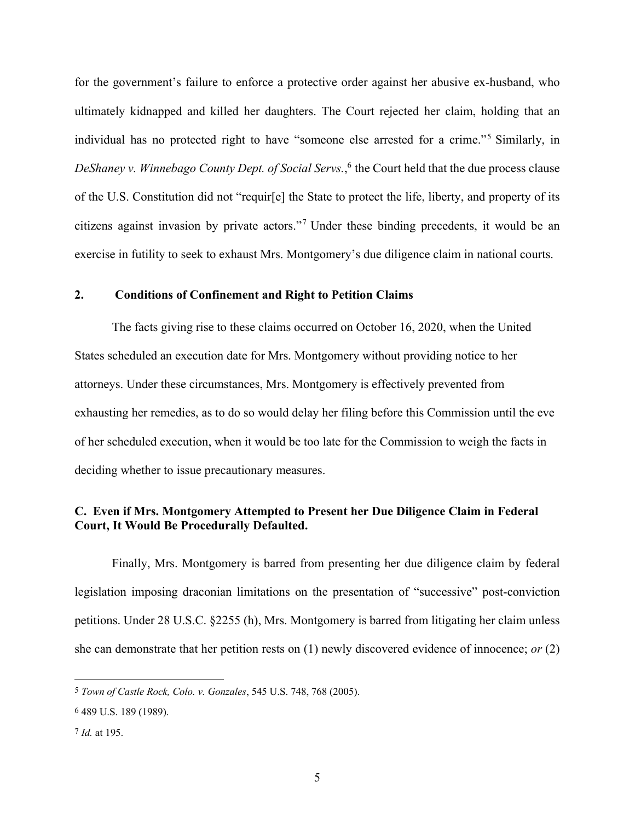for the government's failure to enforce a protective order against her abusive ex-husband, who ultimately kidnapped and killed her daughters. The Court rejected her claim, holding that an individual has no protected right to have "someone else arrested for a crime."5 Similarly, in *DeShaney v. Winnebago County Dept. of Social Servs.*, <sup>6</sup> the Court held that the due process clause of the U.S. Constitution did not "requir[e] the State to protect the life, liberty, and property of its citizens against invasion by private actors."7 Under these binding precedents, it would be an exercise in futility to seek to exhaust Mrs. Montgomery's due diligence claim in national courts.

#### **2. Conditions of Confinement and Right to Petition Claims**

The facts giving rise to these claims occurred on October 16, 2020, when the United States scheduled an execution date for Mrs. Montgomery without providing notice to her attorneys. Under these circumstances, Mrs. Montgomery is effectively prevented from exhausting her remedies, as to do so would delay her filing before this Commission until the eve of her scheduled execution, when it would be too late for the Commission to weigh the facts in deciding whether to issue precautionary measures.

## **C. Even if Mrs. Montgomery Attempted to Present her Due Diligence Claim in Federal Court, It Would Be Procedurally Defaulted.**

Finally, Mrs. Montgomery is barred from presenting her due diligence claim by federal legislation imposing draconian limitations on the presentation of "successive" post-conviction petitions. Under 28 U.S.C. §2255 (h), Mrs. Montgomery is barred from litigating her claim unless she can demonstrate that her petition rests on (1) newly discovered evidence of innocence; *or* (2)

<sup>5</sup> *Town of Castle Rock, Colo. v. Gonzales*, 545 U.S. 748, 768 (2005).

<sup>6</sup> 489 U.S. 189 (1989).

<sup>7</sup> *Id.* at 195.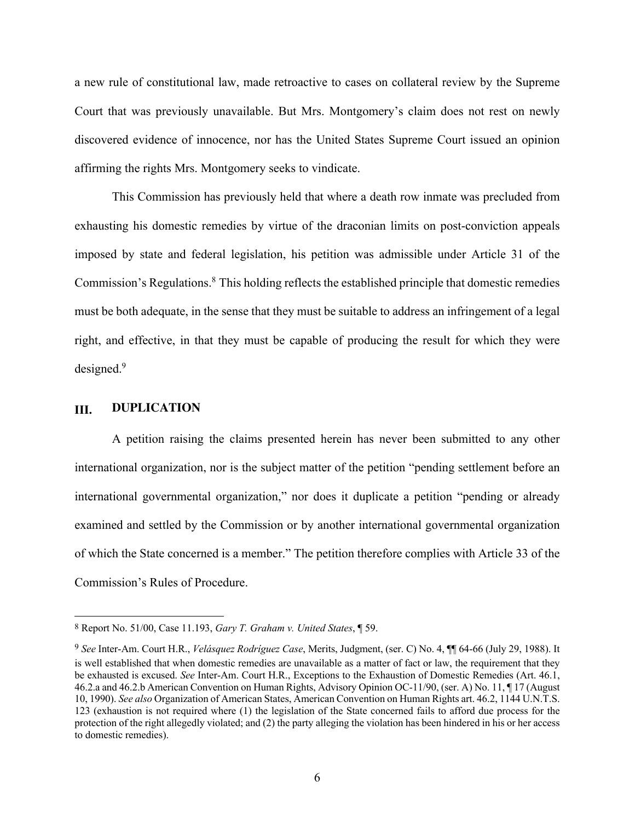a new rule of constitutional law, made retroactive to cases on collateral review by the Supreme Court that was previously unavailable. But Mrs. Montgomery's claim does not rest on newly discovered evidence of innocence, nor has the United States Supreme Court issued an opinion affirming the rights Mrs. Montgomery seeks to vindicate.

This Commission has previously held that where a death row inmate was precluded from exhausting his domestic remedies by virtue of the draconian limits on post-conviction appeals imposed by state and federal legislation, his petition was admissible under Article 31 of the Commission's Regulations.8 This holding reflects the established principle that domestic remedies must be both adequate, in the sense that they must be suitable to address an infringement of a legal right, and effective, in that they must be capable of producing the result for which they were designed.<sup>9</sup>

### **III. DUPLICATION**

A petition raising the claims presented herein has never been submitted to any other international organization, nor is the subject matter of the petition "pending settlement before an international governmental organization," nor does it duplicate a petition "pending or already examined and settled by the Commission or by another international governmental organization of which the State concerned is a member." The petition therefore complies with Article 33 of the Commission's Rules of Procedure.

<sup>8</sup> Report No. 51/00, Case 11.193, *Gary T. Graham v. United States*, ¶ 59.

<sup>9</sup> *See* Inter-Am. Court H.R., *Velásquez Rodríguez Case*, Merits, Judgment, (ser. C) No. 4, ¶¶ 64-66 (July 29, 1988). It is well established that when domestic remedies are unavailable as a matter of fact or law, the requirement that they be exhausted is excused. *See* Inter-Am. Court H.R., Exceptions to the Exhaustion of Domestic Remedies (Art. 46.1, 46.2.a and 46.2.b American Convention on Human Rights, Advisory Opinion OC-11/90, (ser. A) No. 11, ¶ 17 (August 10, 1990). *See also* Organization of American States, American Convention on Human Rights art. 46.2, 1144 U.N.T.S. 123 (exhaustion is not required where (1) the legislation of the State concerned fails to afford due process for the protection of the right allegedly violated; and (2) the party alleging the violation has been hindered in his or her access to domestic remedies).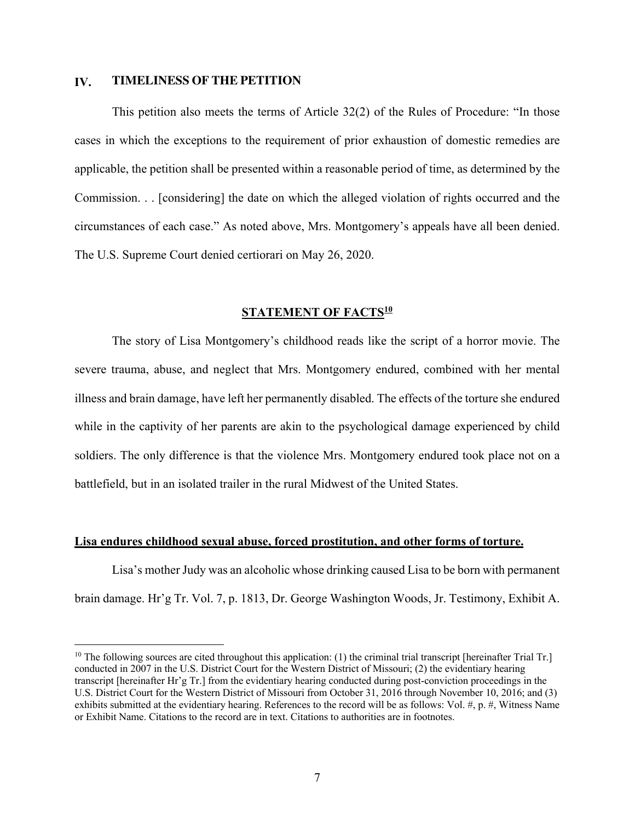#### **IV. TIMELINESS OF THE PETITION**

This petition also meets the terms of Article 32(2) of the Rules of Procedure: "In those cases in which the exceptions to the requirement of prior exhaustion of domestic remedies are applicable, the petition shall be presented within a reasonable period of time, as determined by the Commission. . . [considering] the date on which the alleged violation of rights occurred and the circumstances of each case." As noted above, Mrs. Montgomery's appeals have all been denied. The U.S. Supreme Court denied certiorari on May 26, 2020.

### **STATEMENT OF FACTS<sup>10</sup>**

The story of Lisa Montgomery's childhood reads like the script of a horror movie. The severe trauma, abuse, and neglect that Mrs. Montgomery endured, combined with her mental illness and brain damage, have left her permanently disabled. The effects of the torture she endured while in the captivity of her parents are akin to the psychological damage experienced by child soldiers. The only difference is that the violence Mrs. Montgomery endured took place not on a battlefield, but in an isolated trailer in the rural Midwest of the United States.

#### **Lisa endures childhood sexual abuse, forced prostitution, and other forms of torture.**

Lisa's mother Judy was an alcoholic whose drinking caused Lisa to be born with permanent brain damage. Hr'g Tr. Vol. 7, p. 1813, Dr. George Washington Woods, Jr. Testimony, Exhibit A.

<sup>&</sup>lt;sup>10</sup> The following sources are cited throughout this application: (1) the criminal trial transcript [hereinafter Trial Tr.] conducted in 2007 in the U.S. District Court for the Western District of Missouri; (2) the evidentiary hearing transcript [hereinafter Hr'g Tr.] from the evidentiary hearing conducted during post-conviction proceedings in the U.S. District Court for the Western District of Missouri from October 31, 2016 through November 10, 2016; and (3) exhibits submitted at the evidentiary hearing. References to the record will be as follows: Vol. #, p. #, Witness Name or Exhibit Name. Citations to the record are in text. Citations to authorities are in footnotes.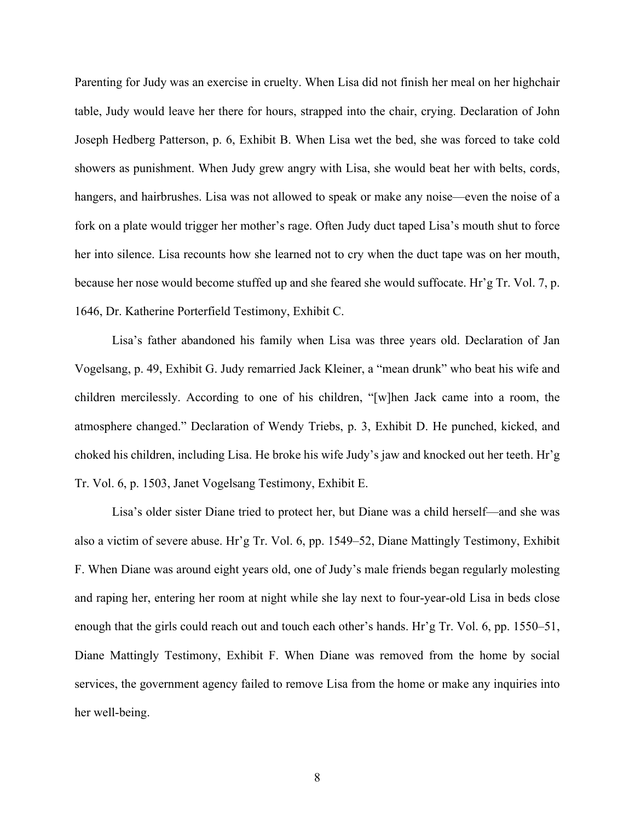Parenting for Judy was an exercise in cruelty. When Lisa did not finish her meal on her highchair table, Judy would leave her there for hours, strapped into the chair, crying. Declaration of John Joseph Hedberg Patterson, p. 6, Exhibit B. When Lisa wet the bed, she was forced to take cold showers as punishment. When Judy grew angry with Lisa, she would beat her with belts, cords, hangers, and hairbrushes. Lisa was not allowed to speak or make any noise—even the noise of a fork on a plate would trigger her mother's rage. Often Judy duct taped Lisa's mouth shut to force her into silence. Lisa recounts how she learned not to cry when the duct tape was on her mouth, because her nose would become stuffed up and she feared she would suffocate. Hr'g Tr. Vol. 7, p. 1646, Dr. Katherine Porterfield Testimony, Exhibit C.

Lisa's father abandoned his family when Lisa was three years old. Declaration of Jan Vogelsang, p. 49, Exhibit G. Judy remarried Jack Kleiner, a "mean drunk" who beat his wife and children mercilessly. According to one of his children, "[w]hen Jack came into a room, the atmosphere changed." Declaration of Wendy Triebs, p. 3, Exhibit D. He punched, kicked, and choked his children, including Lisa. He broke his wife Judy's jaw and knocked out her teeth. Hr'g Tr. Vol. 6, p. 1503, Janet Vogelsang Testimony, Exhibit E.

Lisa's older sister Diane tried to protect her, but Diane was a child herself—and she was also a victim of severe abuse. Hr'g Tr. Vol. 6, pp. 1549–52, Diane Mattingly Testimony, Exhibit F. When Diane was around eight years old, one of Judy's male friends began regularly molesting and raping her, entering her room at night while she lay next to four-year-old Lisa in beds close enough that the girls could reach out and touch each other's hands. Hr'g Tr. Vol. 6, pp. 1550–51, Diane Mattingly Testimony, Exhibit F. When Diane was removed from the home by social services, the government agency failed to remove Lisa from the home or make any inquiries into her well-being.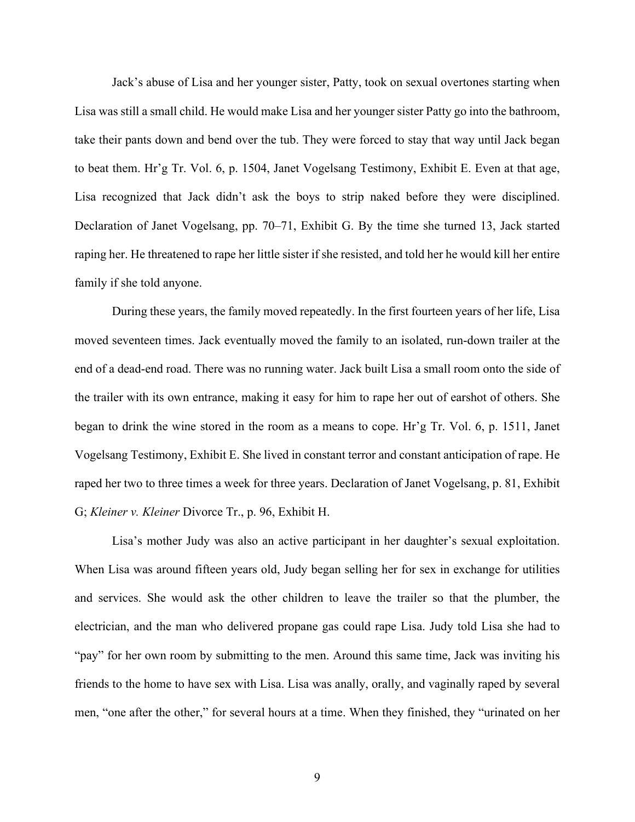Jack's abuse of Lisa and her younger sister, Patty, took on sexual overtones starting when Lisa was still a small child. He would make Lisa and her younger sister Patty go into the bathroom, take their pants down and bend over the tub. They were forced to stay that way until Jack began to beat them. Hr'g Tr. Vol. 6, p. 1504, Janet Vogelsang Testimony, Exhibit E. Even at that age, Lisa recognized that Jack didn't ask the boys to strip naked before they were disciplined. Declaration of Janet Vogelsang, pp. 70–71, Exhibit G. By the time she turned 13, Jack started raping her. He threatened to rape her little sister if she resisted, and told her he would kill her entire family if she told anyone.

During these years, the family moved repeatedly. In the first fourteen years of her life, Lisa moved seventeen times. Jack eventually moved the family to an isolated, run-down trailer at the end of a dead-end road. There was no running water. Jack built Lisa a small room onto the side of the trailer with its own entrance, making it easy for him to rape her out of earshot of others. She began to drink the wine stored in the room as a means to cope. Hr'g Tr. Vol. 6, p. 1511, Janet Vogelsang Testimony, Exhibit E. She lived in constant terror and constant anticipation of rape. He raped her two to three times a week for three years. Declaration of Janet Vogelsang, p. 81, Exhibit G; *Kleiner v. Kleiner* Divorce Tr., p. 96, Exhibit H.

Lisa's mother Judy was also an active participant in her daughter's sexual exploitation. When Lisa was around fifteen years old, Judy began selling her for sex in exchange for utilities and services. She would ask the other children to leave the trailer so that the plumber, the electrician, and the man who delivered propane gas could rape Lisa. Judy told Lisa she had to "pay" for her own room by submitting to the men. Around this same time, Jack was inviting his friends to the home to have sex with Lisa. Lisa was anally, orally, and vaginally raped by several men, "one after the other," for several hours at a time. When they finished, they "urinated on her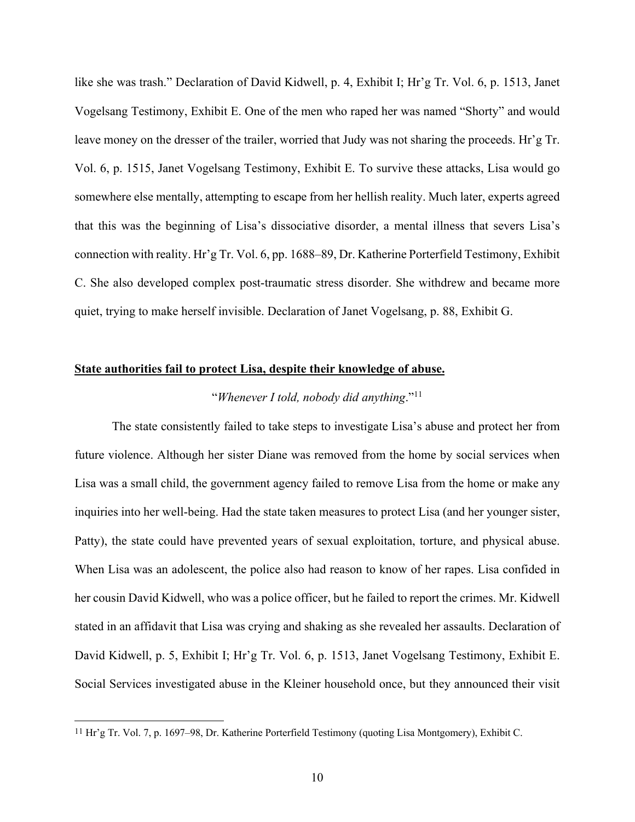like she was trash." Declaration of David Kidwell, p. 4, Exhibit I; Hr'g Tr. Vol. 6, p. 1513, Janet Vogelsang Testimony, Exhibit E. One of the men who raped her was named "Shorty" and would leave money on the dresser of the trailer, worried that Judy was not sharing the proceeds. Hr'g Tr. Vol. 6, p. 1515, Janet Vogelsang Testimony, Exhibit E. To survive these attacks, Lisa would go somewhere else mentally, attempting to escape from her hellish reality. Much later, experts agreed that this was the beginning of Lisa's dissociative disorder, a mental illness that severs Lisa's connection with reality. Hr'g Tr. Vol. 6, pp. 1688–89, Dr. Katherine Porterfield Testimony, Exhibit C. She also developed complex post-traumatic stress disorder. She withdrew and became more quiet, trying to make herself invisible. Declaration of Janet Vogelsang, p. 88, Exhibit G.

#### **State authorities fail to protect Lisa, despite their knowledge of abuse.**

### "*Whenever I told, nobody did anything*."11

The state consistently failed to take steps to investigate Lisa's abuse and protect her from future violence. Although her sister Diane was removed from the home by social services when Lisa was a small child, the government agency failed to remove Lisa from the home or make any inquiries into her well-being. Had the state taken measures to protect Lisa (and her younger sister, Patty), the state could have prevented years of sexual exploitation, torture, and physical abuse. When Lisa was an adolescent, the police also had reason to know of her rapes. Lisa confided in her cousin David Kidwell, who was a police officer, but he failed to report the crimes. Mr. Kidwell stated in an affidavit that Lisa was crying and shaking as she revealed her assaults. Declaration of David Kidwell, p. 5, Exhibit I; Hr'g Tr. Vol. 6, p. 1513, Janet Vogelsang Testimony, Exhibit E. Social Services investigated abuse in the Kleiner household once, but they announced their visit

<sup>11</sup> Hr'g Tr. Vol. 7, p. 1697–98, Dr. Katherine Porterfield Testimony (quoting Lisa Montgomery), Exhibit C.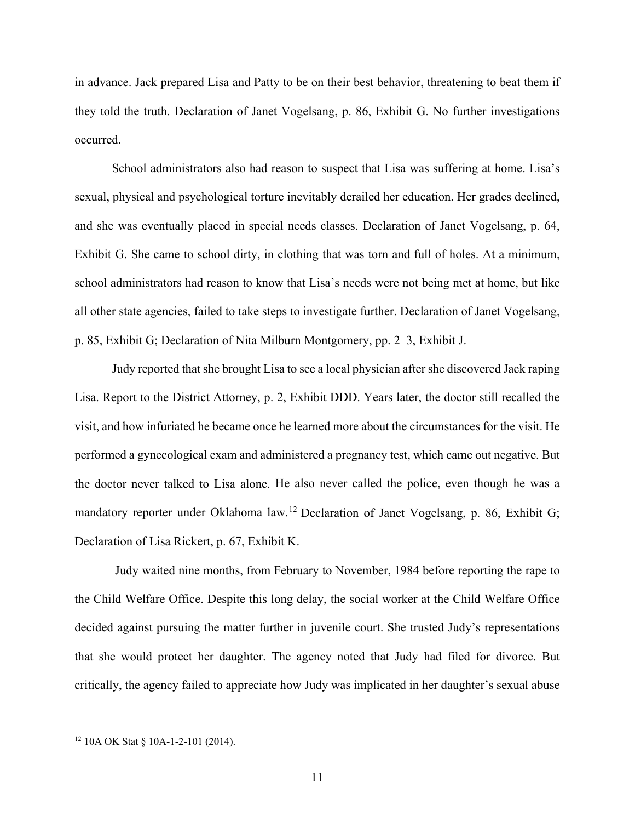in advance. Jack prepared Lisa and Patty to be on their best behavior, threatening to beat them if they told the truth. Declaration of Janet Vogelsang, p. 86, Exhibit G. No further investigations occurred.

School administrators also had reason to suspect that Lisa was suffering at home. Lisa's sexual, physical and psychological torture inevitably derailed her education. Her grades declined, and she was eventually placed in special needs classes. Declaration of Janet Vogelsang, p. 64, Exhibit G. She came to school dirty, in clothing that was torn and full of holes. At a minimum, school administrators had reason to know that Lisa's needs were not being met at home, but like all other state agencies, failed to take steps to investigate further. Declaration of Janet Vogelsang, p. 85, Exhibit G; Declaration of Nita Milburn Montgomery, pp. 2–3, Exhibit J.

Judy reported that she brought Lisa to see a local physician after she discovered Jack raping Lisa. Report to the District Attorney, p. 2, Exhibit DDD. Years later, the doctor still recalled the visit, and how infuriated he became once he learned more about the circumstances for the visit. He performed a gynecological exam and administered a pregnancy test, which came out negative. But the doctor never talked to Lisa alone. He also never called the police, even though he was a mandatory reporter under Oklahoma law.12 Declaration of Janet Vogelsang, p. 86, Exhibit G; Declaration of Lisa Rickert, p. 67, Exhibit K.

Judy waited nine months, from February to November, 1984 before reporting the rape to the Child Welfare Office. Despite this long delay, the social worker at the Child Welfare Office decided against pursuing the matter further in juvenile court. She trusted Judy's representations that she would protect her daughter. The agency noted that Judy had filed for divorce. But critically, the agency failed to appreciate how Judy was implicated in her daughter's sexual abuse

<sup>12</sup> 10A OK Stat § 10A-1-2-101 (2014).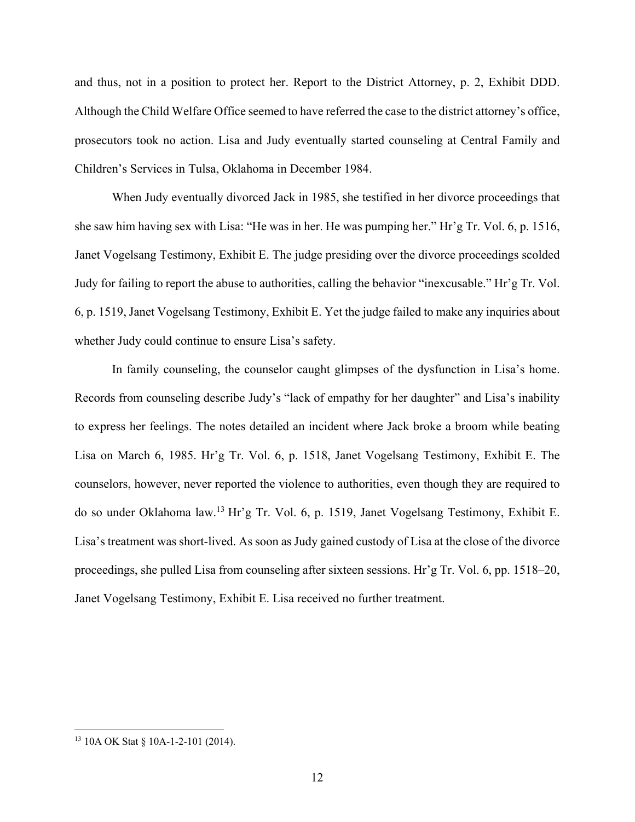and thus, not in a position to protect her. Report to the District Attorney, p. 2, Exhibit DDD. Although the Child Welfare Office seemed to have referred the case to the district attorney's office, prosecutors took no action. Lisa and Judy eventually started counseling at Central Family and Children's Services in Tulsa, Oklahoma in December 1984.

When Judy eventually divorced Jack in 1985, she testified in her divorce proceedings that she saw him having sex with Lisa: "He was in her. He was pumping her." Hr'g Tr. Vol. 6, p. 1516, Janet Vogelsang Testimony, Exhibit E. The judge presiding over the divorce proceedings scolded Judy for failing to report the abuse to authorities, calling the behavior "inexcusable." Hr'g Tr. Vol. 6, p. 1519, Janet Vogelsang Testimony, Exhibit E. Yet the judge failed to make any inquiries about whether Judy could continue to ensure Lisa's safety.

In family counseling, the counselor caught glimpses of the dysfunction in Lisa's home. Records from counseling describe Judy's "lack of empathy for her daughter" and Lisa's inability to express her feelings. The notes detailed an incident where Jack broke a broom while beating Lisa on March 6, 1985. Hr'g Tr. Vol. 6, p. 1518, Janet Vogelsang Testimony, Exhibit E. The counselors, however, never reported the violence to authorities, even though they are required to do so under Oklahoma law. <sup>13</sup> Hr'g Tr. Vol. 6, p. 1519, Janet Vogelsang Testimony, Exhibit E. Lisa's treatment was short-lived. As soon as Judy gained custody of Lisa at the close of the divorce proceedings, she pulled Lisa from counseling after sixteen sessions. Hr'g Tr. Vol. 6, pp. 1518–20, Janet Vogelsang Testimony, Exhibit E. Lisa received no further treatment.

<sup>&</sup>lt;sup>13</sup> 10A OK Stat § 10A-1-2-101 (2014).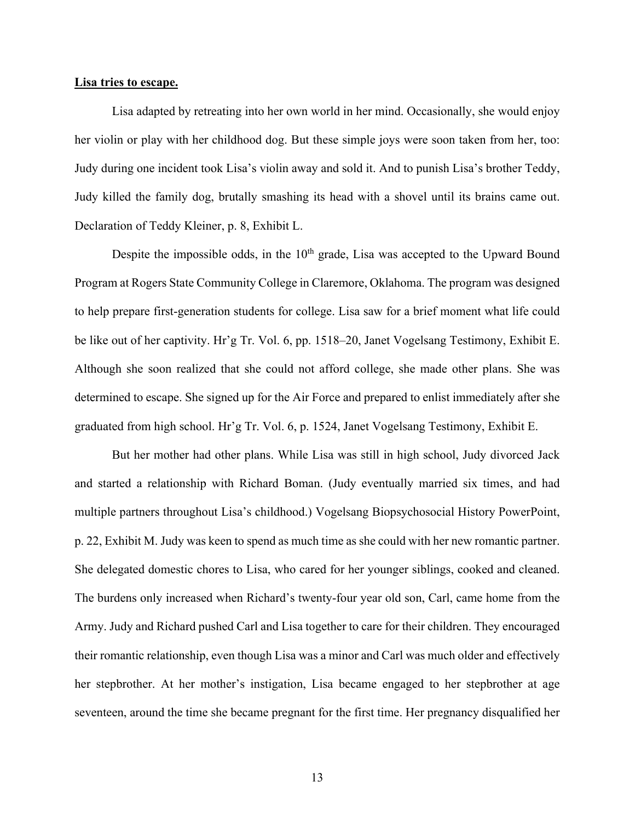#### **Lisa tries to escape.**

Lisa adapted by retreating into her own world in her mind. Occasionally, she would enjoy her violin or play with her childhood dog. But these simple joys were soon taken from her, too: Judy during one incident took Lisa's violin away and sold it. And to punish Lisa's brother Teddy, Judy killed the family dog, brutally smashing its head with a shovel until its brains came out. Declaration of Teddy Kleiner, p. 8, Exhibit L.

Despite the impossible odds, in the  $10<sup>th</sup>$  grade, Lisa was accepted to the Upward Bound Program at Rogers State Community College in Claremore, Oklahoma. The program was designed to help prepare first-generation students for college. Lisa saw for a brief moment what life could be like out of her captivity. Hr'g Tr. Vol. 6, pp. 1518–20, Janet Vogelsang Testimony, Exhibit E. Although she soon realized that she could not afford college, she made other plans. She was determined to escape. She signed up for the Air Force and prepared to enlist immediately after she graduated from high school. Hr'g Tr. Vol. 6, p. 1524, Janet Vogelsang Testimony, Exhibit E.

But her mother had other plans. While Lisa was still in high school, Judy divorced Jack and started a relationship with Richard Boman. (Judy eventually married six times, and had multiple partners throughout Lisa's childhood.) Vogelsang Biopsychosocial History PowerPoint, p. 22, Exhibit M. Judy was keen to spend as much time as she could with her new romantic partner. She delegated domestic chores to Lisa, who cared for her younger siblings, cooked and cleaned. The burdens only increased when Richard's twenty-four year old son, Carl, came home from the Army. Judy and Richard pushed Carl and Lisa together to care for their children. They encouraged their romantic relationship, even though Lisa was a minor and Carl was much older and effectively her stepbrother. At her mother's instigation, Lisa became engaged to her stepbrother at age seventeen, around the time she became pregnant for the first time. Her pregnancy disqualified her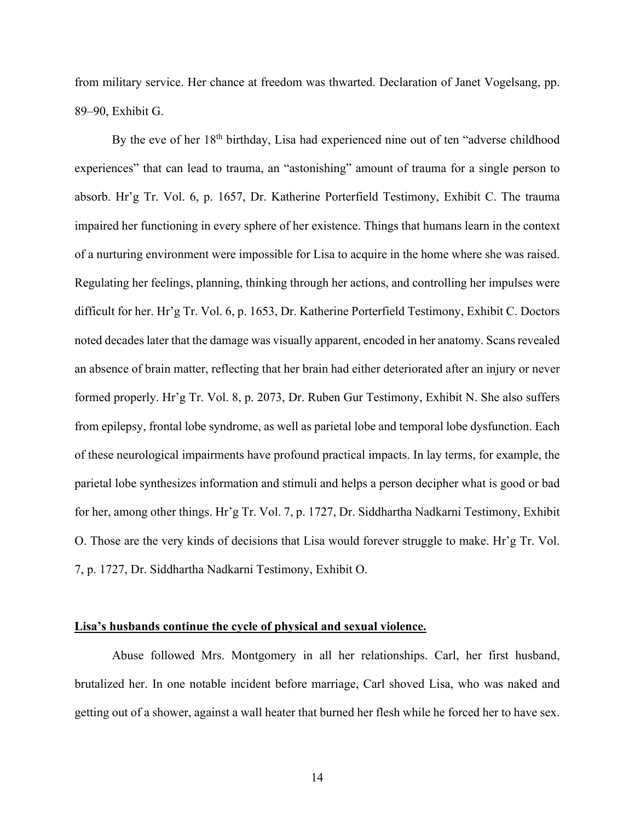from military service. Her chance at freedom was thwarted. Declaration of Janet Vogelsang, pp. 89–90, Exhibit G.

By the eve of her 18<sup>th</sup> birthday, Lisa had experienced nine out of ten "adverse childhood experiences" that can lead to trauma, an "astonishing" amount of trauma for a single person to absorb. Hr'g Tr. Vol. 6, p. 1657, Dr. Katherine Porterfield Testimony, Exhibit C. The trauma impaired her functioning in every sphere of her existence. Things that humans learn in the context of a nurturing environment were impossible for Lisa to acquire in the home where she was raised. Regulating her feelings, planning, thinking through her actions, and controlling her impulses were difficult for her. Hr'g Tr. Vol. 6, p. 1653, Dr. Katherine Porterfield Testimony, Exhibit C. Doctors noted decades later that the damage was visually apparent, encoded in her anatomy. Scans revealed an absence of brain matter, reflecting that her brain had either deteriorated after an injury or never formed properly. Hr'g Tr. Vol. 8, p. 2073, Dr. Ruben Gur Testimony, Exhibit N. She also suffers from epilepsy, frontal lobe syndrome, as well as parietal lobe and temporal lobe dysfunction. Each of these neurological impairments have profound practical impacts. In lay terms, for example, the parietal lobe synthesizes information and stimuli and helps a person decipher what is good or bad for her, among other things. Hr'g Tr. Vol. 7, p. 1727, Dr. Siddhartha Nadkarni Testimony, Exhibit O. Those are the very kinds of decisions that Lisa would forever struggle to make. Hr'g Tr. Vol. 7, p. 1727, Dr. Siddhartha Nadkarni Testimony, Exhibit O.

#### **Lisa's husbands continue the cycle of physical and sexual violence.**

Abuse followed Mrs. Montgomery in all her relationships. Carl, her first husband, brutalized her. In one notable incident before marriage, Carl shoved Lisa, who was naked and getting out of a shower, against a wall heater that burned her flesh while he forced her to have sex.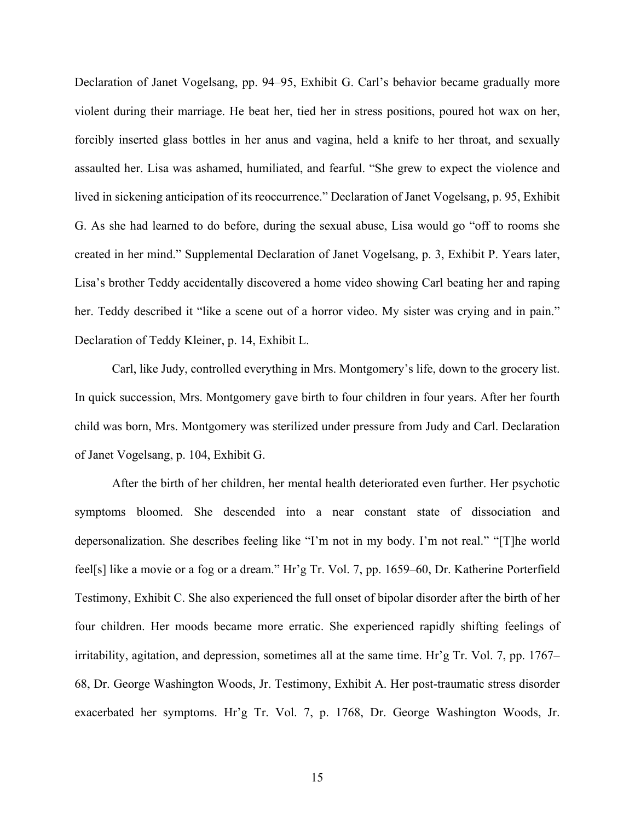Declaration of Janet Vogelsang, pp. 94–95, Exhibit G. Carl's behavior became gradually more violent during their marriage. He beat her, tied her in stress positions, poured hot wax on her, forcibly inserted glass bottles in her anus and vagina, held a knife to her throat, and sexually assaulted her. Lisa was ashamed, humiliated, and fearful. "She grew to expect the violence and lived in sickening anticipation of its reoccurrence." Declaration of Janet Vogelsang, p. 95, Exhibit G. As she had learned to do before, during the sexual abuse, Lisa would go "off to rooms she created in her mind." Supplemental Declaration of Janet Vogelsang, p. 3, Exhibit P. Years later, Lisa's brother Teddy accidentally discovered a home video showing Carl beating her and raping her. Teddy described it "like a scene out of a horror video. My sister was crying and in pain." Declaration of Teddy Kleiner, p. 14, Exhibit L.

Carl, like Judy, controlled everything in Mrs. Montgomery's life, down to the grocery list. In quick succession, Mrs. Montgomery gave birth to four children in four years. After her fourth child was born, Mrs. Montgomery was sterilized under pressure from Judy and Carl. Declaration of Janet Vogelsang, p. 104, Exhibit G.

After the birth of her children, her mental health deteriorated even further. Her psychotic symptoms bloomed. She descended into a near constant state of dissociation and depersonalization. She describes feeling like "I'm not in my body. I'm not real." "[T]he world feel[s] like a movie or a fog or a dream." Hr'g Tr. Vol. 7, pp. 1659–60, Dr. Katherine Porterfield Testimony, Exhibit C. She also experienced the full onset of bipolar disorder after the birth of her four children. Her moods became more erratic. She experienced rapidly shifting feelings of irritability, agitation, and depression, sometimes all at the same time. Hr'g Tr. Vol. 7, pp. 1767– 68, Dr. George Washington Woods, Jr. Testimony, Exhibit A. Her post-traumatic stress disorder exacerbated her symptoms. Hr'g Tr. Vol. 7, p. 1768, Dr. George Washington Woods, Jr.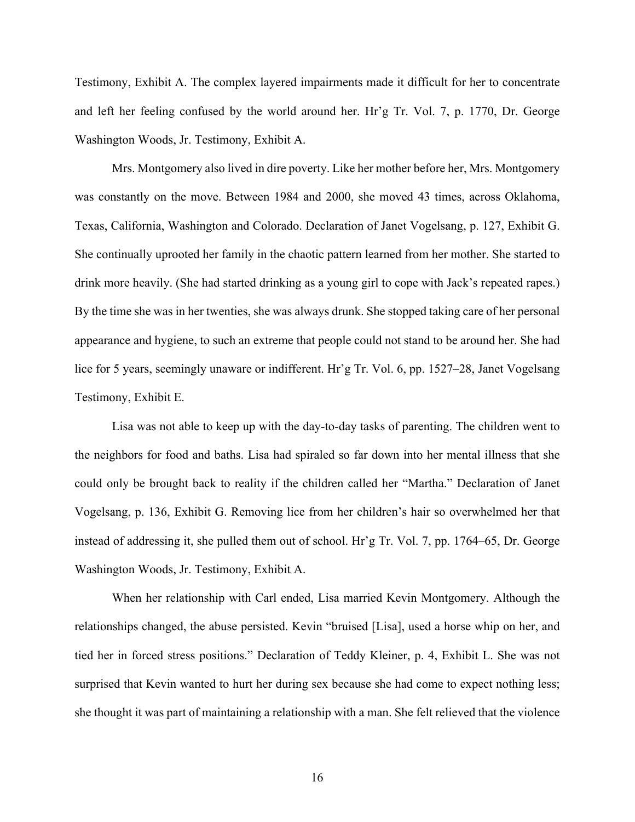Testimony, Exhibit A. The complex layered impairments made it difficult for her to concentrate and left her feeling confused by the world around her. Hr'g Tr. Vol. 7, p. 1770, Dr. George Washington Woods, Jr. Testimony, Exhibit A.

Mrs. Montgomery also lived in dire poverty. Like her mother before her, Mrs. Montgomery was constantly on the move. Between 1984 and 2000, she moved 43 times, across Oklahoma, Texas, California, Washington and Colorado. Declaration of Janet Vogelsang, p. 127, Exhibit G. She continually uprooted her family in the chaotic pattern learned from her mother. She started to drink more heavily. (She had started drinking as a young girl to cope with Jack's repeated rapes.) By the time she was in her twenties, she was always drunk. She stopped taking care of her personal appearance and hygiene, to such an extreme that people could not stand to be around her. She had lice for 5 years, seemingly unaware or indifferent. Hr'g Tr. Vol. 6, pp. 1527–28, Janet Vogelsang Testimony, Exhibit E.

Lisa was not able to keep up with the day-to-day tasks of parenting. The children went to the neighbors for food and baths. Lisa had spiraled so far down into her mental illness that she could only be brought back to reality if the children called her "Martha." Declaration of Janet Vogelsang, p. 136, Exhibit G. Removing lice from her children's hair so overwhelmed her that instead of addressing it, she pulled them out of school. Hr'g Tr. Vol. 7, pp. 1764–65, Dr. George Washington Woods, Jr. Testimony, Exhibit A.

When her relationship with Carl ended, Lisa married Kevin Montgomery. Although the relationships changed, the abuse persisted. Kevin "bruised [Lisa], used a horse whip on her, and tied her in forced stress positions." Declaration of Teddy Kleiner, p. 4, Exhibit L. She was not surprised that Kevin wanted to hurt her during sex because she had come to expect nothing less; she thought it was part of maintaining a relationship with a man. She felt relieved that the violence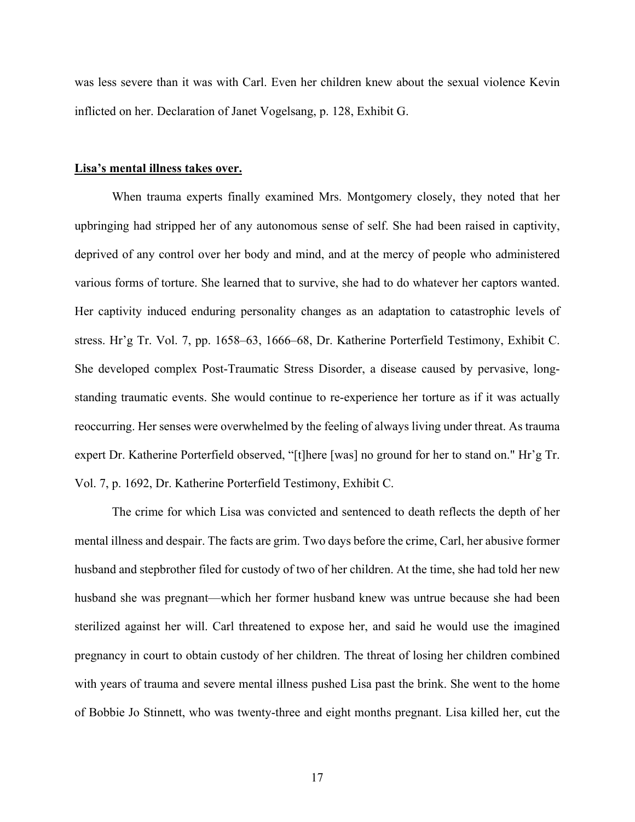was less severe than it was with Carl. Even her children knew about the sexual violence Kevin inflicted on her. Declaration of Janet Vogelsang, p. 128, Exhibit G.

### **Lisa's mental illness takes over.**

When trauma experts finally examined Mrs. Montgomery closely, they noted that her upbringing had stripped her of any autonomous sense of self. She had been raised in captivity, deprived of any control over her body and mind, and at the mercy of people who administered various forms of torture. She learned that to survive, she had to do whatever her captors wanted. Her captivity induced enduring personality changes as an adaptation to catastrophic levels of stress. Hr'g Tr. Vol. 7, pp. 1658–63, 1666–68, Dr. Katherine Porterfield Testimony, Exhibit C. She developed complex Post-Traumatic Stress Disorder, a disease caused by pervasive, longstanding traumatic events. She would continue to re-experience her torture as if it was actually reoccurring. Her senses were overwhelmed by the feeling of always living under threat. As trauma expert Dr. Katherine Porterfield observed, "[t]here [was] no ground for her to stand on." Hr'g Tr. Vol. 7, p. 1692, Dr. Katherine Porterfield Testimony, Exhibit C.

The crime for which Lisa was convicted and sentenced to death reflects the depth of her mental illness and despair. The facts are grim. Two days before the crime, Carl, her abusive former husband and stepbrother filed for custody of two of her children. At the time, she had told her new husband she was pregnant—which her former husband knew was untrue because she had been sterilized against her will. Carl threatened to expose her, and said he would use the imagined pregnancy in court to obtain custody of her children. The threat of losing her children combined with years of trauma and severe mental illness pushed Lisa past the brink. She went to the home of Bobbie Jo Stinnett, who was twenty-three and eight months pregnant. Lisa killed her, cut the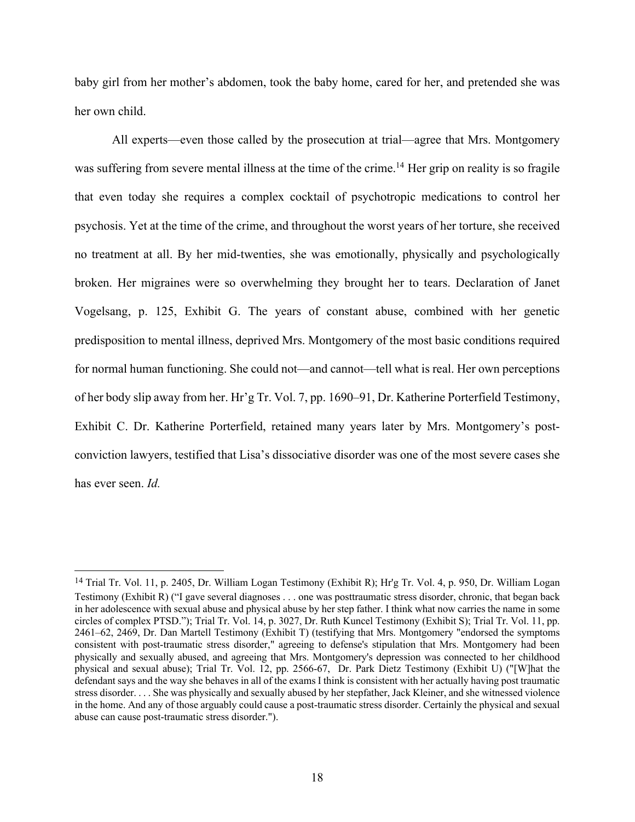baby girl from her mother's abdomen, took the baby home, cared for her, and pretended she was her own child.

All experts—even those called by the prosecution at trial—agree that Mrs. Montgomery was suffering from severe mental illness at the time of the crime.<sup>14</sup> Her grip on reality is so fragile that even today she requires a complex cocktail of psychotropic medications to control her psychosis. Yet at the time of the crime, and throughout the worst years of her torture, she received no treatment at all. By her mid-twenties, she was emotionally, physically and psychologically broken. Her migraines were so overwhelming they brought her to tears. Declaration of Janet Vogelsang, p. 125, Exhibit G. The years of constant abuse, combined with her genetic predisposition to mental illness, deprived Mrs. Montgomery of the most basic conditions required for normal human functioning. She could not—and cannot—tell what is real. Her own perceptions of her body slip away from her. Hr'g Tr. Vol. 7, pp. 1690–91, Dr. Katherine Porterfield Testimony, Exhibit C. Dr. Katherine Porterfield, retained many years later by Mrs. Montgomery's postconviction lawyers, testified that Lisa's dissociative disorder was one of the most severe cases she has ever seen. *Id.*

<sup>14</sup> Trial Tr. Vol. 11, p. 2405, Dr. William Logan Testimony (Exhibit R); Hr'g Tr. Vol. 4, p. 950, Dr. William Logan Testimony (Exhibit R) ("I gave several diagnoses . . . one was posttraumatic stress disorder, chronic, that began back in her adolescence with sexual abuse and physical abuse by her step father. I think what now carries the name in some circles of complex PTSD."); Trial Tr. Vol. 14, p. 3027, Dr. Ruth Kuncel Testimony (Exhibit S); Trial Tr. Vol. 11, pp. 2461–62, 2469, Dr. Dan Martell Testimony (Exhibit T) (testifying that Mrs. Montgomery "endorsed the symptoms consistent with post-traumatic stress disorder," agreeing to defense's stipulation that Mrs. Montgomery had been physically and sexually abused, and agreeing that Mrs. Montgomery's depression was connected to her childhood physical and sexual abuse); Trial Tr. Vol. 12, pp. 2566-67, Dr. Park Dietz Testimony (Exhibit U) ("[W]hat the defendant says and the way she behaves in all of the exams I think is consistent with her actually having post traumatic stress disorder. . . . She was physically and sexually abused by her stepfather, Jack Kleiner, and she witnessed violence in the home. And any of those arguably could cause a post-traumatic stress disorder. Certainly the physical and sexual abuse can cause post-traumatic stress disorder.").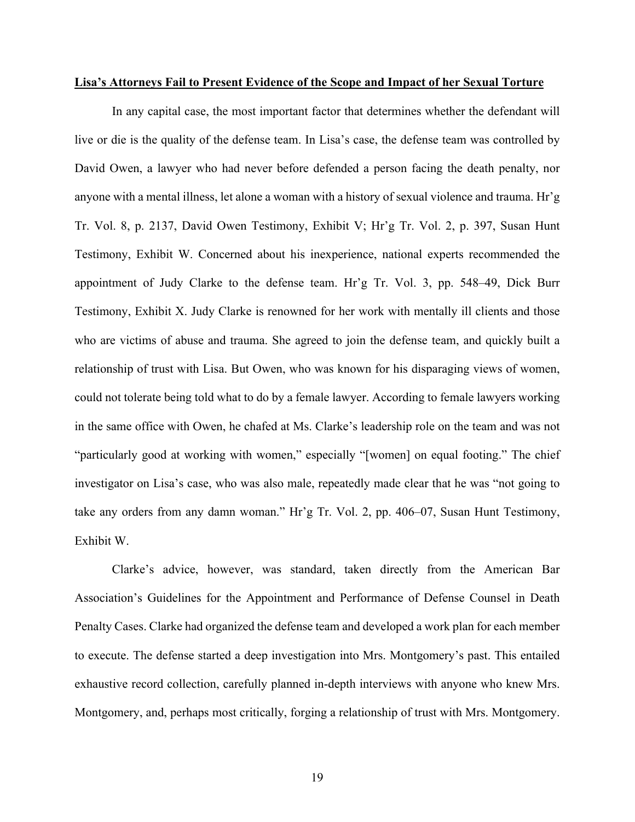### **Lisa's Attorneys Fail to Present Evidence of the Scope and Impact of her Sexual Torture**

In any capital case, the most important factor that determines whether the defendant will live or die is the quality of the defense team. In Lisa's case, the defense team was controlled by David Owen, a lawyer who had never before defended a person facing the death penalty, nor anyone with a mental illness, let alone a woman with a history of sexual violence and trauma. Hr'g Tr. Vol. 8, p. 2137, David Owen Testimony, Exhibit V; Hr'g Tr. Vol. 2, p. 397, Susan Hunt Testimony, Exhibit W. Concerned about his inexperience, national experts recommended the appointment of Judy Clarke to the defense team. Hr'g Tr. Vol. 3, pp. 548–49, Dick Burr Testimony, Exhibit X. Judy Clarke is renowned for her work with mentally ill clients and those who are victims of abuse and trauma. She agreed to join the defense team, and quickly built a relationship of trust with Lisa. But Owen, who was known for his disparaging views of women, could not tolerate being told what to do by a female lawyer. According to female lawyers working in the same office with Owen, he chafed at Ms. Clarke's leadership role on the team and was not "particularly good at working with women," especially "[women] on equal footing." The chief investigator on Lisa's case, who was also male, repeatedly made clear that he was "not going to take any orders from any damn woman." Hr'g Tr. Vol. 2, pp. 406–07, Susan Hunt Testimony, Exhibit W.

Clarke's advice, however, was standard, taken directly from the American Bar Association's Guidelines for the Appointment and Performance of Defense Counsel in Death Penalty Cases. Clarke had organized the defense team and developed a work plan for each member to execute. The defense started a deep investigation into Mrs. Montgomery's past. This entailed exhaustive record collection, carefully planned in-depth interviews with anyone who knew Mrs. Montgomery, and, perhaps most critically, forging a relationship of trust with Mrs. Montgomery.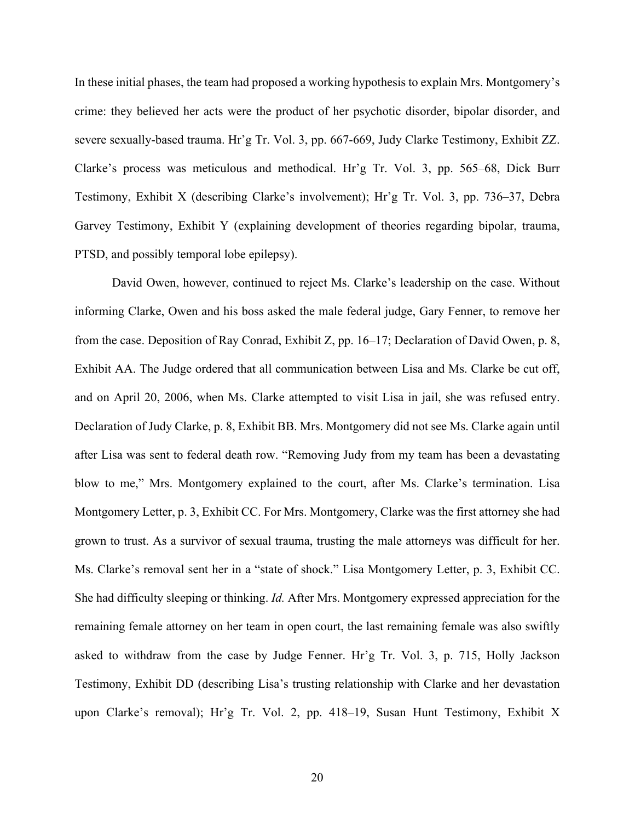In these initial phases, the team had proposed a working hypothesis to explain Mrs. Montgomery's crime: they believed her acts were the product of her psychotic disorder, bipolar disorder, and severe sexually-based trauma. Hr'g Tr. Vol. 3, pp. 667-669, Judy Clarke Testimony, Exhibit ZZ. Clarke's process was meticulous and methodical. Hr'g Tr. Vol. 3, pp. 565–68, Dick Burr Testimony, Exhibit X (describing Clarke's involvement); Hr'g Tr. Vol. 3, pp. 736–37, Debra Garvey Testimony, Exhibit Y (explaining development of theories regarding bipolar, trauma, PTSD, and possibly temporal lobe epilepsy).

David Owen, however, continued to reject Ms. Clarke's leadership on the case. Without informing Clarke, Owen and his boss asked the male federal judge, Gary Fenner, to remove her from the case. Deposition of Ray Conrad, Exhibit Z, pp. 16–17; Declaration of David Owen, p. 8, Exhibit AA. The Judge ordered that all communication between Lisa and Ms. Clarke be cut off, and on April 20, 2006, when Ms. Clarke attempted to visit Lisa in jail, she was refused entry. Declaration of Judy Clarke, p. 8, Exhibit BB. Mrs. Montgomery did not see Ms. Clarke again until after Lisa was sent to federal death row. "Removing Judy from my team has been a devastating blow to me," Mrs. Montgomery explained to the court, after Ms. Clarke's termination. Lisa Montgomery Letter, p. 3, Exhibit CC. For Mrs. Montgomery, Clarke was the first attorney she had grown to trust. As a survivor of sexual trauma, trusting the male attorneys was difficult for her. Ms. Clarke's removal sent her in a "state of shock." Lisa Montgomery Letter, p. 3, Exhibit CC. She had difficulty sleeping or thinking. *Id.* After Mrs. Montgomery expressed appreciation for the remaining female attorney on her team in open court, the last remaining female was also swiftly asked to withdraw from the case by Judge Fenner. Hr'g Tr. Vol. 3, p. 715, Holly Jackson Testimony, Exhibit DD (describing Lisa's trusting relationship with Clarke and her devastation upon Clarke's removal); Hr'g Tr. Vol. 2, pp. 418–19, Susan Hunt Testimony, Exhibit X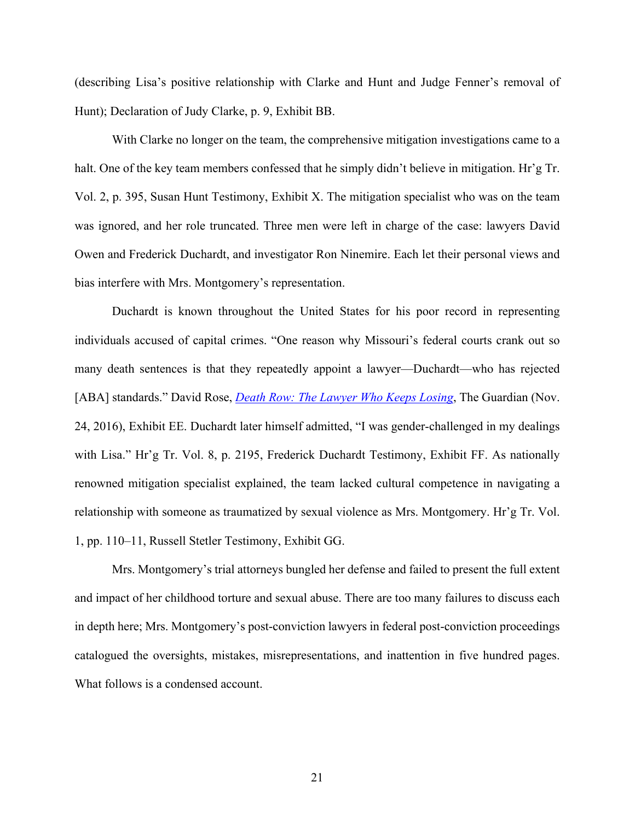(describing Lisa's positive relationship with Clarke and Hunt and Judge Fenner's removal of Hunt); Declaration of Judy Clarke, p. 9, Exhibit BB.

With Clarke no longer on the team, the comprehensive mitigation investigations came to a halt. One of the key team members confessed that he simply didn't believe in mitigation. Hr'g Tr. Vol. 2, p. 395, Susan Hunt Testimony, Exhibit X. The mitigation specialist who was on the team was ignored, and her role truncated. Three men were left in charge of the case: lawyers David Owen and Frederick Duchardt, and investigator Ron Ninemire. Each let their personal views and bias interfere with Mrs. Montgomery's representation.

Duchardt is known throughout the United States for his poor record in representing individuals accused of capital crimes. "One reason why Missouri's federal courts crank out so many death sentences is that they repeatedly appoint a lawyer—Duchardt—who has rejected [ABA] standards." David Rose, *Death Row: The Lawyer Who Keeps Losing*, The Guardian (Nov. 24, 2016), Exhibit EE. Duchardt later himself admitted, "I was gender-challenged in my dealings with Lisa." Hr'g Tr. Vol. 8, p. 2195, Frederick Duchardt Testimony, Exhibit FF. As nationally renowned mitigation specialist explained, the team lacked cultural competence in navigating a relationship with someone as traumatized by sexual violence as Mrs. Montgomery. Hr'g Tr. Vol. 1, pp. 110–11, Russell Stetler Testimony, Exhibit GG.

Mrs. Montgomery's trial attorneys bungled her defense and failed to present the full extent and impact of her childhood torture and sexual abuse. There are too many failures to discuss each in depth here; Mrs. Montgomery's post-conviction lawyers in federal post-conviction proceedings catalogued the oversights, mistakes, misrepresentations, and inattention in five hundred pages. What follows is a condensed account.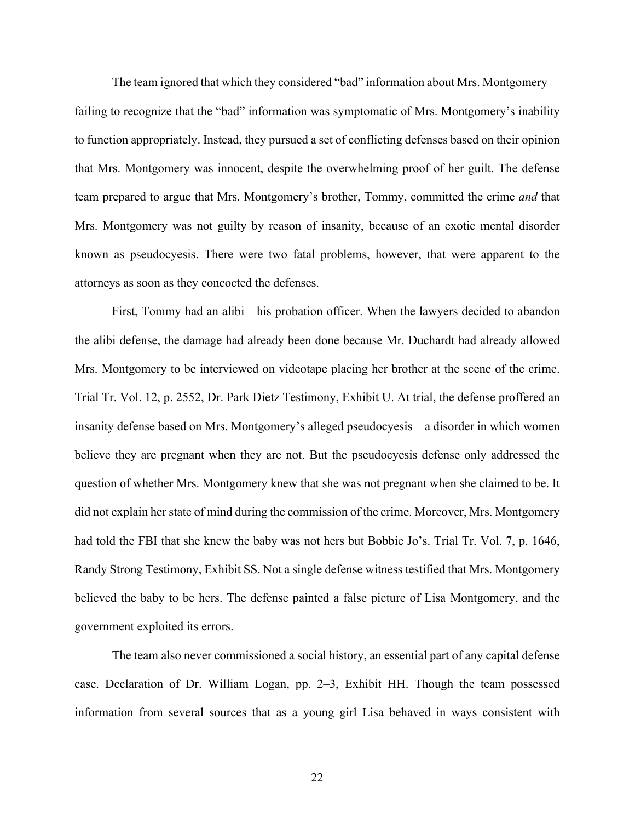The team ignored that which they considered "bad" information about Mrs. Montgomery failing to recognize that the "bad" information was symptomatic of Mrs. Montgomery's inability to function appropriately. Instead, they pursued a set of conflicting defenses based on their opinion that Mrs. Montgomery was innocent, despite the overwhelming proof of her guilt. The defense team prepared to argue that Mrs. Montgomery's brother, Tommy, committed the crime *and* that Mrs. Montgomery was not guilty by reason of insanity, because of an exotic mental disorder known as pseudocyesis. There were two fatal problems, however, that were apparent to the attorneys as soon as they concocted the defenses.

First, Tommy had an alibi—his probation officer. When the lawyers decided to abandon the alibi defense, the damage had already been done because Mr. Duchardt had already allowed Mrs. Montgomery to be interviewed on videotape placing her brother at the scene of the crime. Trial Tr. Vol. 12, p. 2552, Dr. Park Dietz Testimony, Exhibit U. At trial, the defense proffered an insanity defense based on Mrs. Montgomery's alleged pseudocyesis—a disorder in which women believe they are pregnant when they are not. But the pseudocyesis defense only addressed the question of whether Mrs. Montgomery knew that she was not pregnant when she claimed to be. It did not explain her state of mind during the commission of the crime. Moreover, Mrs. Montgomery had told the FBI that she knew the baby was not hers but Bobbie Jo's. Trial Tr. Vol. 7, p. 1646, Randy Strong Testimony, Exhibit SS. Not a single defense witness testified that Mrs. Montgomery believed the baby to be hers. The defense painted a false picture of Lisa Montgomery, and the government exploited its errors.

The team also never commissioned a social history, an essential part of any capital defense case. Declaration of Dr. William Logan, pp. 2–3, Exhibit HH. Though the team possessed information from several sources that as a young girl Lisa behaved in ways consistent with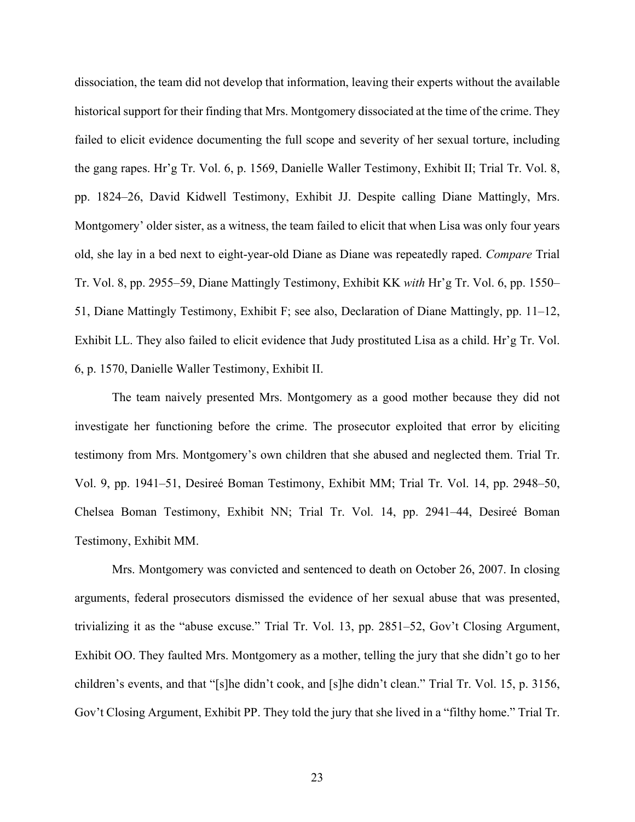dissociation, the team did not develop that information, leaving their experts without the available historical support for their finding that Mrs. Montgomery dissociated at the time of the crime. They failed to elicit evidence documenting the full scope and severity of her sexual torture, including the gang rapes. Hr'g Tr. Vol. 6, p. 1569, Danielle Waller Testimony, Exhibit II; Trial Tr. Vol. 8, pp. 1824–26, David Kidwell Testimony, Exhibit JJ. Despite calling Diane Mattingly, Mrs. Montgomery' older sister, as a witness, the team failed to elicit that when Lisa was only four years old, she lay in a bed next to eight-year-old Diane as Diane was repeatedly raped. *Compare* Trial Tr. Vol. 8, pp. 2955–59, Diane Mattingly Testimony, Exhibit KK *with* Hr'g Tr. Vol. 6, pp. 1550– 51, Diane Mattingly Testimony, Exhibit F; see also, Declaration of Diane Mattingly, pp. 11–12, Exhibit LL. They also failed to elicit evidence that Judy prostituted Lisa as a child. Hr'g Tr. Vol. 6, p. 1570, Danielle Waller Testimony, Exhibit II.

The team naively presented Mrs. Montgomery as a good mother because they did not investigate her functioning before the crime. The prosecutor exploited that error by eliciting testimony from Mrs. Montgomery's own children that she abused and neglected them. Trial Tr. Vol. 9, pp. 1941–51, Desireé Boman Testimony, Exhibit MM; Trial Tr. Vol. 14, pp. 2948–50, Chelsea Boman Testimony, Exhibit NN; Trial Tr. Vol. 14, pp. 2941–44, Desireé Boman Testimony, Exhibit MM.

Mrs. Montgomery was convicted and sentenced to death on October 26, 2007. In closing arguments, federal prosecutors dismissed the evidence of her sexual abuse that was presented, trivializing it as the "abuse excuse." Trial Tr. Vol. 13, pp. 2851–52, Gov't Closing Argument, Exhibit OO. They faulted Mrs. Montgomery as a mother, telling the jury that she didn't go to her children's events, and that "[s]he didn't cook, and [s]he didn't clean." Trial Tr. Vol. 15, p. 3156, Gov't Closing Argument, Exhibit PP. They told the jury that she lived in a "filthy home." Trial Tr.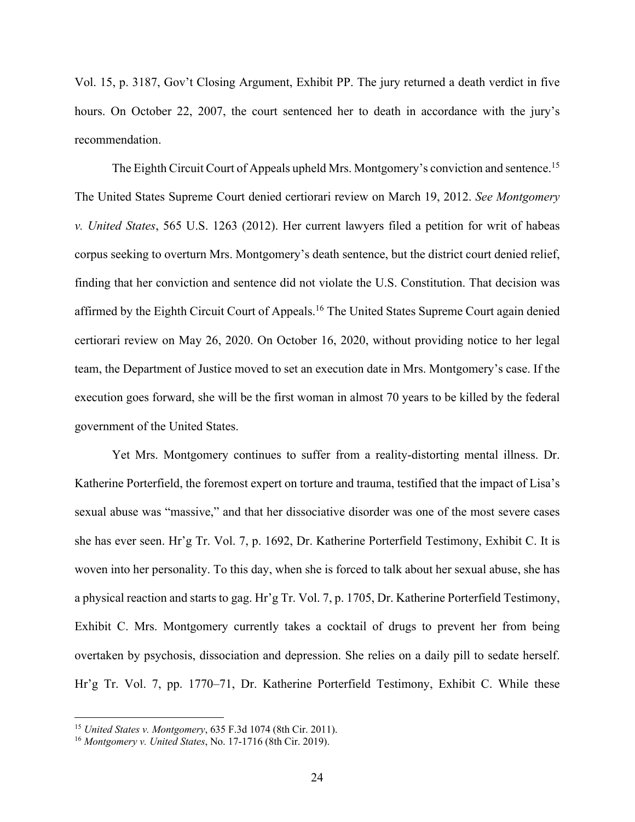Vol. 15, p. 3187, Gov't Closing Argument, Exhibit PP. The jury returned a death verdict in five hours. On October 22, 2007, the court sentenced her to death in accordance with the jury's recommendation.

The Eighth Circuit Court of Appeals upheld Mrs. Montgomery's conviction and sentence.<sup>15</sup> The United States Supreme Court denied certiorari review on March 19, 2012. *See Montgomery v. United States*, 565 U.S. 1263 (2012). Her current lawyers filed a petition for writ of habeas corpus seeking to overturn Mrs. Montgomery's death sentence, but the district court denied relief, finding that her conviction and sentence did not violate the U.S. Constitution. That decision was affirmed by the Eighth Circuit Court of Appeals.<sup>16</sup> The United States Supreme Court again denied certiorari review on May 26, 2020. On October 16, 2020, without providing notice to her legal team, the Department of Justice moved to set an execution date in Mrs. Montgomery's case. If the execution goes forward, she will be the first woman in almost 70 years to be killed by the federal government of the United States.

Yet Mrs. Montgomery continues to suffer from a reality-distorting mental illness. Dr. Katherine Porterfield, the foremost expert on torture and trauma, testified that the impact of Lisa's sexual abuse was "massive," and that her dissociative disorder was one of the most severe cases she has ever seen. Hr'g Tr. Vol. 7, p. 1692, Dr. Katherine Porterfield Testimony, Exhibit C. It is woven into her personality. To this day, when she is forced to talk about her sexual abuse, she has a physical reaction and starts to gag. Hr'g Tr. Vol. 7, p. 1705, Dr. Katherine Porterfield Testimony, Exhibit C. Mrs. Montgomery currently takes a cocktail of drugs to prevent her from being overtaken by psychosis, dissociation and depression. She relies on a daily pill to sedate herself. Hr'g Tr. Vol. 7, pp. 1770–71, Dr. Katherine Porterfield Testimony, Exhibit C. While these

<sup>15</sup> *United States v. Montgomery*, 635 F.3d 1074 (8th Cir. 2011).

<sup>16</sup> *Montgomery v. United States*, No. 17-1716 (8th Cir. 2019).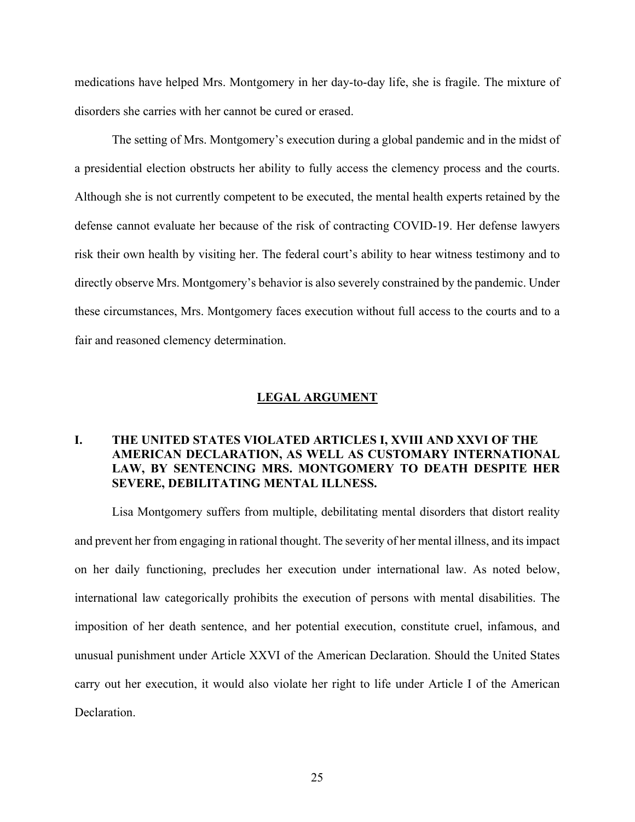medications have helped Mrs. Montgomery in her day-to-day life, she is fragile. The mixture of disorders she carries with her cannot be cured or erased.

The setting of Mrs. Montgomery's execution during a global pandemic and in the midst of a presidential election obstructs her ability to fully access the clemency process and the courts. Although she is not currently competent to be executed, the mental health experts retained by the defense cannot evaluate her because of the risk of contracting COVID-19. Her defense lawyers risk their own health by visiting her. The federal court's ability to hear witness testimony and to directly observe Mrs. Montgomery's behavior is also severely constrained by the pandemic. Under these circumstances, Mrs. Montgomery faces execution without full access to the courts and to a fair and reasoned clemency determination.

#### **LEGAL ARGUMENT**

## **I. THE UNITED STATES VIOLATED ARTICLES I, XVIII AND XXVI OF THE AMERICAN DECLARATION, AS WELL AS CUSTOMARY INTERNATIONAL LAW, BY SENTENCING MRS. MONTGOMERY TO DEATH DESPITE HER SEVERE, DEBILITATING MENTAL ILLNESS.**

Lisa Montgomery suffers from multiple, debilitating mental disorders that distort reality and prevent her from engaging in rational thought. The severity of her mental illness, and its impact on her daily functioning, precludes her execution under international law. As noted below, international law categorically prohibits the execution of persons with mental disabilities. The imposition of her death sentence, and her potential execution, constitute cruel, infamous, and unusual punishment under Article XXVI of the American Declaration. Should the United States carry out her execution, it would also violate her right to life under Article I of the American Declaration.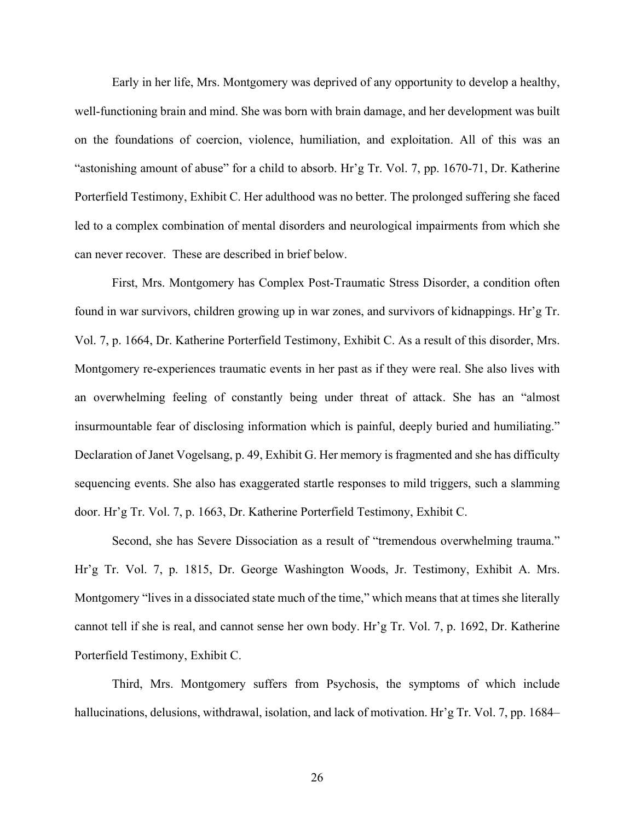Early in her life, Mrs. Montgomery was deprived of any opportunity to develop a healthy, well-functioning brain and mind. She was born with brain damage, and her development was built on the foundations of coercion, violence, humiliation, and exploitation. All of this was an "astonishing amount of abuse" for a child to absorb. Hr'g Tr. Vol. 7, pp. 1670-71, Dr. Katherine Porterfield Testimony, Exhibit C. Her adulthood was no better. The prolonged suffering she faced led to a complex combination of mental disorders and neurological impairments from which she can never recover. These are described in brief below.

First, Mrs. Montgomery has Complex Post-Traumatic Stress Disorder, a condition often found in war survivors, children growing up in war zones, and survivors of kidnappings. Hr'g Tr. Vol. 7, p. 1664, Dr. Katherine Porterfield Testimony, Exhibit C. As a result of this disorder, Mrs. Montgomery re-experiences traumatic events in her past as if they were real. She also lives with an overwhelming feeling of constantly being under threat of attack. She has an "almost insurmountable fear of disclosing information which is painful, deeply buried and humiliating." Declaration of Janet Vogelsang, p. 49, Exhibit G. Her memory is fragmented and she has difficulty sequencing events. She also has exaggerated startle responses to mild triggers, such a slamming door. Hr'g Tr. Vol. 7, p. 1663, Dr. Katherine Porterfield Testimony, Exhibit C.

Second, she has Severe Dissociation as a result of "tremendous overwhelming trauma." Hr'g Tr. Vol. 7, p. 1815, Dr. George Washington Woods, Jr. Testimony, Exhibit A. Mrs. Montgomery "lives in a dissociated state much of the time," which means that at times she literally cannot tell if she is real, and cannot sense her own body. Hr'g Tr. Vol. 7, p. 1692, Dr. Katherine Porterfield Testimony, Exhibit C.

Third, Mrs. Montgomery suffers from Psychosis, the symptoms of which include hallucinations, delusions, withdrawal, isolation, and lack of motivation. Hr'g Tr. Vol. 7, pp. 1684–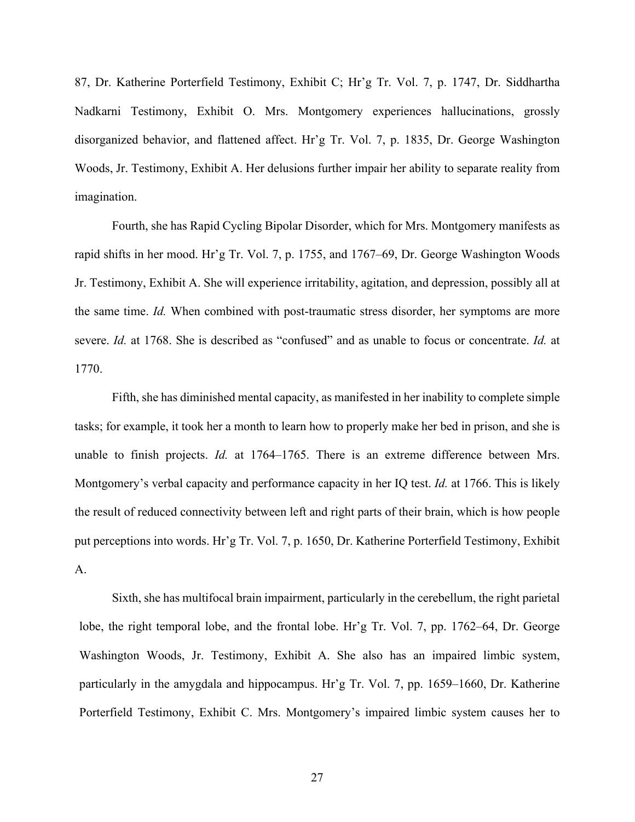87, Dr. Katherine Porterfield Testimony, Exhibit C; Hr'g Tr. Vol. 7, p. 1747, Dr. Siddhartha Nadkarni Testimony, Exhibit O. Mrs. Montgomery experiences hallucinations, grossly disorganized behavior, and flattened affect. Hr'g Tr. Vol. 7, p. 1835, Dr. George Washington Woods, Jr. Testimony, Exhibit A. Her delusions further impair her ability to separate reality from imagination.

Fourth, she has Rapid Cycling Bipolar Disorder, which for Mrs. Montgomery manifests as rapid shifts in her mood. Hr'g Tr. Vol. 7, p. 1755, and 1767–69, Dr. George Washington Woods Jr. Testimony, Exhibit A. She will experience irritability, agitation, and depression, possibly all at the same time. *Id.* When combined with post-traumatic stress disorder, her symptoms are more severe. *Id.* at 1768. She is described as "confused" and as unable to focus or concentrate. *Id.* at 1770.

Fifth, she has diminished mental capacity, as manifested in her inability to complete simple tasks; for example, it took her a month to learn how to properly make her bed in prison, and she is unable to finish projects. *Id.* at 1764–1765. There is an extreme difference between Mrs. Montgomery's verbal capacity and performance capacity in her IQ test. *Id.* at 1766. This is likely the result of reduced connectivity between left and right parts of their brain, which is how people put perceptions into words. Hr'g Tr. Vol. 7, p. 1650, Dr. Katherine Porterfield Testimony, Exhibit A.

Sixth, she has multifocal brain impairment, particularly in the cerebellum, the right parietal lobe, the right temporal lobe, and the frontal lobe. Hr'g Tr. Vol. 7, pp. 1762–64, Dr. George Washington Woods, Jr. Testimony, Exhibit A. She also has an impaired limbic system, particularly in the amygdala and hippocampus. Hr'g Tr. Vol. 7, pp. 1659–1660, Dr. Katherine Porterfield Testimony, Exhibit C. Mrs. Montgomery's impaired limbic system causes her to

27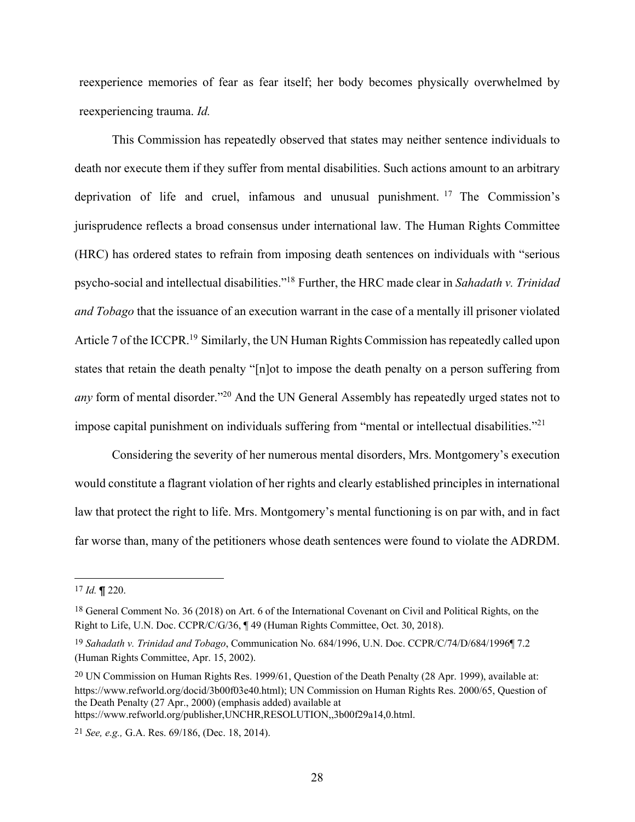reexperience memories of fear as fear itself; her body becomes physically overwhelmed by reexperiencing trauma. *Id.*

This Commission has repeatedly observed that states may neither sentence individuals to death nor execute them if they suffer from mental disabilities. Such actions amount to an arbitrary deprivation of life and cruel, infamous and unusual punishment. <sup>17</sup> The Commission's jurisprudence reflects a broad consensus under international law. The Human Rights Committee (HRC) has ordered states to refrain from imposing death sentences on individuals with "serious psycho-social and intellectual disabilities."18 Further, the HRC made clear in *Sahadath v. Trinidad and Tobago* that the issuance of an execution warrant in the case of a mentally ill prisoner violated Article 7 of the ICCPR.<sup>19</sup> Similarly, the UN Human Rights Commission has repeatedly called upon states that retain the death penalty "[n]ot to impose the death penalty on a person suffering from *any* form of mental disorder.<sup>"20</sup> And the UN General Assembly has repeatedly urged states not to impose capital punishment on individuals suffering from "mental or intellectual disabilities."21

Considering the severity of her numerous mental disorders, Mrs. Montgomery's execution would constitute a flagrant violation of her rights and clearly established principles in international law that protect the right to life. Mrs. Montgomery's mental functioning is on par with, and in fact far worse than, many of the petitioners whose death sentences were found to violate the ADRDM.

<sup>17</sup> *Id.* ¶ 220.

<sup>18</sup> General Comment No. 36 (2018) on Art. 6 of the International Covenant on Civil and Political Rights, on the Right to Life, U.N. Doc. CCPR/C/G/36, ¶ 49 (Human Rights Committee, Oct. 30, 2018).

<sup>19</sup> *Sahadath v. Trinidad and Tobago*, Communication No. 684/1996, U.N. Doc. CCPR/C/74/D/684/1996¶ 7.2 (Human Rights Committee, Apr. 15, 2002).

<sup>20</sup> UN Commission on Human Rights Res. 1999/61, Question of the Death Penalty (28 Apr. 1999), available at: https://www.refworld.org/docid/3b00f03e40.html); UN Commission on Human Rights Res. 2000/65, Question of the Death Penalty (27 Apr., 2000) (emphasis added) available at https://www.refworld.org/publisher,UNCHR,RESOLUTION,,3b00f29a14,0.html.

<sup>21</sup> *See, e.g.,* G.A. Res. 69/186, (Dec. 18, 2014).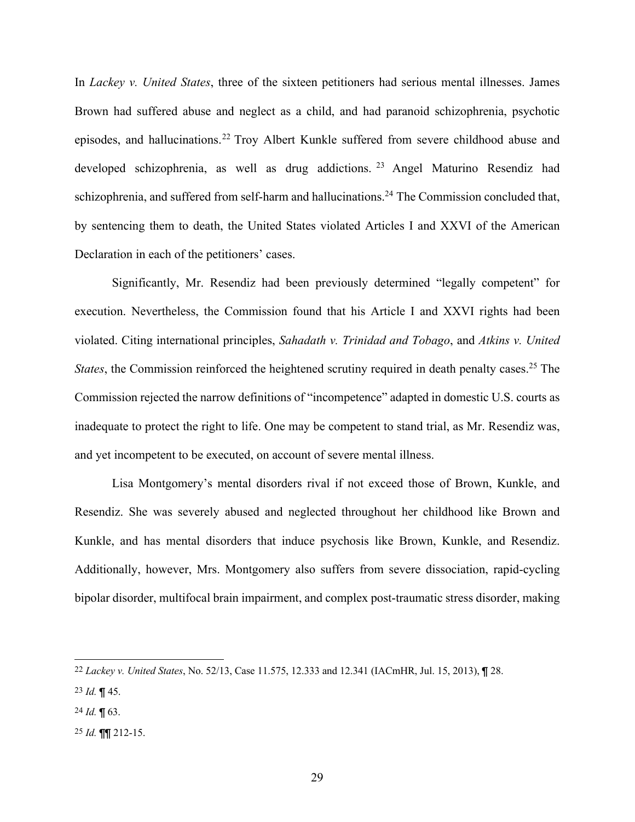In *Lackey v. United States*, three of the sixteen petitioners had serious mental illnesses. James Brown had suffered abuse and neglect as a child, and had paranoid schizophrenia, psychotic episodes, and hallucinations.22 Troy Albert Kunkle suffered from severe childhood abuse and developed schizophrenia, as well as drug addictions. <sup>23</sup> Angel Maturino Resendiz had schizophrenia, and suffered from self-harm and hallucinations.<sup>24</sup> The Commission concluded that, by sentencing them to death, the United States violated Articles I and XXVI of the American Declaration in each of the petitioners' cases.

Significantly, Mr. Resendiz had been previously determined "legally competent" for execution. Nevertheless, the Commission found that his Article I and XXVI rights had been violated. Citing international principles, *Sahadath v. Trinidad and Tobago*, and *Atkins v. United States*, the Commission reinforced the heightened scrutiny required in death penalty cases.<sup>25</sup> The Commission rejected the narrow definitions of "incompetence" adapted in domestic U.S. courts as inadequate to protect the right to life. One may be competent to stand trial, as Mr. Resendiz was, and yet incompetent to be executed, on account of severe mental illness.

Lisa Montgomery's mental disorders rival if not exceed those of Brown, Kunkle, and Resendiz. She was severely abused and neglected throughout her childhood like Brown and Kunkle, and has mental disorders that induce psychosis like Brown, Kunkle, and Resendiz. Additionally, however, Mrs. Montgomery also suffers from severe dissociation, rapid-cycling bipolar disorder, multifocal brain impairment, and complex post-traumatic stress disorder, making

25 *Id.* ¶¶ 212-15.

<sup>22</sup> *Lackey v. United States*, No. 52/13, Case 11.575, 12.333 and 12.341 (IACmHR, Jul. 15, 2013), ¶ 28.

<sup>23</sup> *Id.* ¶ 45.

<sup>24</sup> *Id.* ¶ 63.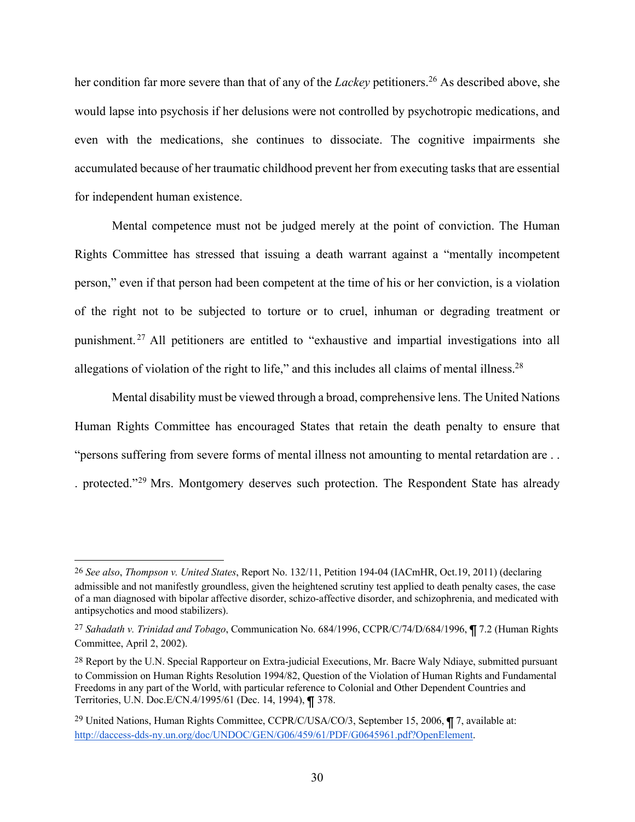her condition far more severe than that of any of the *Lackey* petitioners.<sup>26</sup> As described above, she would lapse into psychosis if her delusions were not controlled by psychotropic medications, and even with the medications, she continues to dissociate. The cognitive impairments she accumulated because of her traumatic childhood prevent her from executing tasks that are essential for independent human existence.

Mental competence must not be judged merely at the point of conviction. The Human Rights Committee has stressed that issuing a death warrant against a "mentally incompetent person," even if that person had been competent at the time of his or her conviction, is a violation of the right not to be subjected to torture or to cruel, inhuman or degrading treatment or punishment. <sup>27</sup> All petitioners are entitled to "exhaustive and impartial investigations into all allegations of violation of the right to life," and this includes all claims of mental illness.<sup>28</sup>

Mental disability must be viewed through a broad, comprehensive lens. The United Nations Human Rights Committee has encouraged States that retain the death penalty to ensure that "persons suffering from severe forms of mental illness not amounting to mental retardation are . . . protected."29 Mrs. Montgomery deserves such protection. The Respondent State has already

<sup>26</sup> *See also*, *Thompson v. United States*, Report No. 132/11, Petition 194-04 (IACmHR, Oct.19, 2011) (declaring admissible and not manifestly groundless, given the heightened scrutiny test applied to death penalty cases, the case of a man diagnosed with bipolar affective disorder, schizo-affective disorder, and schizophrenia, and medicated with antipsychotics and mood stabilizers).

<sup>27</sup> *Sahadath v. Trinidad and Tobago*, Communication No. 684/1996, CCPR/C/74/D/684/1996, ¶ 7.2 (Human Rights Committee, April 2, 2002).

<sup>&</sup>lt;sup>28</sup> Report by the U.N. Special Rapporteur on Extra-judicial Executions, Mr. Bacre Waly Ndiaye, submitted pursuant to Commission on Human Rights Resolution 1994/82, Question of the Violation of Human Rights and Fundamental Freedoms in any part of the World, with particular reference to Colonial and Other Dependent Countries and Territories, U.N. Doc.E/CN.4/1995/61 (Dec. 14, 1994), ¶ 378.

<sup>&</sup>lt;sup>29</sup> United Nations, Human Rights Committee, CCPR/C/USA/CO/3, September 15, 2006, ¶ 7, available at: http://daccess-dds-ny.un.org/doc/UNDOC/GEN/G06/459/61/PDF/G0645961.pdf?OpenElement.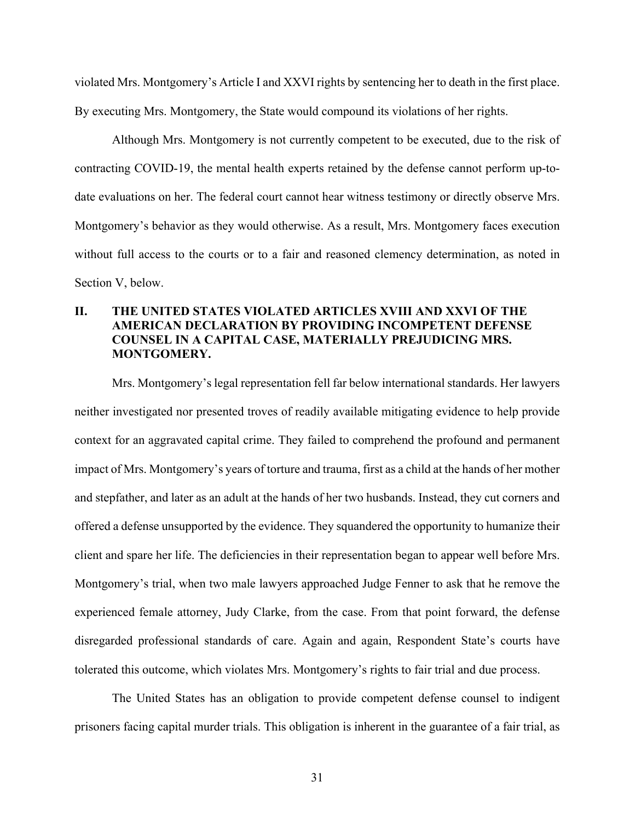violated Mrs. Montgomery's Article I and XXVI rights by sentencing her to death in the first place. By executing Mrs. Montgomery, the State would compound its violations of her rights.

Although Mrs. Montgomery is not currently competent to be executed, due to the risk of contracting COVID-19, the mental health experts retained by the defense cannot perform up-todate evaluations on her. The federal court cannot hear witness testimony or directly observe Mrs. Montgomery's behavior as they would otherwise. As a result, Mrs. Montgomery faces execution without full access to the courts or to a fair and reasoned clemency determination, as noted in Section V, below.

## **II. THE UNITED STATES VIOLATED ARTICLES XVIII AND XXVI OF THE AMERICAN DECLARATION BY PROVIDING INCOMPETENT DEFENSE COUNSEL IN A CAPITAL CASE, MATERIALLY PREJUDICING MRS. MONTGOMERY.**

Mrs. Montgomery's legal representation fell far below international standards. Her lawyers neither investigated nor presented troves of readily available mitigating evidence to help provide context for an aggravated capital crime. They failed to comprehend the profound and permanent impact of Mrs. Montgomery's years of torture and trauma, first as a child at the hands of her mother and stepfather, and later as an adult at the hands of her two husbands. Instead, they cut corners and offered a defense unsupported by the evidence. They squandered the opportunity to humanize their client and spare her life. The deficiencies in their representation began to appear well before Mrs. Montgomery's trial, when two male lawyers approached Judge Fenner to ask that he remove the experienced female attorney, Judy Clarke, from the case. From that point forward, the defense disregarded professional standards of care. Again and again, Respondent State's courts have tolerated this outcome, which violates Mrs. Montgomery's rights to fair trial and due process.

The United States has an obligation to provide competent defense counsel to indigent prisoners facing capital murder trials. This obligation is inherent in the guarantee of a fair trial, as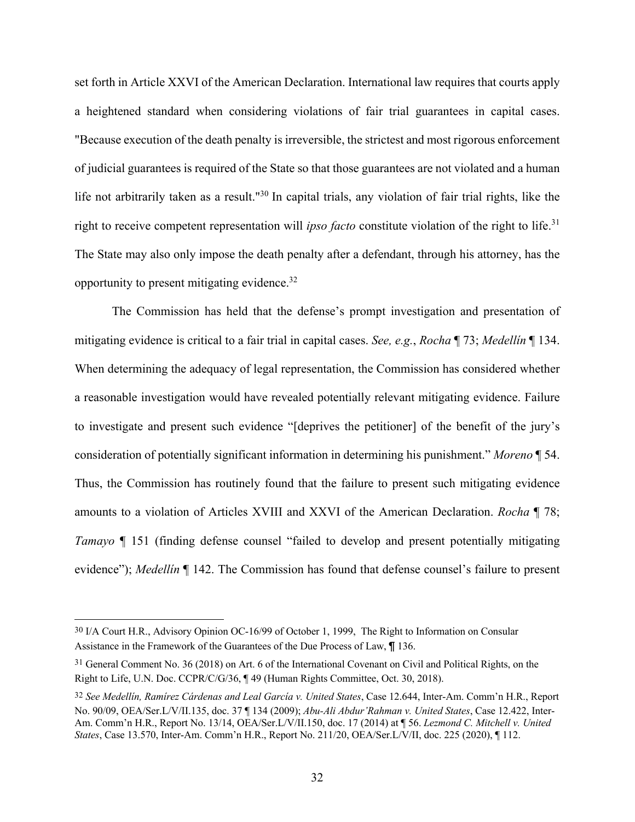set forth in Article XXVI of the American Declaration. International law requires that courts apply a heightened standard when considering violations of fair trial guarantees in capital cases. "Because execution of the death penalty is irreversible, the strictest and most rigorous enforcement of judicial guarantees is required of the State so that those guarantees are not violated and a human life not arbitrarily taken as a result."<sup>30</sup> In capital trials, any violation of fair trial rights, like the right to receive competent representation will *ipso facto* constitute violation of the right to life.<sup>31</sup> The State may also only impose the death penalty after a defendant, through his attorney, has the opportunity to present mitigating evidence.32

The Commission has held that the defense's prompt investigation and presentation of mitigating evidence is critical to a fair trial in capital cases. *See, e.g.*, *Rocha* ¶ 73; *Medellín* ¶ 134. When determining the adequacy of legal representation, the Commission has considered whether a reasonable investigation would have revealed potentially relevant mitigating evidence. Failure to investigate and present such evidence "[deprives the petitioner] of the benefit of the jury's consideration of potentially significant information in determining his punishment." *Moreno* ¶ 54. Thus, the Commission has routinely found that the failure to present such mitigating evidence amounts to a violation of Articles XVIII and XXVI of the American Declaration. *Rocha* ¶ 78; *Tamayo* ¶ 151 (finding defense counsel "failed to develop and present potentially mitigating evidence"); *Medellín* ¶ 142. The Commission has found that defense counsel's failure to present

<sup>30</sup> I/A Court H.R., Advisory Opinion OC-16/99 of October 1, 1999, The Right to Information on Consular Assistance in the Framework of the Guarantees of the Due Process of Law, ¶ 136.

<sup>31</sup> General Comment No. 36 (2018) on Art. 6 of the International Covenant on Civil and Political Rights, on the Right to Life, U.N. Doc. CCPR/C/G/36, ¶ 49 (Human Rights Committee, Oct. 30, 2018).

<sup>32</sup> *See Medellín, Ramírez Cárdenas and Leal García v. United States*, Case 12.644, Inter-Am. Comm'n H.R., Report No. 90/09, OEA/Ser.L/V/II.135, doc. 37 ¶ 134 (2009); *Abu-Ali Abdur'Rahman v. United States*, Case 12.422, Inter-Am. Comm'n H.R., Report No. 13/14, OEA/Ser.L/V/II.150, doc. 17 (2014) at ¶ 56. *Lezmond C. Mitchell v. United States*, Case 13.570, Inter-Am. Comm'n H.R., Report No. 211/20, OEA/Ser.L/V/II, doc. 225 (2020), ¶ 112.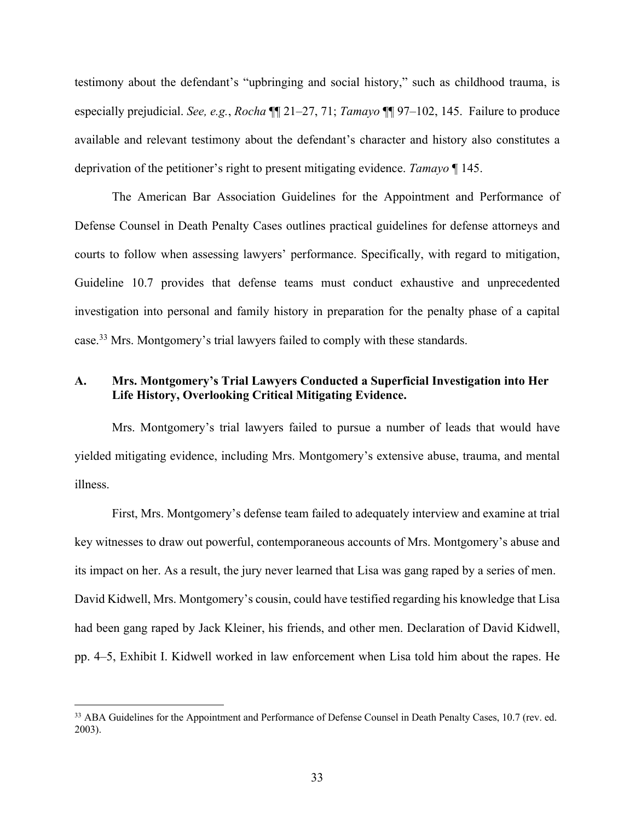testimony about the defendant's "upbringing and social history," such as childhood trauma, is especially prejudicial. *See, e.g.*, *Rocha* ¶¶ 21–27, 71; *Tamayo* ¶¶ 97–102, 145. Failure to produce available and relevant testimony about the defendant's character and history also constitutes a deprivation of the petitioner's right to present mitigating evidence. *Tamayo* ¶ 145.

The American Bar Association Guidelines for the Appointment and Performance of Defense Counsel in Death Penalty Cases outlines practical guidelines for defense attorneys and courts to follow when assessing lawyers' performance. Specifically, with regard to mitigation, Guideline 10.7 provides that defense teams must conduct exhaustive and unprecedented investigation into personal and family history in preparation for the penalty phase of a capital case.33 Mrs. Montgomery's trial lawyers failed to comply with these standards.

## **A. Mrs. Montgomery's Trial Lawyers Conducted a Superficial Investigation into Her Life History, Overlooking Critical Mitigating Evidence.**

Mrs. Montgomery's trial lawyers failed to pursue a number of leads that would have yielded mitigating evidence, including Mrs. Montgomery's extensive abuse, trauma, and mental illness.

First, Mrs. Montgomery's defense team failed to adequately interview and examine at trial key witnesses to draw out powerful, contemporaneous accounts of Mrs. Montgomery's abuse and its impact on her. As a result, the jury never learned that Lisa was gang raped by a series of men. David Kidwell, Mrs. Montgomery's cousin, could have testified regarding his knowledge that Lisa had been gang raped by Jack Kleiner, his friends, and other men. Declaration of David Kidwell, pp. 4–5, Exhibit I. Kidwell worked in law enforcement when Lisa told him about the rapes. He

<sup>&</sup>lt;sup>33</sup> ABA Guidelines for the Appointment and Performance of Defense Counsel in Death Penalty Cases, 10.7 (rev. ed. 2003).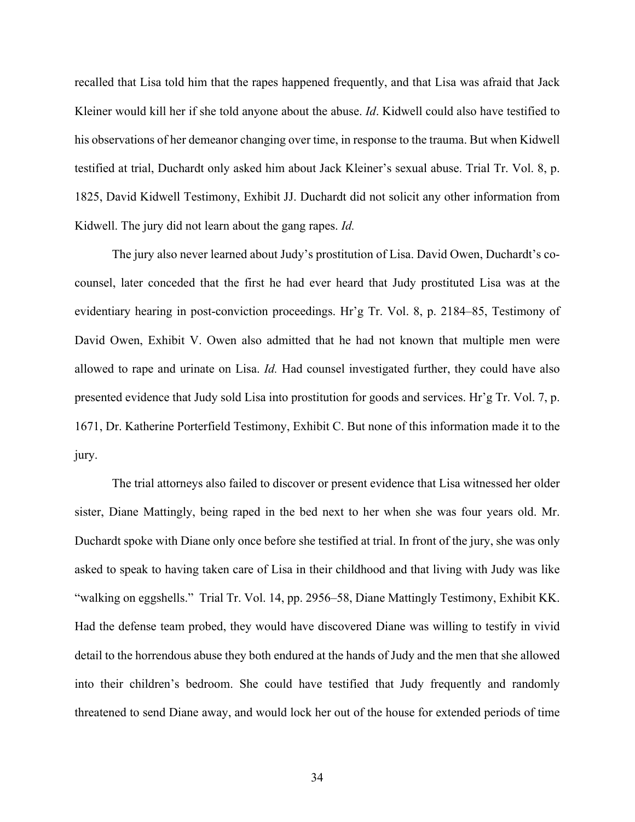recalled that Lisa told him that the rapes happened frequently, and that Lisa was afraid that Jack Kleiner would kill her if she told anyone about the abuse. *Id*. Kidwell could also have testified to his observations of her demeanor changing over time, in response to the trauma. But when Kidwell testified at trial, Duchardt only asked him about Jack Kleiner's sexual abuse. Trial Tr. Vol. 8, p. 1825, David Kidwell Testimony, Exhibit JJ. Duchardt did not solicit any other information from Kidwell. The jury did not learn about the gang rapes. *Id.* 

The jury also never learned about Judy's prostitution of Lisa. David Owen, Duchardt's cocounsel, later conceded that the first he had ever heard that Judy prostituted Lisa was at the evidentiary hearing in post-conviction proceedings. Hr'g Tr. Vol. 8, p. 2184–85, Testimony of David Owen, Exhibit V. Owen also admitted that he had not known that multiple men were allowed to rape and urinate on Lisa. *Id.* Had counsel investigated further, they could have also presented evidence that Judy sold Lisa into prostitution for goods and services. Hr'g Tr. Vol. 7, p. 1671, Dr. Katherine Porterfield Testimony, Exhibit C. But none of this information made it to the jury.

The trial attorneys also failed to discover or present evidence that Lisa witnessed her older sister, Diane Mattingly, being raped in the bed next to her when she was four years old. Mr. Duchardt spoke with Diane only once before she testified at trial. In front of the jury, she was only asked to speak to having taken care of Lisa in their childhood and that living with Judy was like "walking on eggshells." Trial Tr. Vol. 14, pp. 2956–58, Diane Mattingly Testimony, Exhibit KK. Had the defense team probed, they would have discovered Diane was willing to testify in vivid detail to the horrendous abuse they both endured at the hands of Judy and the men that she allowed into their children's bedroom. She could have testified that Judy frequently and randomly threatened to send Diane away, and would lock her out of the house for extended periods of time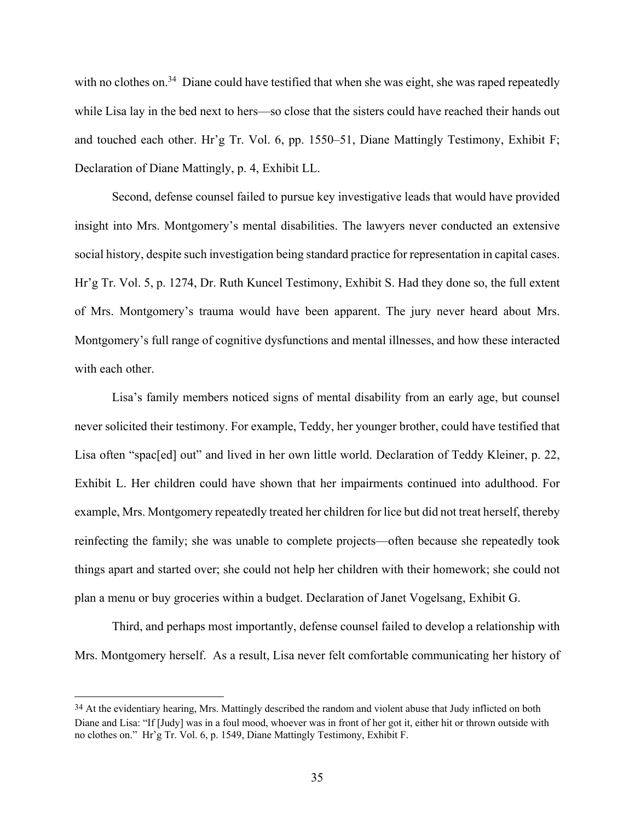with no clothes on.<sup>34</sup> Diane could have testified that when she was eight, she was raped repeatedly while Lisa lay in the bed next to hers—so close that the sisters could have reached their hands out and touched each other. Hr'g Tr. Vol. 6, pp. 1550–51, Diane Mattingly Testimony, Exhibit F; Declaration of Diane Mattingly, p. 4, Exhibit LL.

Second, defense counsel failed to pursue key investigative leads that would have provided insight into Mrs. Montgomery's mental disabilities. The lawyers never conducted an extensive social history, despite such investigation being standard practice for representation in capital cases. Hr'g Tr. Vol. 5, p. 1274, Dr. Ruth Kuncel Testimony, Exhibit S. Had they done so, the full extent of Mrs. Montgomery's trauma would have been apparent. The jury never heard about Mrs. Montgomery's full range of cognitive dysfunctions and mental illnesses, and how these interacted with each other.

Lisa's family members noticed signs of mental disability from an early age, but counsel never solicited their testimony. For example, Teddy, her younger brother, could have testified that Lisa often "spac[ed] out" and lived in her own little world. Declaration of Teddy Kleiner, p. 22, Exhibit L. Her children could have shown that her impairments continued into adulthood. For example, Mrs. Montgomery repeatedly treated her children for lice but did not treat herself, thereby reinfecting the family; she was unable to complete projects—often because she repeatedly took things apart and started over; she could not help her children with their homework; she could not plan a menu or buy groceries within a budget. Declaration of Janet Vogelsang, Exhibit G.

Third, and perhaps most importantly, defense counsel failed to develop a relationship with Mrs. Montgomery herself. As a result, Lisa never felt comfortable communicating her history of

<sup>&</sup>lt;sup>34</sup> At the evidentiary hearing, Mrs. Mattingly described the random and violent abuse that Judy inflicted on both Diane and Lisa: "If [Judy] was in a foul mood, whoever was in front of her got it, either hit or thrown outside with no clothes on." Hr'g Tr. Vol. 6, p. 1549, Diane Mattingly Testimony, Exhibit F.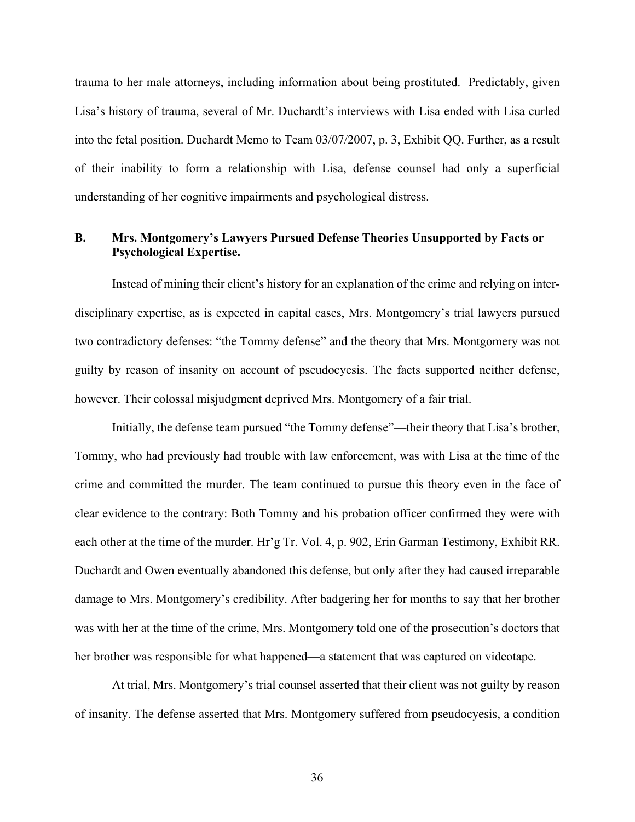trauma to her male attorneys, including information about being prostituted. Predictably, given Lisa's history of trauma, several of Mr. Duchardt's interviews with Lisa ended with Lisa curled into the fetal position. Duchardt Memo to Team 03/07/2007, p. 3, Exhibit QQ. Further, as a result of their inability to form a relationship with Lisa, defense counsel had only a superficial understanding of her cognitive impairments and psychological distress.

## **B. Mrs. Montgomery's Lawyers Pursued Defense Theories Unsupported by Facts or Psychological Expertise.**

Instead of mining their client's history for an explanation of the crime and relying on interdisciplinary expertise, as is expected in capital cases, Mrs. Montgomery's trial lawyers pursued two contradictory defenses: "the Tommy defense" and the theory that Mrs. Montgomery was not guilty by reason of insanity on account of pseudocyesis. The facts supported neither defense, however. Their colossal misjudgment deprived Mrs. Montgomery of a fair trial.

Initially, the defense team pursued "the Tommy defense"—their theory that Lisa's brother, Tommy, who had previously had trouble with law enforcement, was with Lisa at the time of the crime and committed the murder. The team continued to pursue this theory even in the face of clear evidence to the contrary: Both Tommy and his probation officer confirmed they were with each other at the time of the murder. Hr'g Tr. Vol. 4, p. 902, Erin Garman Testimony, Exhibit RR. Duchardt and Owen eventually abandoned this defense, but only after they had caused irreparable damage to Mrs. Montgomery's credibility. After badgering her for months to say that her brother was with her at the time of the crime, Mrs. Montgomery told one of the prosecution's doctors that her brother was responsible for what happened—a statement that was captured on videotape.

At trial, Mrs. Montgomery's trial counsel asserted that their client was not guilty by reason of insanity. The defense asserted that Mrs. Montgomery suffered from pseudocyesis, a condition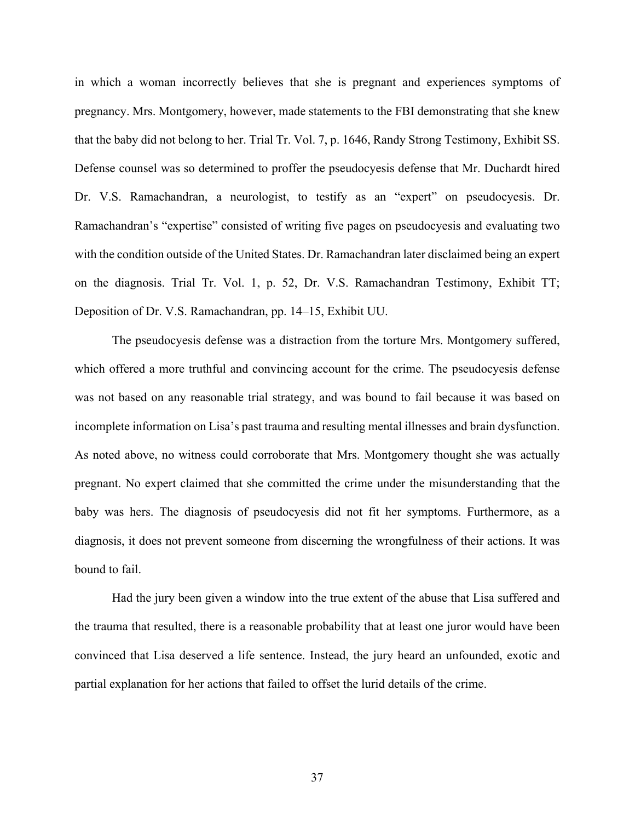in which a woman incorrectly believes that she is pregnant and experiences symptoms of pregnancy. Mrs. Montgomery, however, made statements to the FBI demonstrating that she knew that the baby did not belong to her. Trial Tr. Vol. 7, p. 1646, Randy Strong Testimony, Exhibit SS. Defense counsel was so determined to proffer the pseudocyesis defense that Mr. Duchardt hired Dr. V.S. Ramachandran, a neurologist, to testify as an "expert" on pseudocyesis. Dr. Ramachandran's "expertise" consisted of writing five pages on pseudocyesis and evaluating two with the condition outside of the United States. Dr. Ramachandran later disclaimed being an expert on the diagnosis. Trial Tr. Vol. 1, p. 52, Dr. V.S. Ramachandran Testimony, Exhibit TT; Deposition of Dr. V.S. Ramachandran, pp. 14–15, Exhibit UU.

The pseudocyesis defense was a distraction from the torture Mrs. Montgomery suffered, which offered a more truthful and convincing account for the crime. The pseudocyesis defense was not based on any reasonable trial strategy, and was bound to fail because it was based on incomplete information on Lisa's past trauma and resulting mental illnesses and brain dysfunction. As noted above, no witness could corroborate that Mrs. Montgomery thought she was actually pregnant. No expert claimed that she committed the crime under the misunderstanding that the baby was hers. The diagnosis of pseudocyesis did not fit her symptoms. Furthermore, as a diagnosis, it does not prevent someone from discerning the wrongfulness of their actions. It was bound to fail.

Had the jury been given a window into the true extent of the abuse that Lisa suffered and the trauma that resulted, there is a reasonable probability that at least one juror would have been convinced that Lisa deserved a life sentence. Instead, the jury heard an unfounded, exotic and partial explanation for her actions that failed to offset the lurid details of the crime.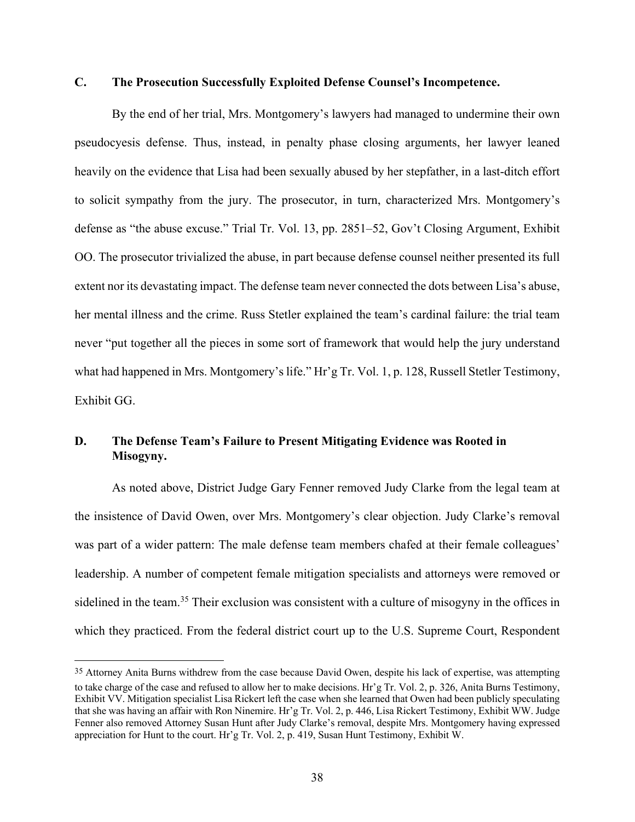# **C. The Prosecution Successfully Exploited Defense Counsel's Incompetence.**

By the end of her trial, Mrs. Montgomery's lawyers had managed to undermine their own pseudocyesis defense. Thus, instead, in penalty phase closing arguments, her lawyer leaned heavily on the evidence that Lisa had been sexually abused by her stepfather, in a last-ditch effort to solicit sympathy from the jury. The prosecutor, in turn, characterized Mrs. Montgomery's defense as "the abuse excuse." Trial Tr. Vol. 13, pp. 2851–52, Gov't Closing Argument, Exhibit OO. The prosecutor trivialized the abuse, in part because defense counsel neither presented its full extent nor its devastating impact. The defense team never connected the dots between Lisa's abuse, her mental illness and the crime. Russ Stetler explained the team's cardinal failure: the trial team never "put together all the pieces in some sort of framework that would help the jury understand what had happened in Mrs. Montgomery's life." Hr'g Tr. Vol. 1, p. 128, Russell Stetler Testimony, Exhibit GG.

# **D. The Defense Team's Failure to Present Mitigating Evidence was Rooted in Misogyny.**

As noted above, District Judge Gary Fenner removed Judy Clarke from the legal team at the insistence of David Owen, over Mrs. Montgomery's clear objection. Judy Clarke's removal was part of a wider pattern: The male defense team members chafed at their female colleagues' leadership. A number of competent female mitigation specialists and attorneys were removed or sidelined in the team.<sup>35</sup> Their exclusion was consistent with a culture of misogyny in the offices in which they practiced. From the federal district court up to the U.S. Supreme Court, Respondent

<sup>35</sup> Attorney Anita Burns withdrew from the case because David Owen, despite his lack of expertise, was attempting to take charge of the case and refused to allow her to make decisions. Hr'g Tr. Vol. 2, p. 326, Anita Burns Testimony, Exhibit VV. Mitigation specialist Lisa Rickert left the case when she learned that Owen had been publicly speculating that she was having an affair with Ron Ninemire. Hr'g Tr. Vol. 2, p. 446, Lisa Rickert Testimony, Exhibit WW. Judge Fenner also removed Attorney Susan Hunt after Judy Clarke's removal, despite Mrs. Montgomery having expressed appreciation for Hunt to the court. Hr'g Tr. Vol. 2, p. 419, Susan Hunt Testimony, Exhibit W.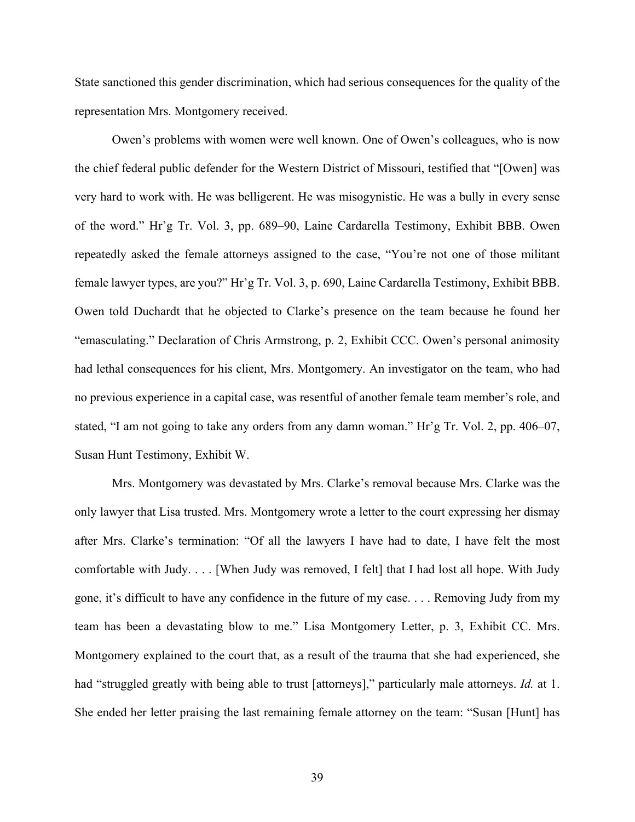State sanctioned this gender discrimination, which had serious consequences for the quality of the representation Mrs. Montgomery received.

Owen's problems with women were well known. One of Owen's colleagues, who is now the chief federal public defender for the Western District of Missouri, testified that "[Owen] was very hard to work with. He was belligerent. He was misogynistic. He was a bully in every sense of the word." Hr'g Tr. Vol. 3, pp. 689–90, Laine Cardarella Testimony, Exhibit BBB. Owen repeatedly asked the female attorneys assigned to the case, "You're not one of those militant female lawyer types, are you?" Hr'g Tr. Vol. 3, p. 690, Laine Cardarella Testimony, Exhibit BBB. Owen told Duchardt that he objected to Clarke's presence on the team because he found her "emasculating." Declaration of Chris Armstrong, p. 2, Exhibit CCC. Owen's personal animosity had lethal consequences for his client, Mrs. Montgomery. An investigator on the team, who had no previous experience in a capital case, was resentful of another female team member's role, and stated, "I am not going to take any orders from any damn woman." Hr'g Tr. Vol. 2, pp. 406–07, Susan Hunt Testimony, Exhibit W.

Mrs. Montgomery was devastated by Mrs. Clarke's removal because Mrs. Clarke was the only lawyer that Lisa trusted. Mrs. Montgomery wrote a letter to the court expressing her dismay after Mrs. Clarke's termination: "Of all the lawyers I have had to date, I have felt the most comfortable with Judy. . . . [When Judy was removed, I felt] that I had lost all hope. With Judy gone, it's difficult to have any confidence in the future of my case. . . . Removing Judy from my team has been a devastating blow to me." Lisa Montgomery Letter, p. 3, Exhibit CC. Mrs. Montgomery explained to the court that, as a result of the trauma that she had experienced, she had "struggled greatly with being able to trust [attorneys]," particularly male attorneys. *Id.* at 1. She ended her letter praising the last remaining female attorney on the team: "Susan [Hunt] has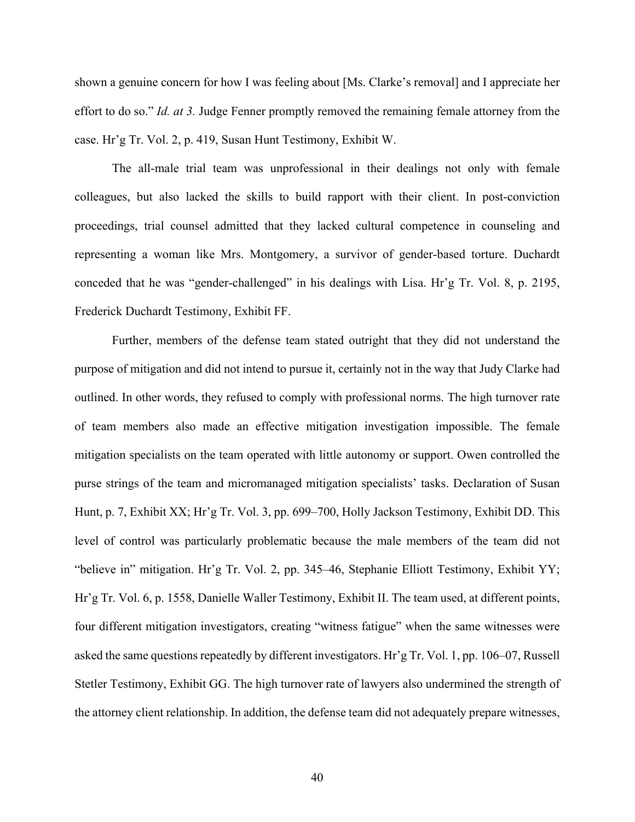shown a genuine concern for how I was feeling about [Ms. Clarke's removal] and I appreciate her effort to do so." *Id. at 3.* Judge Fenner promptly removed the remaining female attorney from the case. Hr'g Tr. Vol. 2, p. 419, Susan Hunt Testimony, Exhibit W.

The all-male trial team was unprofessional in their dealings not only with female colleagues, but also lacked the skills to build rapport with their client. In post-conviction proceedings, trial counsel admitted that they lacked cultural competence in counseling and representing a woman like Mrs. Montgomery, a survivor of gender-based torture. Duchardt conceded that he was "gender-challenged" in his dealings with Lisa. Hr'g Tr. Vol. 8, p. 2195, Frederick Duchardt Testimony, Exhibit FF.

Further, members of the defense team stated outright that they did not understand the purpose of mitigation and did not intend to pursue it, certainly not in the way that Judy Clarke had outlined. In other words, they refused to comply with professional norms. The high turnover rate of team members also made an effective mitigation investigation impossible. The female mitigation specialists on the team operated with little autonomy or support. Owen controlled the purse strings of the team and micromanaged mitigation specialists' tasks. Declaration of Susan Hunt, p. 7, Exhibit XX; Hr'g Tr. Vol. 3, pp. 699–700, Holly Jackson Testimony, Exhibit DD. This level of control was particularly problematic because the male members of the team did not "believe in" mitigation. Hr'g Tr. Vol. 2, pp. 345–46, Stephanie Elliott Testimony, Exhibit YY; Hr'g Tr. Vol. 6, p. 1558, Danielle Waller Testimony, Exhibit II. The team used, at different points, four different mitigation investigators, creating "witness fatigue" when the same witnesses were asked the same questions repeatedly by different investigators. Hr'g Tr. Vol. 1, pp. 106–07, Russell Stetler Testimony, Exhibit GG. The high turnover rate of lawyers also undermined the strength of the attorney client relationship. In addition, the defense team did not adequately prepare witnesses,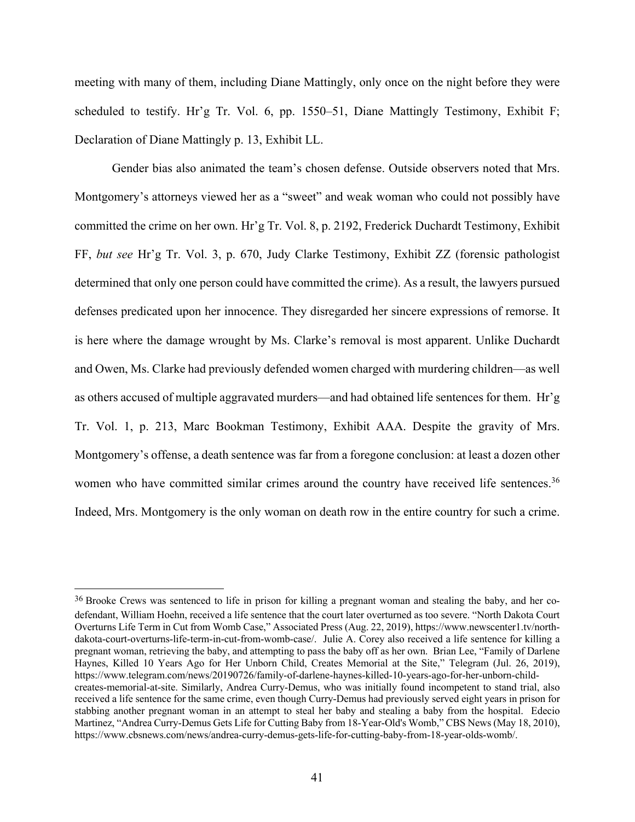meeting with many of them, including Diane Mattingly, only once on the night before they were scheduled to testify. Hr'g Tr. Vol. 6, pp. 1550–51, Diane Mattingly Testimony, Exhibit F; Declaration of Diane Mattingly p. 13, Exhibit LL.

Gender bias also animated the team's chosen defense. Outside observers noted that Mrs. Montgomery's attorneys viewed her as a "sweet" and weak woman who could not possibly have committed the crime on her own. Hr'g Tr. Vol. 8, p. 2192, Frederick Duchardt Testimony, Exhibit FF, *but see* Hr'g Tr. Vol. 3, p. 670, Judy Clarke Testimony, Exhibit ZZ (forensic pathologist determined that only one person could have committed the crime). As a result, the lawyers pursued defenses predicated upon her innocence. They disregarded her sincere expressions of remorse. It is here where the damage wrought by Ms. Clarke's removal is most apparent. Unlike Duchardt and Owen, Ms. Clarke had previously defended women charged with murdering children—as well as others accused of multiple aggravated murders—and had obtained life sentences for them. Hr'g Tr. Vol. 1, p. 213, Marc Bookman Testimony, Exhibit AAA. Despite the gravity of Mrs. Montgomery's offense, a death sentence was far from a foregone conclusion: at least a dozen other women who have committed similar crimes around the country have received life sentences.<sup>36</sup> Indeed, Mrs. Montgomery is the only woman on death row in the entire country for such a crime.

<sup>36</sup> Brooke Crews was sentenced to life in prison for killing a pregnant woman and stealing the baby, and her codefendant, William Hoehn, received a life sentence that the court later overturned as too severe. "North Dakota Court Overturns Life Term in Cut from Womb Case," Associated Press (Aug. 22, 2019), https://www.newscenter1.tv/northdakota-court-overturns-life-term-in-cut-from-womb-case/. Julie A. Corey also received a life sentence for killing a pregnant woman, retrieving the baby, and attempting to pass the baby off as her own. Brian Lee, "Family of Darlene Haynes, Killed 10 Years Ago for Her Unborn Child, Creates Memorial at the Site," Telegram (Jul. 26, 2019), https://www.telegram.com/news/20190726/family-of-darlene-haynes-killed-10-years-ago-for-her-unborn-childcreates-memorial-at-site. Similarly, Andrea Curry-Demus, who was initially found incompetent to stand trial, also received a life sentence for the same crime, even though Curry-Demus had previously served eight years in prison for stabbing another pregnant woman in an attempt to steal her baby and stealing a baby from the hospital. Edecio Martinez, "Andrea Curry-Demus Gets Life for Cutting Baby from 18-Year-Old's Womb," CBS News (May 18, 2010), https://www.cbsnews.com/news/andrea-curry-demus-gets-life-for-cutting-baby-from-18-year-olds-womb/.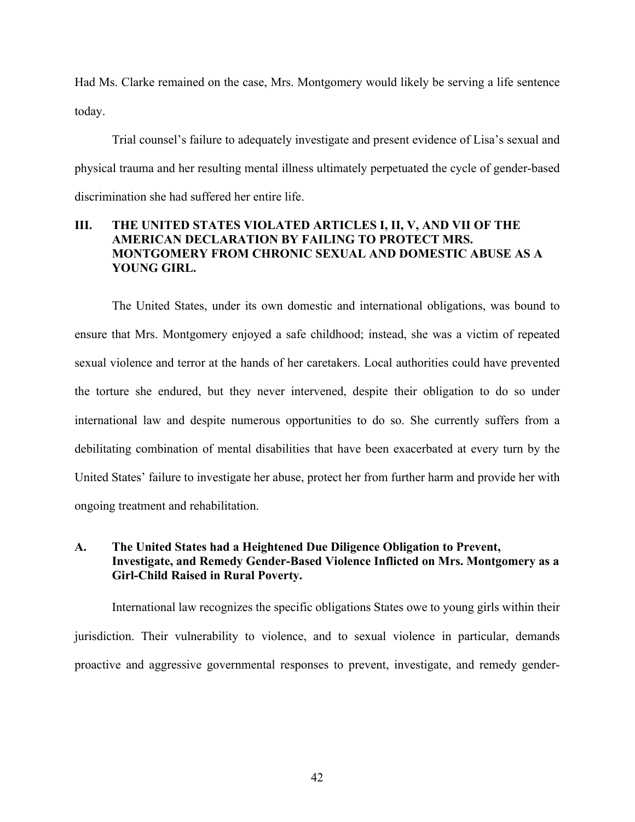Had Ms. Clarke remained on the case, Mrs. Montgomery would likely be serving a life sentence today.

Trial counsel's failure to adequately investigate and present evidence of Lisa's sexual and physical trauma and her resulting mental illness ultimately perpetuated the cycle of gender-based discrimination she had suffered her entire life.

# **III. THE UNITED STATES VIOLATED ARTICLES I, II, V, AND VII OF THE AMERICAN DECLARATION BY FAILING TO PROTECT MRS. MONTGOMERY FROM CHRONIC SEXUAL AND DOMESTIC ABUSE AS A YOUNG GIRL.**

The United States, under its own domestic and international obligations, was bound to ensure that Mrs. Montgomery enjoyed a safe childhood; instead, she was a victim of repeated sexual violence and terror at the hands of her caretakers. Local authorities could have prevented the torture she endured, but they never intervened, despite their obligation to do so under international law and despite numerous opportunities to do so. She currently suffers from a debilitating combination of mental disabilities that have been exacerbated at every turn by the United States' failure to investigate her abuse, protect her from further harm and provide her with ongoing treatment and rehabilitation.

# **A. The United States had a Heightened Due Diligence Obligation to Prevent, Investigate, and Remedy Gender-Based Violence Inflicted on Mrs. Montgomery as a Girl-Child Raised in Rural Poverty.**

International law recognizes the specific obligations States owe to young girls within their jurisdiction. Their vulnerability to violence, and to sexual violence in particular, demands proactive and aggressive governmental responses to prevent, investigate, and remedy gender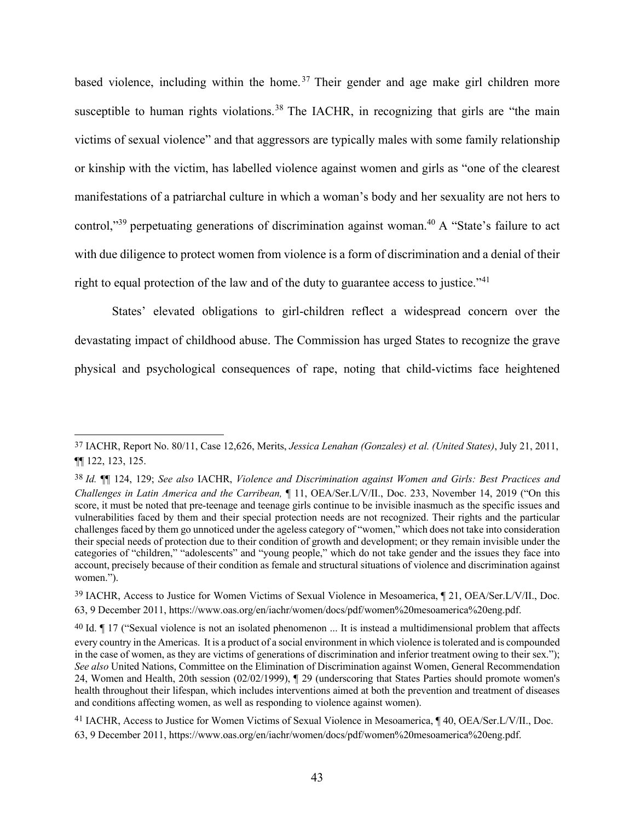based violence, including within the home.<sup>37</sup> Their gender and age make girl children more susceptible to human rights violations.<sup>38</sup> The IACHR, in recognizing that girls are "the main victims of sexual violence" and that aggressors are typically males with some family relationship or kinship with the victim, has labelled violence against women and girls as "one of the clearest manifestations of a patriarchal culture in which a woman's body and her sexuality are not hers to control,"<sup>39</sup> perpetuating generations of discrimination against woman.<sup>40</sup> A "State's failure to act with due diligence to protect women from violence is a form of discrimination and a denial of their right to equal protection of the law and of the duty to guarantee access to justice."<sup>41</sup>

States' elevated obligations to girl-children reflect a widespread concern over the devastating impact of childhood abuse. The Commission has urged States to recognize the grave physical and psychological consequences of rape, noting that child-victims face heightened

<sup>37</sup> IACHR, Report No. 80/11, Case 12,626, Merits, *Jessica Lenahan (Gonzales) et al. (United States)*, July 21, 2011, ¶¶ 122, 123, 125.

<sup>38</sup> *Id.* ¶¶ 124, 129; *See also* IACHR, *Violence and Discrimination against Women and Girls: Best Practices and Challenges in Latin America and the Carribean,* ¶ 11, OEA/Ser.L/V/II., Doc. 233, November 14, 2019 ("On this score, it must be noted that pre-teenage and teenage girls continue to be invisible inasmuch as the specific issues and vulnerabilities faced by them and their special protection needs are not recognized. Their rights and the particular challenges faced by them go unnoticed under the ageless category of "women," which does not take into consideration their special needs of protection due to their condition of growth and development; or they remain invisible under the categories of "children," "adolescents" and "young people," which do not take gender and the issues they face into account, precisely because of their condition as female and structural situations of violence and discrimination against women.").

<sup>39</sup> IACHR, Access to Justice for Women Victims of Sexual Violence in Mesoamerica, ¶ 21, OEA/Ser.L/V/II., Doc. 63, 9 December 2011, https://www.oas.org/en/iachr/women/docs/pdf/women%20mesoamerica%20eng.pdf.

<sup>40</sup> Id. ¶ 17 ("Sexual violence is not an isolated phenomenon ... It is instead a multidimensional problem that affects every country in the Americas. It is a product of a social environment in which violence is tolerated and is compounded in the case of women, as they are victims of generations of discrimination and inferior treatment owing to their sex."); *See also* United Nations, Committee on the Elimination of Discrimination against Women, General Recommendation 24, Women and Health, 20th session (02/02/1999), ¶ 29 (underscoring that States Parties should promote women's health throughout their lifespan, which includes interventions aimed at both the prevention and treatment of diseases and conditions affecting women, as well as responding to violence against women).

<sup>41</sup> IACHR, Access to Justice for Women Victims of Sexual Violence in Mesoamerica, ¶ 40, OEA/Ser.L/V/II., Doc. 63, 9 December 2011, https://www.oas.org/en/iachr/women/docs/pdf/women%20mesoamerica%20eng.pdf.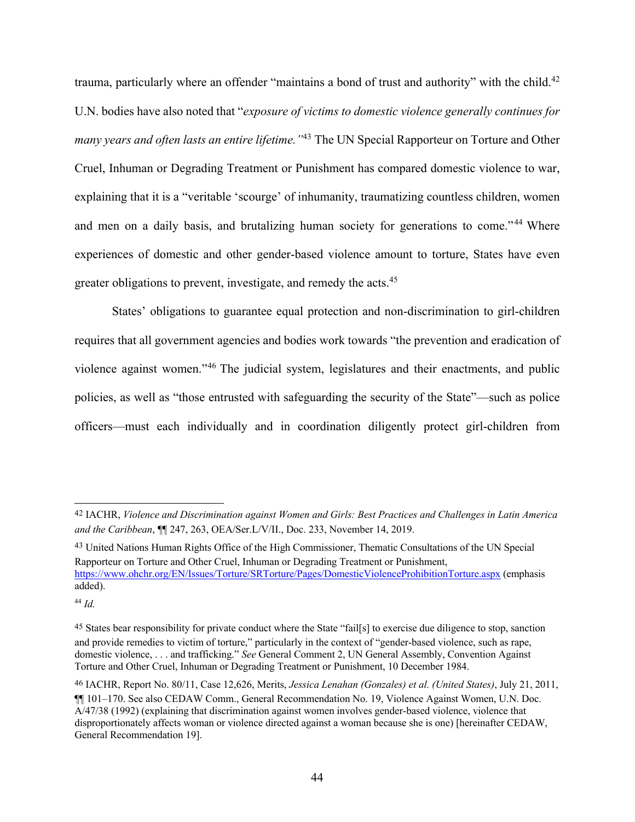trauma, particularly where an offender "maintains a bond of trust and authority" with the child.<sup>42</sup> U.N. bodies have also noted that "*exposure of victims to domestic violence generally continues for many years and often lasts an entire lifetime."*<sup>43</sup> The UN Special Rapporteur on Torture and Other Cruel, Inhuman or Degrading Treatment or Punishment has compared domestic violence to war, explaining that it is a "veritable 'scourge' of inhumanity, traumatizing countless children, women and men on a daily basis, and brutalizing human society for generations to come."<sup>44</sup> Where experiences of domestic and other gender-based violence amount to torture, States have even greater obligations to prevent, investigate, and remedy the acts.45

States' obligations to guarantee equal protection and non-discrimination to girl-children requires that all government agencies and bodies work towards "the prevention and eradication of violence against women."46 The judicial system, legislatures and their enactments, and public policies, as well as "those entrusted with safeguarding the security of the State"—such as police officers—must each individually and in coordination diligently protect girl-children from

43 United Nations Human Rights Office of the High Commissioner, Thematic Consultations of the UN Special Rapporteur on Torture and Other Cruel, Inhuman or Degrading Treatment or Punishment, https://www.ohchr.org/EN/Issues/Torture/SRTorture/Pages/DomesticViolenceProhibitionTorture.aspx (emphasis added).

<sup>42</sup> IACHR, *Violence and Discrimination against Women and Girls: Best Practices and Challenges in Latin America and the Caribbean*, ¶¶ 247, 263, OEA/Ser.L/V/II., Doc. 233, November 14, 2019.

<sup>44</sup> *Id.* 

<sup>45</sup> States bear responsibility for private conduct where the State "fail[s] to exercise due diligence to stop, sanction and provide remedies to victim of torture," particularly in the context of "gender-based violence, such as rape, domestic violence, . . . and trafficking." *See* General Comment 2, UN General Assembly, Convention Against Torture and Other Cruel, Inhuman or Degrading Treatment or Punishment, 10 December 1984.

<sup>46</sup> IACHR, Report No. 80/11, Case 12,626, Merits, *Jessica Lenahan (Gonzales) et al. (United States)*, July 21, 2011, ¶¶ 101–170. See also CEDAW Comm., General Recommendation No. 19, Violence Against Women, U.N. Doc. A/47/38 (1992) (explaining that discrimination against women involves gender-based violence, violence that disproportionately affects woman or violence directed against a woman because she is one) [hereinafter CEDAW, General Recommendation 19].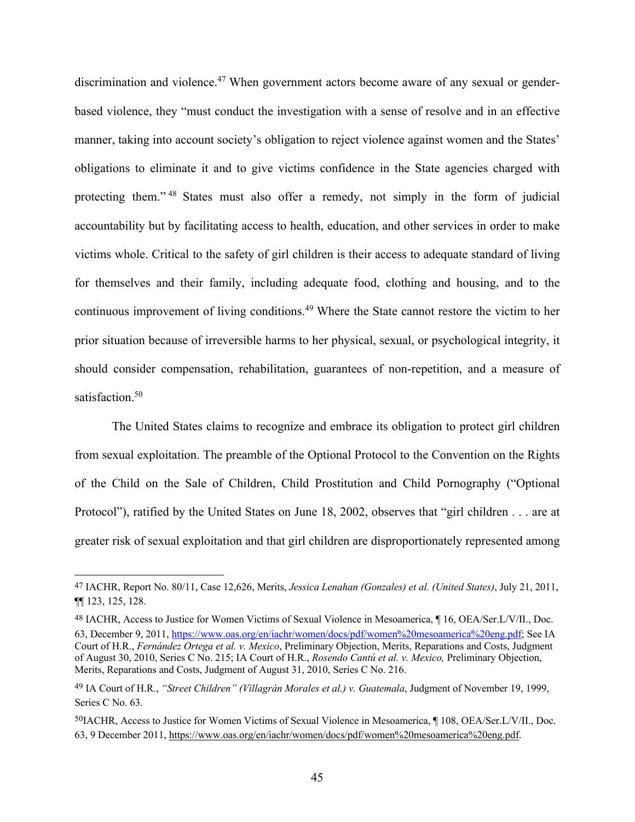discrimination and violence.<sup>47</sup> When government actors become aware of any sexual or genderbased violence, they "must conduct the investigation with a sense of resolve and in an effective manner, taking into account society's obligation to reject violence against women and the States' obligations to eliminate it and to give victims confidence in the State agencies charged with protecting them." <sup>48</sup> States must also offer a remedy, not simply in the form of judicial accountability but by facilitating access to health, education, and other services in order to make victims whole. Critical to the safety of girl children is their access to adequate standard of living for themselves and their family, including adequate food, clothing and housing, and to the continuous improvement of living conditions.<sup>49</sup> Where the State cannot restore the victim to her prior situation because of irreversible harms to her physical, sexual, or psychological integrity, it should consider compensation, rehabilitation, guarantees of non-repetition, and a measure of satisfaction.<sup>50</sup>

The United States claims to recognize and embrace its obligation to protect girl children from sexual exploitation. The preamble of the Optional Protocol to the Convention on the Rights of the Child on the Sale of Children, Child Prostitution and Child Pornography ("Optional Protocol"), ratified by the United States on June 18, 2002, observes that "girl children . . . are at greater risk of sexual exploitation and that girl children are disproportionately represented among

<sup>47</sup> IACHR, Report No. 80/11, Case 12,626, Merits, *Jessica Lenahan (Gonzales) et al. (United States)*, July 21, 2011, ¶¶ 123, 125, 128.

<sup>48</sup> IACHR, Access to Justice for Women Victims of Sexual Violence in Mesoamerica, ¶ 16, OEA/Ser.L/V/II., Doc. 63, December 9, 2011, https://www.oas.org/en/iachr/women/docs/pdf/women%20mesoamerica%20eng.pdf; See IA Court of H.R., *Fernández Ortega et al. v. Mexico*, Preliminary Objection, Merits, Reparations and Costs, Judgment of August 30, 2010, Series C No. 215; IA Court of H.R., *Rosendo Cantú et al. v. Mexico,* Preliminary Objection, Merits, Reparations and Costs, Judgment of August 31, 2010, Series C No. 216.

<sup>49</sup> IA Court of H.R., *"Street Children" (Villagrán Morales et al.) v. Guatemala*, Judgment of November 19, 1999, Series C No. 63.

<sup>50</sup>IACHR, Access to Justice for Women Victims of Sexual Violence in Mesoamerica, ¶ 108, OEA/Ser.L/V/II., Doc. 63, 9 December 2011, https://www.oas.org/en/iachr/women/docs/pdf/women%20mesoamerica%20eng.pdf.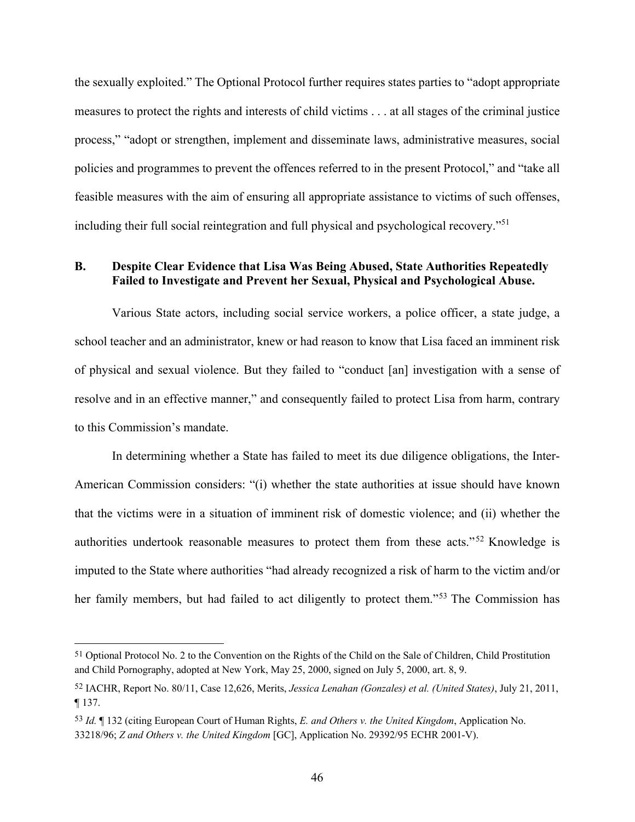the sexually exploited." The Optional Protocol further requires states parties to "adopt appropriate measures to protect the rights and interests of child victims . . . at all stages of the criminal justice process," "adopt or strengthen, implement and disseminate laws, administrative measures, social policies and programmes to prevent the offences referred to in the present Protocol," and "take all feasible measures with the aim of ensuring all appropriate assistance to victims of such offenses, including their full social reintegration and full physical and psychological recovery."51

## **B. Despite Clear Evidence that Lisa Was Being Abused, State Authorities Repeatedly Failed to Investigate and Prevent her Sexual, Physical and Psychological Abuse.**

Various State actors, including social service workers, a police officer, a state judge, a school teacher and an administrator, knew or had reason to know that Lisa faced an imminent risk of physical and sexual violence. But they failed to "conduct [an] investigation with a sense of resolve and in an effective manner," and consequently failed to protect Lisa from harm, contrary to this Commission's mandate.

In determining whether a State has failed to meet its due diligence obligations, the Inter-American Commission considers: "(i) whether the state authorities at issue should have known that the victims were in a situation of imminent risk of domestic violence; and (ii) whether the authorities undertook reasonable measures to protect them from these acts."<sup>52</sup> Knowledge is imputed to the State where authorities "had already recognized a risk of harm to the victim and/or her family members, but had failed to act diligently to protect them."53 The Commission has

<sup>51</sup> Optional Protocol No. 2 to the Convention on the Rights of the Child on the Sale of Children, Child Prostitution and Child Pornography, adopted at New York, May 25, 2000, signed on July 5, 2000, art. 8, 9.

<sup>52</sup> IACHR, Report No. 80/11, Case 12,626, Merits, *Jessica Lenahan (Gonzales) et al. (United States)*, July 21, 2011, ¶ 137.

<sup>53</sup> *Id.* ¶ 132 (citing European Court of Human Rights, *E. and Others v. the United Kingdom*, Application No. 33218/96; *Z and Others v. the United Kingdom* [GC], Application No. 29392/95 ECHR 2001-V).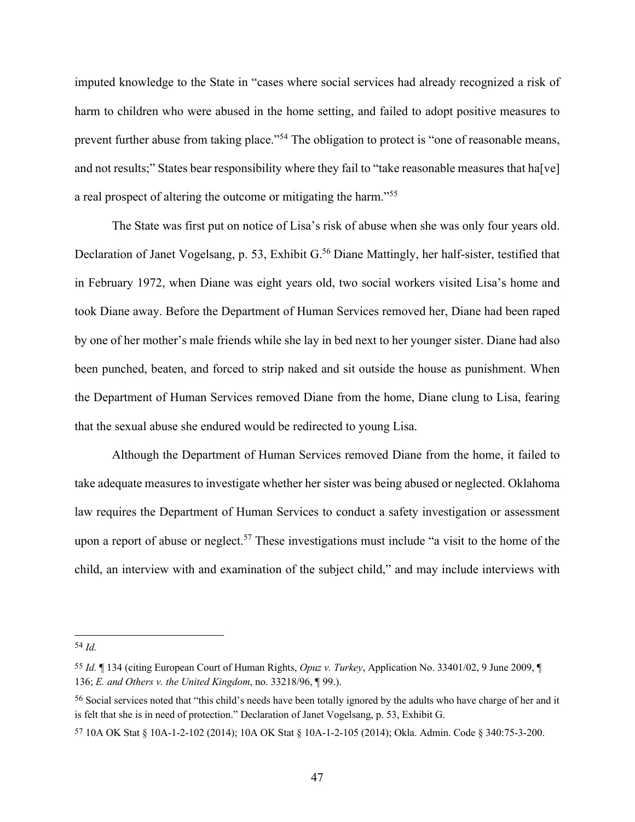imputed knowledge to the State in "cases where social services had already recognized a risk of harm to children who were abused in the home setting, and failed to adopt positive measures to prevent further abuse from taking place."<sup>54</sup> The obligation to protect is "one of reasonable means, and not results;" States bear responsibility where they fail to "take reasonable measures that ha[ve] a real prospect of altering the outcome or mitigating the harm."55

The State was first put on notice of Lisa's risk of abuse when she was only four years old. Declaration of Janet Vogelsang, p. 53, Exhibit G.<sup>56</sup> Diane Mattingly, her half-sister, testified that in February 1972, when Diane was eight years old, two social workers visited Lisa's home and took Diane away. Before the Department of Human Services removed her, Diane had been raped by one of her mother's male friends while she lay in bed next to her younger sister. Diane had also been punched, beaten, and forced to strip naked and sit outside the house as punishment. When the Department of Human Services removed Diane from the home, Diane clung to Lisa, fearing that the sexual abuse she endured would be redirected to young Lisa.

Although the Department of Human Services removed Diane from the home, it failed to take adequate measures to investigate whether her sister was being abused or neglected. Oklahoma law requires the Department of Human Services to conduct a safety investigation or assessment upon a report of abuse or neglect.<sup>57</sup> These investigations must include "a visit to the home of the child, an interview with and examination of the subject child," and may include interviews with

<sup>54</sup> *Id.*

<sup>55</sup> *Id.* ¶ 134 (citing European Court of Human Rights, *Opuz v. Turkey*, Application No. 33401/02, 9 June 2009, ¶ 136; *E. and Others v. the United Kingdom*, no. 33218/96, ¶ 99.).

<sup>56</sup> Social services noted that "this child's needs have been totally ignored by the adults who have charge of her and it is felt that she is in need of protection." Declaration of Janet Vogelsang, p. 53, Exhibit G.

<sup>57</sup> 10A OK Stat § 10A-1-2-102 (2014); 10A OK Stat § 10A-1-2-105 (2014); Okla. Admin. Code § 340:75-3-200.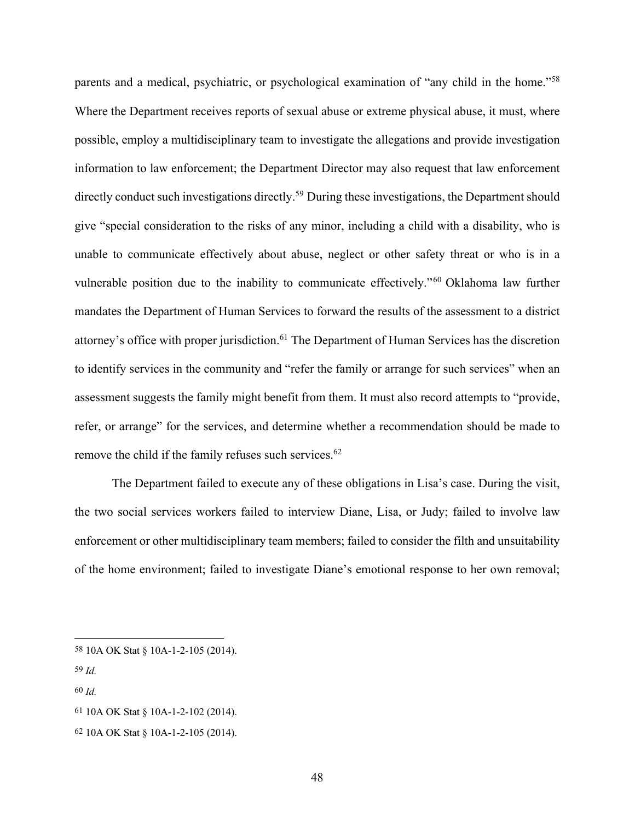parents and a medical, psychiatric, or psychological examination of "any child in the home."58 Where the Department receives reports of sexual abuse or extreme physical abuse, it must, where possible, employ a multidisciplinary team to investigate the allegations and provide investigation information to law enforcement; the Department Director may also request that law enforcement directly conduct such investigations directly.<sup>59</sup> During these investigations, the Department should give "special consideration to the risks of any minor, including a child with a disability, who is unable to communicate effectively about abuse, neglect or other safety threat or who is in a vulnerable position due to the inability to communicate effectively."60 Oklahoma law further mandates the Department of Human Services to forward the results of the assessment to a district attorney's office with proper jurisdiction.<sup>61</sup> The Department of Human Services has the discretion to identify services in the community and "refer the family or arrange for such services" when an assessment suggests the family might benefit from them. It must also record attempts to "provide, refer, or arrange" for the services, and determine whether a recommendation should be made to remove the child if the family refuses such services.<sup>62</sup>

The Department failed to execute any of these obligations in Lisa's case. During the visit, the two social services workers failed to interview Diane, Lisa, or Judy; failed to involve law enforcement or other multidisciplinary team members; failed to consider the filth and unsuitability of the home environment; failed to investigate Diane's emotional response to her own removal;

- 59 *Id.*
- 60 *Id.*

62 10A OK Stat § 10A-1-2-105 (2014).

<sup>58</sup> 10A OK Stat § 10A-1-2-105 (2014).

<sup>61</sup> 10A OK Stat § 10A-1-2-102 (2014).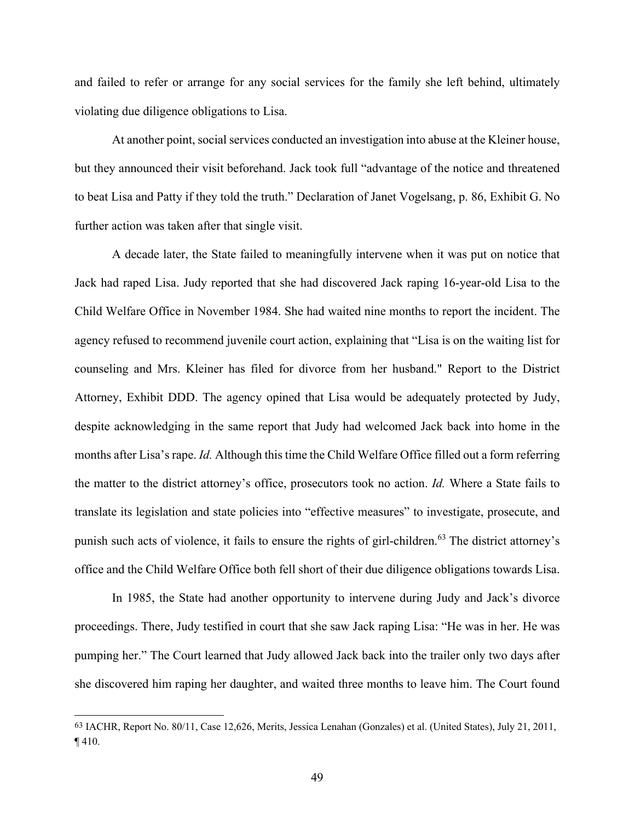and failed to refer or arrange for any social services for the family she left behind, ultimately violating due diligence obligations to Lisa.

At another point, social services conducted an investigation into abuse at the Kleiner house, but they announced their visit beforehand. Jack took full "advantage of the notice and threatened to beat Lisa and Patty if they told the truth." Declaration of Janet Vogelsang, p. 86, Exhibit G. No further action was taken after that single visit.

A decade later, the State failed to meaningfully intervene when it was put on notice that Jack had raped Lisa. Judy reported that she had discovered Jack raping 16-year-old Lisa to the Child Welfare Office in November 1984. She had waited nine months to report the incident. The agency refused to recommend juvenile court action, explaining that "Lisa is on the waiting list for counseling and Mrs. Kleiner has filed for divorce from her husband." Report to the District Attorney, Exhibit DDD. The agency opined that Lisa would be adequately protected by Judy, despite acknowledging in the same report that Judy had welcomed Jack back into home in the months after Lisa's rape. *Id.* Although this time the Child Welfare Office filled out a form referring the matter to the district attorney's office, prosecutors took no action. *Id.* Where a State fails to translate its legislation and state policies into "effective measures" to investigate, prosecute, and punish such acts of violence, it fails to ensure the rights of girl-children.<sup>63</sup> The district attorney's office and the Child Welfare Office both fell short of their due diligence obligations towards Lisa.

In 1985, the State had another opportunity to intervene during Judy and Jack's divorce proceedings. There, Judy testified in court that she saw Jack raping Lisa: "He was in her. He was pumping her." The Court learned that Judy allowed Jack back into the trailer only two days after she discovered him raping her daughter, and waited three months to leave him. The Court found

<sup>63</sup> IACHR, Report No. 80/11, Case 12,626, Merits, Jessica Lenahan (Gonzales) et al. (United States), July 21, 2011, ¶ 410.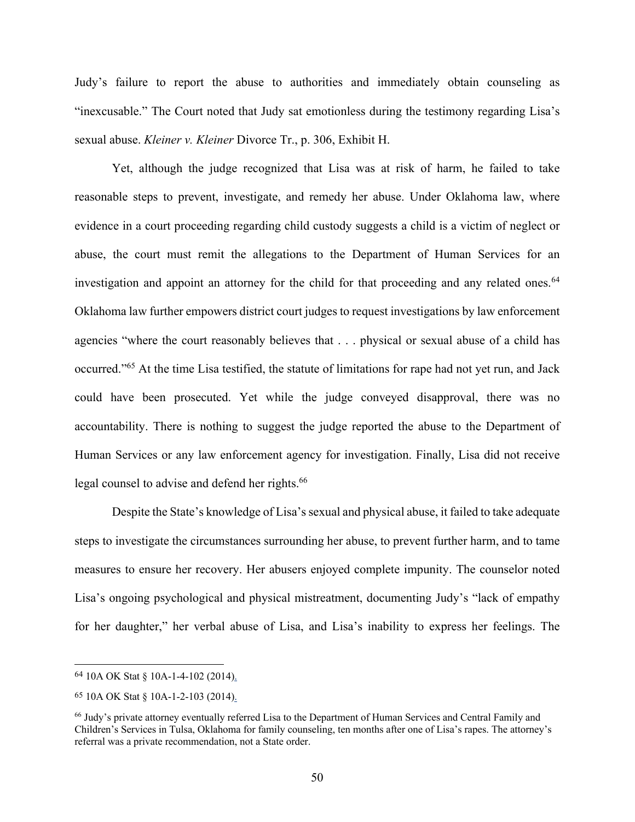Judy's failure to report the abuse to authorities and immediately obtain counseling as "inexcusable." The Court noted that Judy sat emotionless during the testimony regarding Lisa's sexual abuse. *Kleiner v. Kleiner* Divorce Tr., p. 306, Exhibit H.

Yet, although the judge recognized that Lisa was at risk of harm, he failed to take reasonable steps to prevent, investigate, and remedy her abuse. Under Oklahoma law, where evidence in a court proceeding regarding child custody suggests a child is a victim of neglect or abuse, the court must remit the allegations to the Department of Human Services for an investigation and appoint an attorney for the child for that proceeding and any related ones.<sup>64</sup> Oklahoma law further empowers district court judges to request investigations by law enforcement agencies "where the court reasonably believes that . . . physical or sexual abuse of a child has occurred."65 At the time Lisa testified, the statute of limitations for rape had not yet run, and Jack could have been prosecuted. Yet while the judge conveyed disapproval, there was no accountability. There is nothing to suggest the judge reported the abuse to the Department of Human Services or any law enforcement agency for investigation. Finally, Lisa did not receive legal counsel to advise and defend her rights.<sup>66</sup>

Despite the State's knowledge of Lisa's sexual and physical abuse, it failed to take adequate steps to investigate the circumstances surrounding her abuse, to prevent further harm, and to tame measures to ensure her recovery. Her abusers enjoyed complete impunity. The counselor noted Lisa's ongoing psychological and physical mistreatment, documenting Judy's "lack of empathy for her daughter," her verbal abuse of Lisa, and Lisa's inability to express her feelings. The

<sup>64</sup> 10A OK Stat § 10A-1-4-102 (2014).

<sup>65</sup> 10A OK Stat § 10A-1-2-103 (2014).

<sup>66</sup> Judy's private attorney eventually referred Lisa to the Department of Human Services and Central Family and Children's Services in Tulsa, Oklahoma for family counseling, ten months after one of Lisa's rapes. The attorney's referral was a private recommendation, not a State order.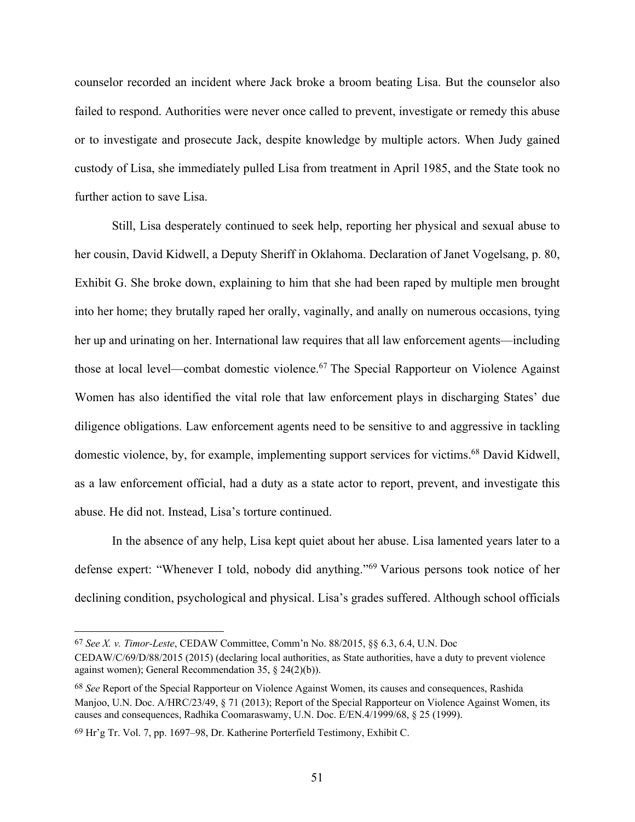counselor recorded an incident where Jack broke a broom beating Lisa. But the counselor also failed to respond. Authorities were never once called to prevent, investigate or remedy this abuse or to investigate and prosecute Jack, despite knowledge by multiple actors. When Judy gained custody of Lisa, she immediately pulled Lisa from treatment in April 1985, and the State took no further action to save Lisa.

Still, Lisa desperately continued to seek help, reporting her physical and sexual abuse to her cousin, David Kidwell, a Deputy Sheriff in Oklahoma. Declaration of Janet Vogelsang, p. 80, Exhibit G. She broke down, explaining to him that she had been raped by multiple men brought into her home; they brutally raped her orally, vaginally, and anally on numerous occasions, tying her up and urinating on her. International law requires that all law enforcement agents—including those at local level—combat domestic violence.<sup>67</sup> The Special Rapporteur on Violence Against Women has also identified the vital role that law enforcement plays in discharging States' due diligence obligations. Law enforcement agents need to be sensitive to and aggressive in tackling domestic violence, by, for example, implementing support services for victims.<sup>68</sup> David Kidwell, as a law enforcement official, had a duty as a state actor to report, prevent, and investigate this abuse. He did not. Instead, Lisa's torture continued.

In the absence of any help, Lisa kept quiet about her abuse. Lisa lamented years later to a defense expert: "Whenever I told, nobody did anything."69 Various persons took notice of her declining condition, psychological and physical. Lisa's grades suffered. Although school officials

<sup>67</sup> *See X. v. Timor-Leste*, CEDAW Committee, Comm'n No. 88/2015, §§ 6.3, 6.4, U.N. Doc

CEDAW/C/69/D/88/2015 (2015) (declaring local authorities, as State authorities, have a duty to prevent violence against women); General Recommendation 35, § 24(2)(b)).

<sup>68</sup> *See* Report of the Special Rapporteur on Violence Against Women, its causes and consequences, Rashida Manjoo, U.N. Doc. A/HRC/23/49, § 71 (2013); Report of the Special Rapporteur on Violence Against Women, its causes and consequences, Radhika Coomaraswamy, U.N. Doc. E/EN.4/1999/68, § 25 (1999).

<sup>69</sup> Hr'g Tr. Vol. 7, pp. 1697–98, Dr. Katherine Porterfield Testimony, Exhibit C.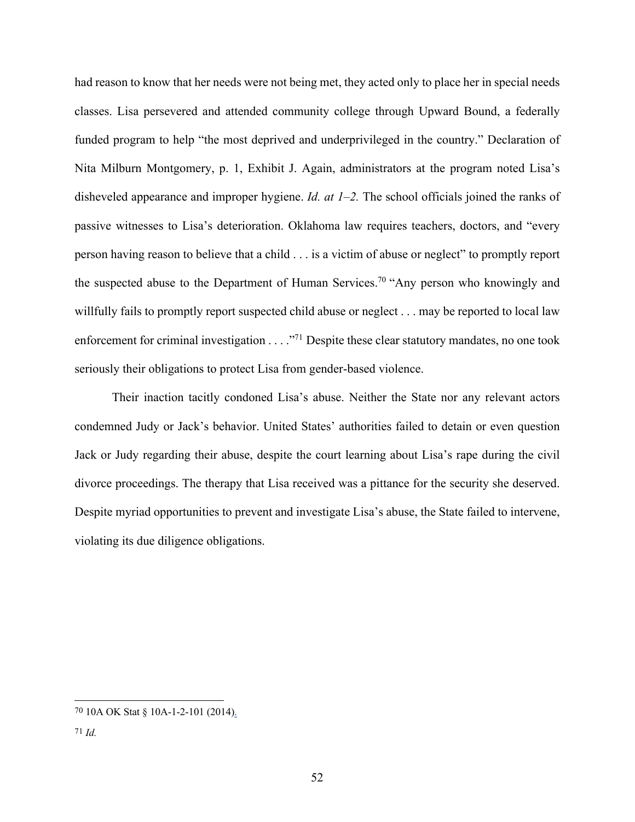had reason to know that her needs were not being met, they acted only to place her in special needs classes. Lisa persevered and attended community college through Upward Bound, a federally funded program to help "the most deprived and underprivileged in the country." Declaration of Nita Milburn Montgomery, p. 1, Exhibit J. Again, administrators at the program noted Lisa's disheveled appearance and improper hygiene. *Id. at 1–2.* The school officials joined the ranks of passive witnesses to Lisa's deterioration. Oklahoma law requires teachers, doctors, and "every person having reason to believe that a child . . . is a victim of abuse or neglect" to promptly report the suspected abuse to the Department of Human Services.<sup>70</sup> "Any person who knowingly and willfully fails to promptly report suspected child abuse or neglect . . . may be reported to local law enforcement for criminal investigation . . . ."<sup>71</sup> Despite these clear statutory mandates, no one took seriously their obligations to protect Lisa from gender-based violence.

Their inaction tacitly condoned Lisa's abuse. Neither the State nor any relevant actors condemned Judy or Jack's behavior. United States' authorities failed to detain or even question Jack or Judy regarding their abuse, despite the court learning about Lisa's rape during the civil divorce proceedings. The therapy that Lisa received was a pittance for the security she deserved. Despite myriad opportunities to prevent and investigate Lisa's abuse, the State failed to intervene, violating its due diligence obligations.

<sup>70</sup> 10A OK Stat § 10A-1-2-101 (2014).

<sup>71</sup> *Id.*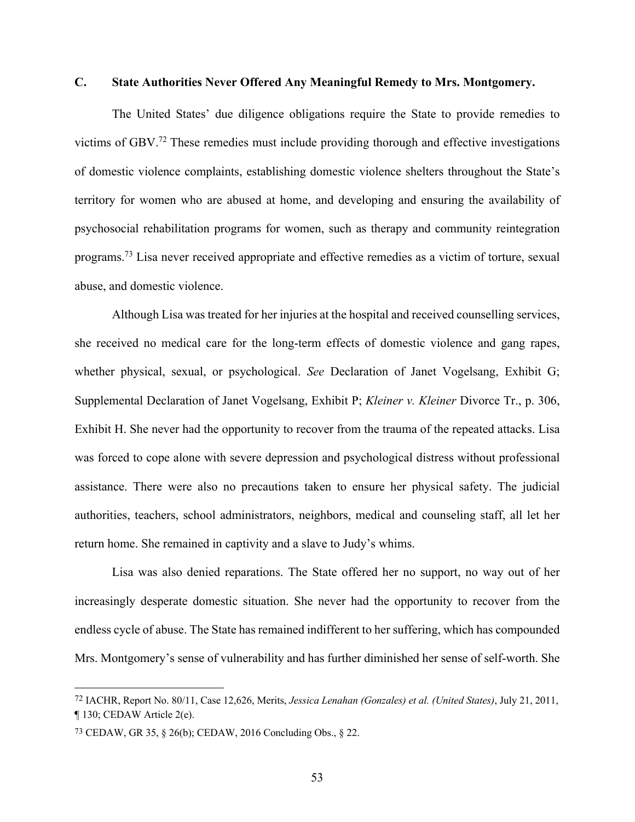### **C. State Authorities Never Offered Any Meaningful Remedy to Mrs. Montgomery.**

The United States' due diligence obligations require the State to provide remedies to victims of GBV.72 These remedies must include providing thorough and effective investigations of domestic violence complaints, establishing domestic violence shelters throughout the State's territory for women who are abused at home, and developing and ensuring the availability of psychosocial rehabilitation programs for women, such as therapy and community reintegration programs.73 Lisa never received appropriate and effective remedies as a victim of torture, sexual abuse, and domestic violence.

Although Lisa was treated for her injuries at the hospital and received counselling services, she received no medical care for the long-term effects of domestic violence and gang rapes, whether physical, sexual, or psychological. *See* Declaration of Janet Vogelsang, Exhibit G; Supplemental Declaration of Janet Vogelsang, Exhibit P; *Kleiner v. Kleiner* Divorce Tr., p. 306, Exhibit H. She never had the opportunity to recover from the trauma of the repeated attacks. Lisa was forced to cope alone with severe depression and psychological distress without professional assistance. There were also no precautions taken to ensure her physical safety. The judicial authorities, teachers, school administrators, neighbors, medical and counseling staff, all let her return home. She remained in captivity and a slave to Judy's whims.

Lisa was also denied reparations. The State offered her no support, no way out of her increasingly desperate domestic situation. She never had the opportunity to recover from the endless cycle of abuse. The State has remained indifferent to her suffering, which has compounded Mrs. Montgomery's sense of vulnerability and has further diminished her sense of self-worth. She

<sup>72</sup> IACHR, Report No. 80/11, Case 12,626, Merits, *Jessica Lenahan (Gonzales) et al. (United States)*, July 21, 2011, ¶ 130; CEDAW Article 2(e).

<sup>73</sup> CEDAW, GR 35, § 26(b); CEDAW, 2016 Concluding Obs., § 22.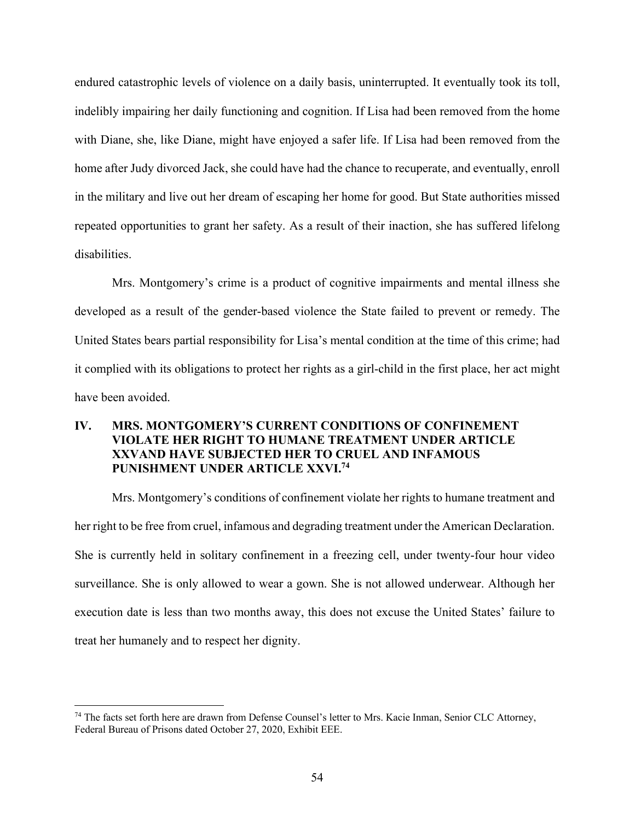endured catastrophic levels of violence on a daily basis, uninterrupted. It eventually took its toll, indelibly impairing her daily functioning and cognition. If Lisa had been removed from the home with Diane, she, like Diane, might have enjoyed a safer life. If Lisa had been removed from the home after Judy divorced Jack, she could have had the chance to recuperate, and eventually, enroll in the military and live out her dream of escaping her home for good. But State authorities missed repeated opportunities to grant her safety. As a result of their inaction, she has suffered lifelong disabilities.

Mrs. Montgomery's crime is a product of cognitive impairments and mental illness she developed as a result of the gender-based violence the State failed to prevent or remedy. The United States bears partial responsibility for Lisa's mental condition at the time of this crime; had it complied with its obligations to protect her rights as a girl-child in the first place, her act might have been avoided.

## **IV. MRS. MONTGOMERY'S CURRENT CONDITIONS OF CONFINEMENT VIOLATE HER RIGHT TO HUMANE TREATMENT UNDER ARTICLE XXVAND HAVE SUBJECTED HER TO CRUEL AND INFAMOUS PUNISHMENT UNDER ARTICLE XXVI.74**

Mrs. Montgomery's conditions of confinement violate her rights to humane treatment and her right to be free from cruel, infamous and degrading treatment under the American Declaration. She is currently held in solitary confinement in a freezing cell, under twenty-four hour video surveillance. She is only allowed to wear a gown. She is not allowed underwear. Although her execution date is less than two months away, this does not excuse the United States' failure to treat her humanely and to respect her dignity.

<sup>74</sup> The facts set forth here are drawn from Defense Counsel's letter to Mrs. Kacie Inman, Senior CLC Attorney, Federal Bureau of Prisons dated October 27, 2020, Exhibit EEE.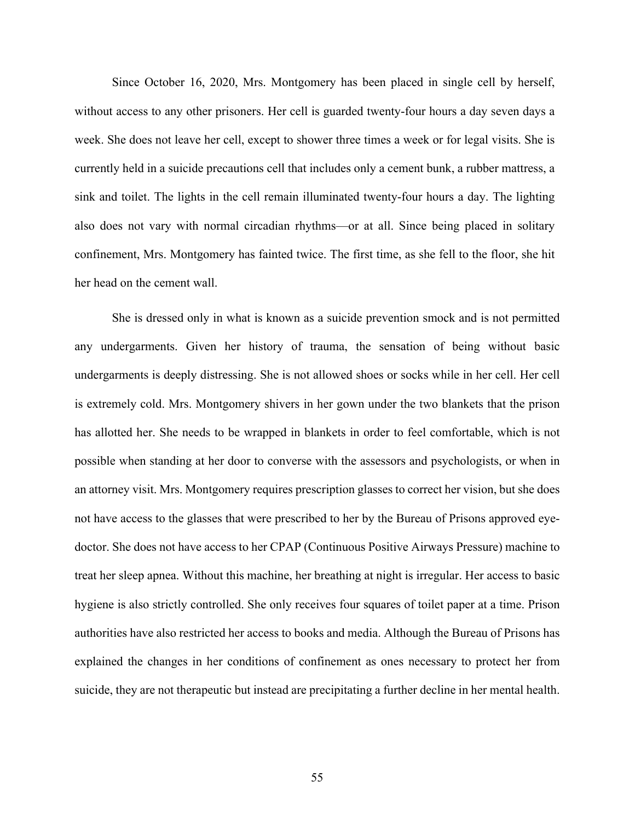Since October 16, 2020, Mrs. Montgomery has been placed in single cell by herself, without access to any other prisoners. Her cell is guarded twenty-four hours a day seven days a week. She does not leave her cell, except to shower three times a week or for legal visits. She is currently held in a suicide precautions cell that includes only a cement bunk, a rubber mattress, a sink and toilet. The lights in the cell remain illuminated twenty-four hours a day. The lighting also does not vary with normal circadian rhythms—or at all. Since being placed in solitary confinement, Mrs. Montgomery has fainted twice. The first time, as she fell to the floor, she hit her head on the cement wall.

She is dressed only in what is known as a suicide prevention smock and is not permitted any undergarments. Given her history of trauma, the sensation of being without basic undergarments is deeply distressing. She is not allowed shoes or socks while in her cell. Her cell is extremely cold. Mrs. Montgomery shivers in her gown under the two blankets that the prison has allotted her. She needs to be wrapped in blankets in order to feel comfortable, which is not possible when standing at her door to converse with the assessors and psychologists, or when in an attorney visit. Mrs. Montgomery requires prescription glasses to correct her vision, but she does not have access to the glasses that were prescribed to her by the Bureau of Prisons approved eyedoctor. She does not have access to her CPAP (Continuous Positive Airways Pressure) machine to treat her sleep apnea. Without this machine, her breathing at night is irregular. Her access to basic hygiene is also strictly controlled. She only receives four squares of toilet paper at a time. Prison authorities have also restricted her access to books and media. Although the Bureau of Prisons has explained the changes in her conditions of confinement as ones necessary to protect her from suicide, they are not therapeutic but instead are precipitating a further decline in her mental health.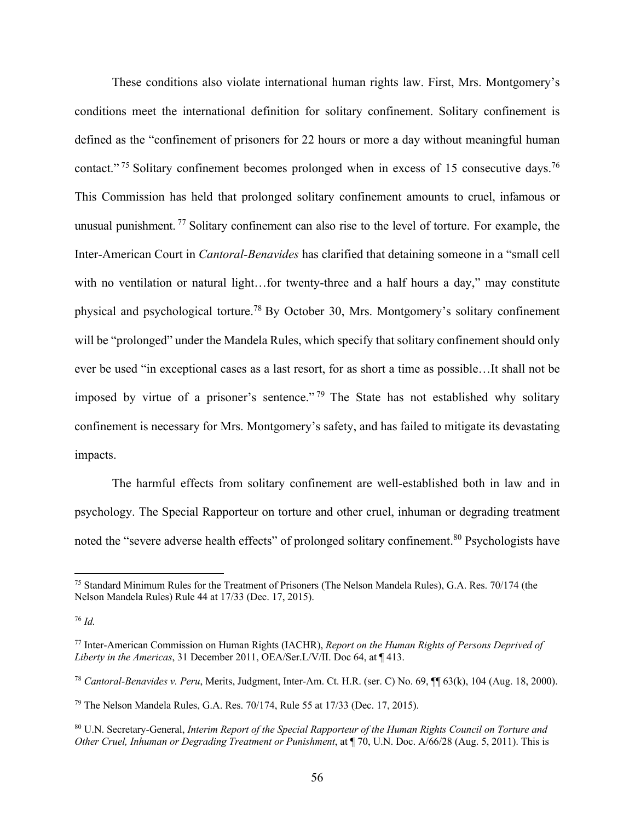These conditions also violate international human rights law. First, Mrs. Montgomery's conditions meet the international definition for solitary confinement. Solitary confinement is defined as the "confinement of prisoners for 22 hours or more a day without meaningful human contact."<sup>75</sup> Solitary confinement becomes prolonged when in excess of 15 consecutive days.<sup>76</sup> This Commission has held that prolonged solitary confinement amounts to cruel, infamous or unusual punishment. <sup>77</sup> Solitary confinement can also rise to the level of torture. For example, the Inter-American Court in *Cantoral-Benavides* has clarified that detaining someone in a "small cell with no ventilation or natural light...for twenty-three and a half hours a day," may constitute physical and psychological torture.78 By October 30, Mrs. Montgomery's solitary confinement will be "prolonged" under the Mandela Rules, which specify that solitary confinement should only ever be used "in exceptional cases as a last resort, for as short a time as possible…It shall not be imposed by virtue of a prisoner's sentence."<sup>79</sup> The State has not established why solitary confinement is necessary for Mrs. Montgomery's safety, and has failed to mitigate its devastating impacts.

The harmful effects from solitary confinement are well-established both in law and in psychology. The Special Rapporteur on torture and other cruel, inhuman or degrading treatment noted the "severe adverse health effects" of prolonged solitary confinement.<sup>80</sup> Psychologists have

<sup>75</sup> Standard Minimum Rules for the Treatment of Prisoners (The Nelson Mandela Rules), G.A. Res. 70/174 (the Nelson Mandela Rules) Rule 44 at 17/33 (Dec. 17, 2015).

<sup>76</sup> *Id.*

<sup>77</sup> Inter-American Commission on Human Rights (IACHR), *Report on the Human Rights of Persons Deprived of Liberty in the Americas*, 31 December 2011, OEA/Ser.L/V/II. Doc 64, at ¶ 413.

<sup>78</sup> *Cantoral-Benavides v. Peru*, Merits, Judgment, Inter-Am. Ct. H.R. (ser. C) No. 69, ¶¶ 63(k), 104 (Aug. 18, 2000).

<sup>79</sup> The Nelson Mandela Rules, G.A. Res. 70/174, Rule 55 at 17/33 (Dec. 17, 2015).

<sup>80</sup> U.N. Secretary-General, *Interim Report of the Special Rapporteur of the Human Rights Council on Torture and Other Cruel, Inhuman or Degrading Treatment or Punishment*, at ¶ 70, U.N. Doc. A/66/28 (Aug. 5, 2011). This is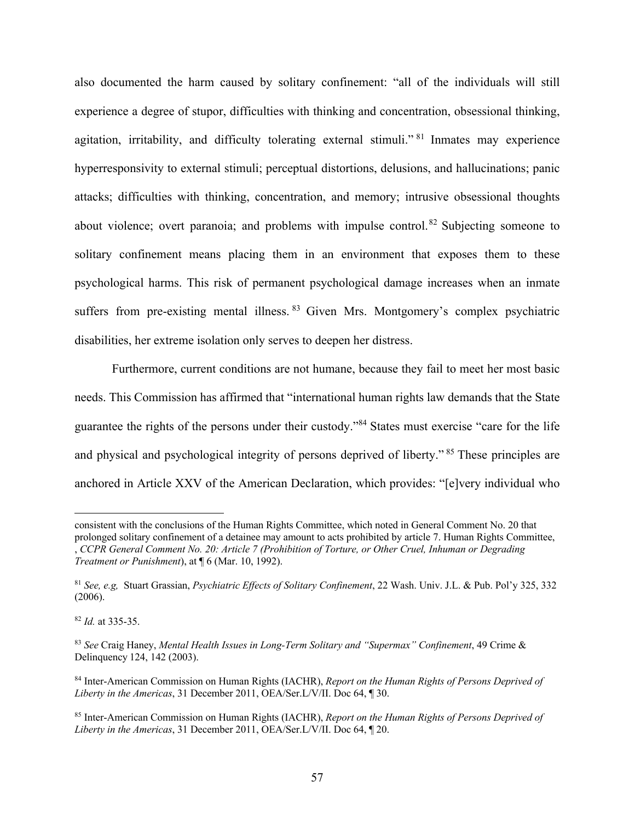also documented the harm caused by solitary confinement: "all of the individuals will still experience a degree of stupor, difficulties with thinking and concentration, obsessional thinking, agitation, irritability, and difficulty tolerating external stimuli."<sup>81</sup> Inmates may experience hyperresponsivity to external stimuli; perceptual distortions, delusions, and hallucinations; panic attacks; difficulties with thinking, concentration, and memory; intrusive obsessional thoughts about violence; overt paranoia; and problems with impulse control.<sup>82</sup> Subjecting someone to solitary confinement means placing them in an environment that exposes them to these psychological harms. This risk of permanent psychological damage increases when an inmate suffers from pre-existing mental illness. 83 Given Mrs. Montgomery's complex psychiatric disabilities, her extreme isolation only serves to deepen her distress.

Furthermore, current conditions are not humane, because they fail to meet her most basic needs. This Commission has affirmed that "international human rights law demands that the State guarantee the rights of the persons under their custody."84 States must exercise "care for the life and physical and psychological integrity of persons deprived of liberty." <sup>85</sup> These principles are anchored in Article XXV of the American Declaration, which provides: "[e]very individual who

consistent with the conclusions of the Human Rights Committee, which noted in General Comment No. 20 that prolonged solitary confinement of a detainee may amount to acts prohibited by article 7. Human Rights Committee, , *CCPR General Comment No. 20: Article 7 (Prohibition of Torture, or Other Cruel, Inhuman or Degrading Treatment or Punishment*), at ¶ 6 (Mar. 10, 1992).

<sup>81</sup> *See, e.g,* Stuart Grassian, *Psychiatric Effects of Solitary Confinement*, 22 Wash. Univ. J.L. & Pub. Pol'y 325, 332 (2006).

<sup>82</sup> *Id.* at 335-35.

<sup>83</sup> *See* Craig Haney, *Mental Health Issues in Long-Term Solitary and "Supermax" Confinement*, 49 Crime & Delinquency 124, 142 (2003).

<sup>84</sup> Inter-American Commission on Human Rights (IACHR), *Report on the Human Rights of Persons Deprived of Liberty in the Americas*, 31 December 2011, OEA/Ser.L/V/II. Doc 64, ¶ 30.

<sup>85</sup> Inter-American Commission on Human Rights (IACHR), *Report on the Human Rights of Persons Deprived of Liberty in the Americas*, 31 December 2011, OEA/Ser.L/V/II. Doc 64, ¶ 20.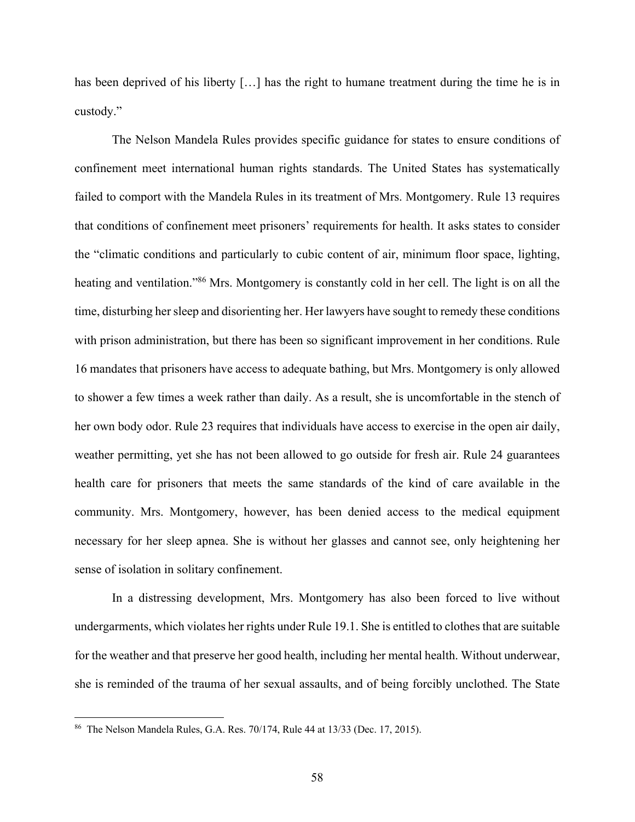has been deprived of his liberty [...] has the right to humane treatment during the time he is in custody."

The Nelson Mandela Rules provides specific guidance for states to ensure conditions of confinement meet international human rights standards. The United States has systematically failed to comport with the Mandela Rules in its treatment of Mrs. Montgomery. Rule 13 requires that conditions of confinement meet prisoners' requirements for health. It asks states to consider the "climatic conditions and particularly to cubic content of air, minimum floor space, lighting, heating and ventilation."<sup>86</sup> Mrs. Montgomery is constantly cold in her cell. The light is on all the time, disturbing her sleep and disorienting her. Her lawyers have sought to remedy these conditions with prison administration, but there has been so significant improvement in her conditions. Rule 16 mandates that prisoners have access to adequate bathing, but Mrs. Montgomery is only allowed to shower a few times a week rather than daily. As a result, she is uncomfortable in the stench of her own body odor. Rule 23 requires that individuals have access to exercise in the open air daily, weather permitting, yet she has not been allowed to go outside for fresh air. Rule 24 guarantees health care for prisoners that meets the same standards of the kind of care available in the community. Mrs. Montgomery, however, has been denied access to the medical equipment necessary for her sleep apnea. She is without her glasses and cannot see, only heightening her sense of isolation in solitary confinement.

In a distressing development, Mrs. Montgomery has also been forced to live without undergarments, which violates her rights under Rule 19.1. She is entitled to clothes that are suitable for the weather and that preserve her good health, including her mental health. Without underwear, she is reminded of the trauma of her sexual assaults, and of being forcibly unclothed. The State

<sup>86</sup> The Nelson Mandela Rules, G.A. Res. 70/174, Rule 44 at 13/33 (Dec. 17, 2015).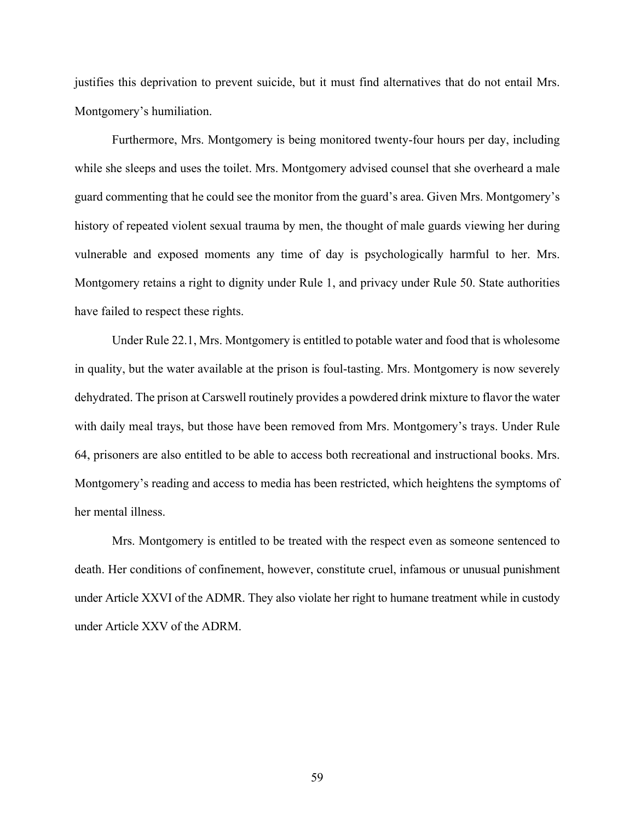justifies this deprivation to prevent suicide, but it must find alternatives that do not entail Mrs. Montgomery's humiliation.

Furthermore, Mrs. Montgomery is being monitored twenty-four hours per day, including while she sleeps and uses the toilet. Mrs. Montgomery advised counsel that she overheard a male guard commenting that he could see the monitor from the guard's area. Given Mrs. Montgomery's history of repeated violent sexual trauma by men, the thought of male guards viewing her during vulnerable and exposed moments any time of day is psychologically harmful to her. Mrs. Montgomery retains a right to dignity under Rule 1, and privacy under Rule 50. State authorities have failed to respect these rights.

Under Rule 22.1, Mrs. Montgomery is entitled to potable water and food that is wholesome in quality, but the water available at the prison is foul-tasting. Mrs. Montgomery is now severely dehydrated. The prison at Carswell routinely provides a powdered drink mixture to flavor the water with daily meal trays, but those have been removed from Mrs. Montgomery's trays. Under Rule 64, prisoners are also entitled to be able to access both recreational and instructional books. Mrs. Montgomery's reading and access to media has been restricted, which heightens the symptoms of her mental illness.

Mrs. Montgomery is entitled to be treated with the respect even as someone sentenced to death. Her conditions of confinement, however, constitute cruel, infamous or unusual punishment under Article XXVI of the ADMR. They also violate her right to humane treatment while in custody under Article XXV of the ADRM.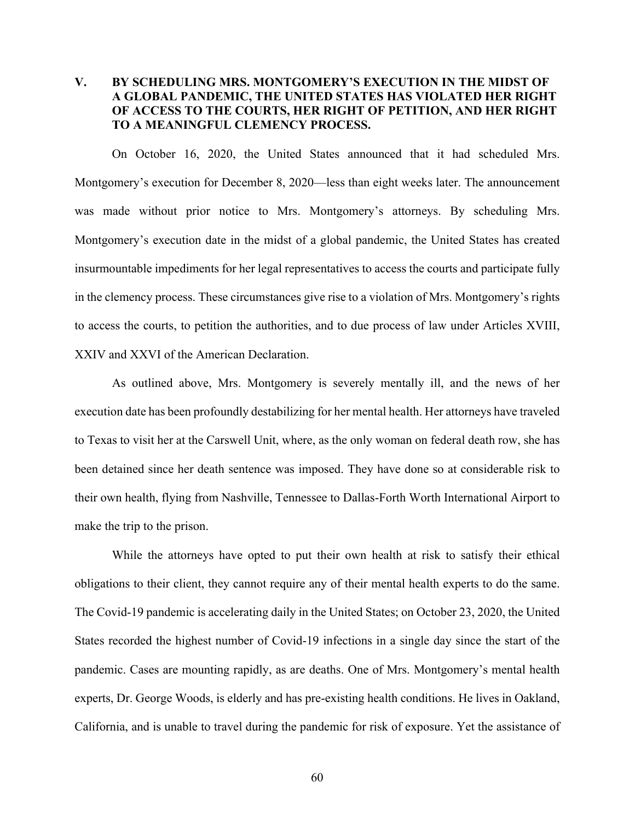# **V. BY SCHEDULING MRS. MONTGOMERY'S EXECUTION IN THE MIDST OF A GLOBAL PANDEMIC, THE UNITED STATES HAS VIOLATED HER RIGHT OF ACCESS TO THE COURTS, HER RIGHT OF PETITION, AND HER RIGHT TO A MEANINGFUL CLEMENCY PROCESS.**

On October 16, 2020, the United States announced that it had scheduled Mrs. Montgomery's execution for December 8, 2020—less than eight weeks later. The announcement was made without prior notice to Mrs. Montgomery's attorneys. By scheduling Mrs. Montgomery's execution date in the midst of a global pandemic, the United States has created insurmountable impediments for her legal representatives to access the courts and participate fully in the clemency process. These circumstances give rise to a violation of Mrs. Montgomery's rights to access the courts, to petition the authorities, and to due process of law under Articles XVIII, XXIV and XXVI of the American Declaration.

As outlined above, Mrs. Montgomery is severely mentally ill, and the news of her execution date has been profoundly destabilizing for her mental health. Her attorneys have traveled to Texas to visit her at the Carswell Unit, where, as the only woman on federal death row, she has been detained since her death sentence was imposed. They have done so at considerable risk to their own health, flying from Nashville, Tennessee to Dallas-Forth Worth International Airport to make the trip to the prison.

While the attorneys have opted to put their own health at risk to satisfy their ethical obligations to their client, they cannot require any of their mental health experts to do the same. The Covid-19 pandemic is accelerating daily in the United States; on October 23, 2020, the United States recorded the highest number of Covid-19 infections in a single day since the start of the pandemic. Cases are mounting rapidly, as are deaths. One of Mrs. Montgomery's mental health experts, Dr. George Woods, is elderly and has pre-existing health conditions. He lives in Oakland, California, and is unable to travel during the pandemic for risk of exposure. Yet the assistance of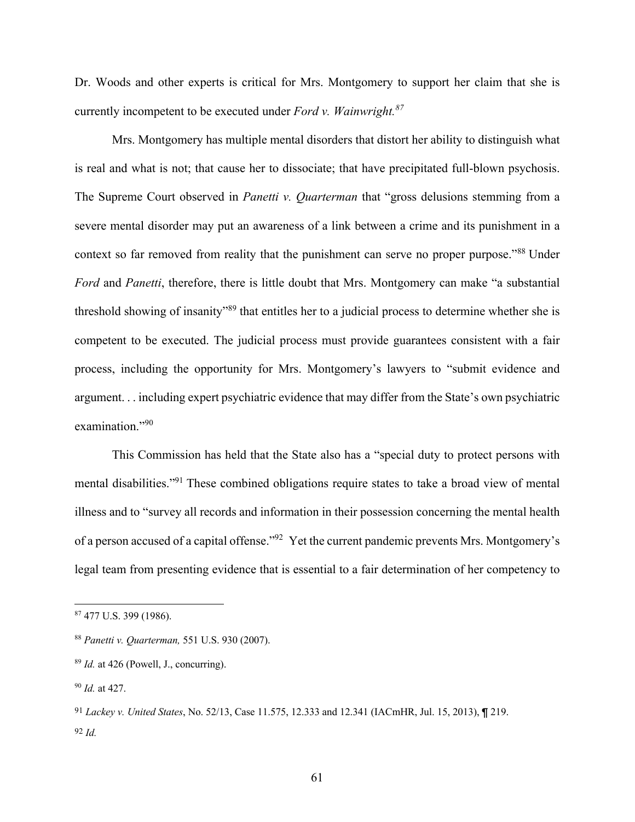Dr. Woods and other experts is critical for Mrs. Montgomery to support her claim that she is currently incompetent to be executed under *Ford v. Wainwright.87*

Mrs. Montgomery has multiple mental disorders that distort her ability to distinguish what is real and what is not; that cause her to dissociate; that have precipitated full-blown psychosis. The Supreme Court observed in *Panetti v. Quarterman* that "gross delusions stemming from a severe mental disorder may put an awareness of a link between a crime and its punishment in a context so far removed from reality that the punishment can serve no proper purpose."<sup>88</sup> Under *Ford* and *Panetti*, therefore, there is little doubt that Mrs. Montgomery can make "a substantial threshold showing of insanity<sup>"89</sup> that entitles her to a judicial process to determine whether she is competent to be executed. The judicial process must provide guarantees consistent with a fair process, including the opportunity for Mrs. Montgomery's lawyers to "submit evidence and argument. . . including expert psychiatric evidence that may differ from the State's own psychiatric examination."90

This Commission has held that the State also has a "special duty to protect persons with mental disabilities."91 These combined obligations require states to take a broad view of mental illness and to "survey all records and information in their possession concerning the mental health of a person accused of a capital offense."92 Yet the current pandemic prevents Mrs. Montgomery's legal team from presenting evidence that is essential to a fair determination of her competency to

<sup>87</sup> 477 U.S. 399 (1986).

<sup>88</sup> *Panetti v. Quarterman,* 551 U.S. 930 (2007).

<sup>89</sup> *Id.* at 426 (Powell, J., concurring).

<sup>90</sup> *Id.* at 427.

<sup>91</sup> *Lackey v. United States*, No. 52/13, Case 11.575, 12.333 and 12.341 (IACmHR, Jul. 15, 2013), ¶ 219. 92 *Id.*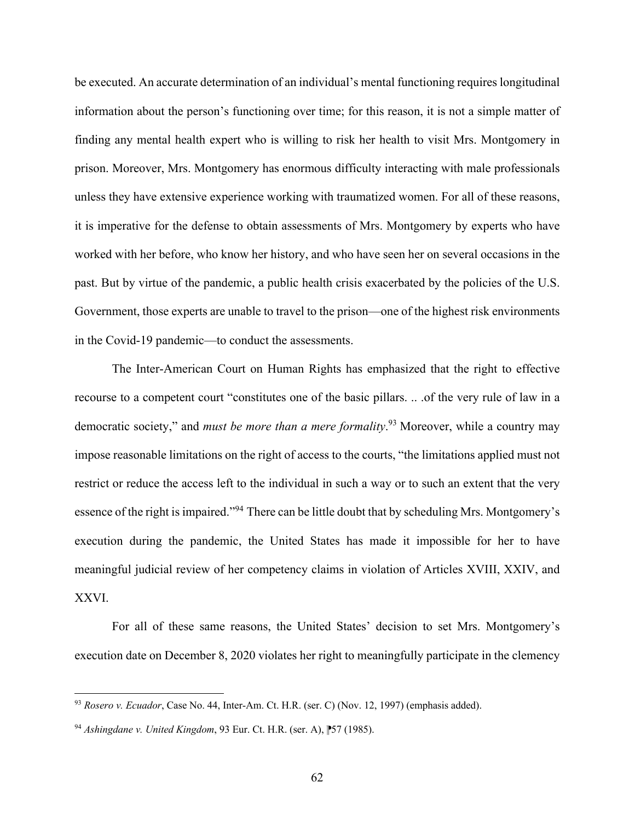be executed. An accurate determination of an individual's mental functioning requires longitudinal information about the person's functioning over time; for this reason, it is not a simple matter of finding any mental health expert who is willing to risk her health to visit Mrs. Montgomery in prison. Moreover, Mrs. Montgomery has enormous difficulty interacting with male professionals unless they have extensive experience working with traumatized women. For all of these reasons, it is imperative for the defense to obtain assessments of Mrs. Montgomery by experts who have worked with her before, who know her history, and who have seen her on several occasions in the past. But by virtue of the pandemic, a public health crisis exacerbated by the policies of the U.S. Government, those experts are unable to travel to the prison—one of the highest risk environments in the Covid-19 pandemic—to conduct the assessments.

The Inter-American Court on Human Rights has emphasized that the right to effective recourse to a competent court "constitutes one of the basic pillars. .. .of the very rule of law in a democratic society," and *must be more than a mere formality*. <sup>93</sup> Moreover, while a country may impose reasonable limitations on the right of access to the courts, "the limitations applied must not restrict or reduce the access left to the individual in such a way or to such an extent that the very essence of the right is impaired."94 There can be little doubt that by scheduling Mrs. Montgomery's execution during the pandemic, the United States has made it impossible for her to have meaningful judicial review of her competency claims in violation of Articles XVIII, XXIV, and XXVI.

For all of these same reasons, the United States' decision to set Mrs. Montgomery's execution date on December 8, 2020 violates her right to meaningfully participate in the clemency

<sup>93</sup> *Rosero v. Ecuador*, Case No. 44, Inter-Am. Ct. H.R. (ser. C) (Nov. 12, 1997) (emphasis added).

<sup>94</sup> *Ashingdane v. United Kingdom*, 93 Eur. Ct. H.R. (ser. A), ⁋57 (1985).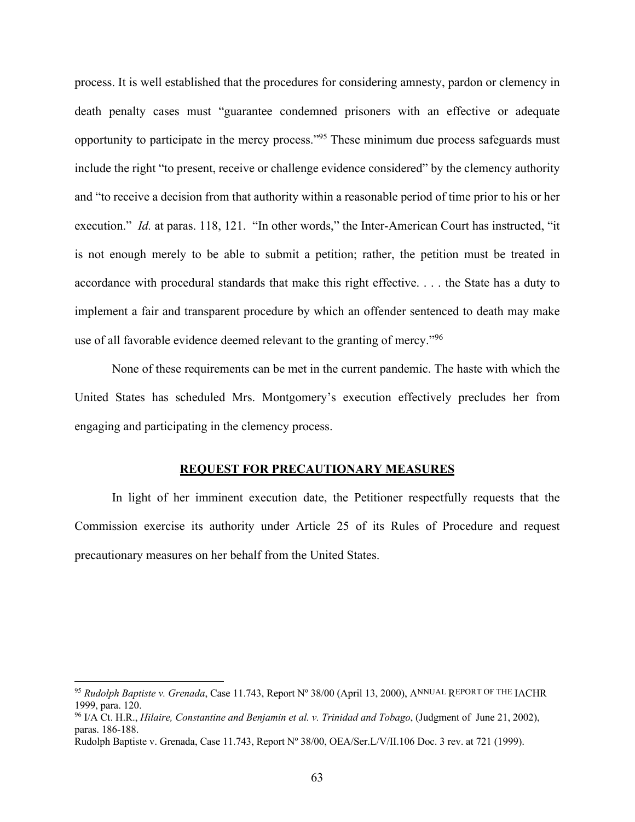process. It is well established that the procedures for considering amnesty, pardon or clemency in death penalty cases must "guarantee condemned prisoners with an effective or adequate opportunity to participate in the mercy process."95 These minimum due process safeguards must include the right "to present, receive or challenge evidence considered" by the clemency authority and "to receive a decision from that authority within a reasonable period of time prior to his or her execution." *Id.* at paras. 118, 121. "In other words," the Inter-American Court has instructed, "it is not enough merely to be able to submit a petition; rather, the petition must be treated in accordance with procedural standards that make this right effective. . . . the State has a duty to implement a fair and transparent procedure by which an offender sentenced to death may make use of all favorable evidence deemed relevant to the granting of mercy."96

None of these requirements can be met in the current pandemic. The haste with which the United States has scheduled Mrs. Montgomery's execution effectively precludes her from engaging and participating in the clemency process.

#### **REQUEST FOR PRECAUTIONARY MEASURES**

In light of her imminent execution date, the Petitioner respectfully requests that the Commission exercise its authority under Article 25 of its Rules of Procedure and request precautionary measures on her behalf from the United States.

<sup>95</sup> *Rudolph Baptiste v. Grenada*, Case 11.743, Report Nº 38/00 (April 13, 2000), ANNUAL REPORT OF THE IACHR 1999, para. 120.<br><sup>96</sup> I/A Ct. H.R., *Hilaire, Constantine and Benjamin et al. v. Trinidad and Tobago*, (Judgment of June 21, 2002),

paras. 186-188.

Rudolph Baptiste v. Grenada, Case 11.743, Report Nº 38/00, OEA/Ser.L/V/II.106 Doc. 3 rev. at 721 (1999).